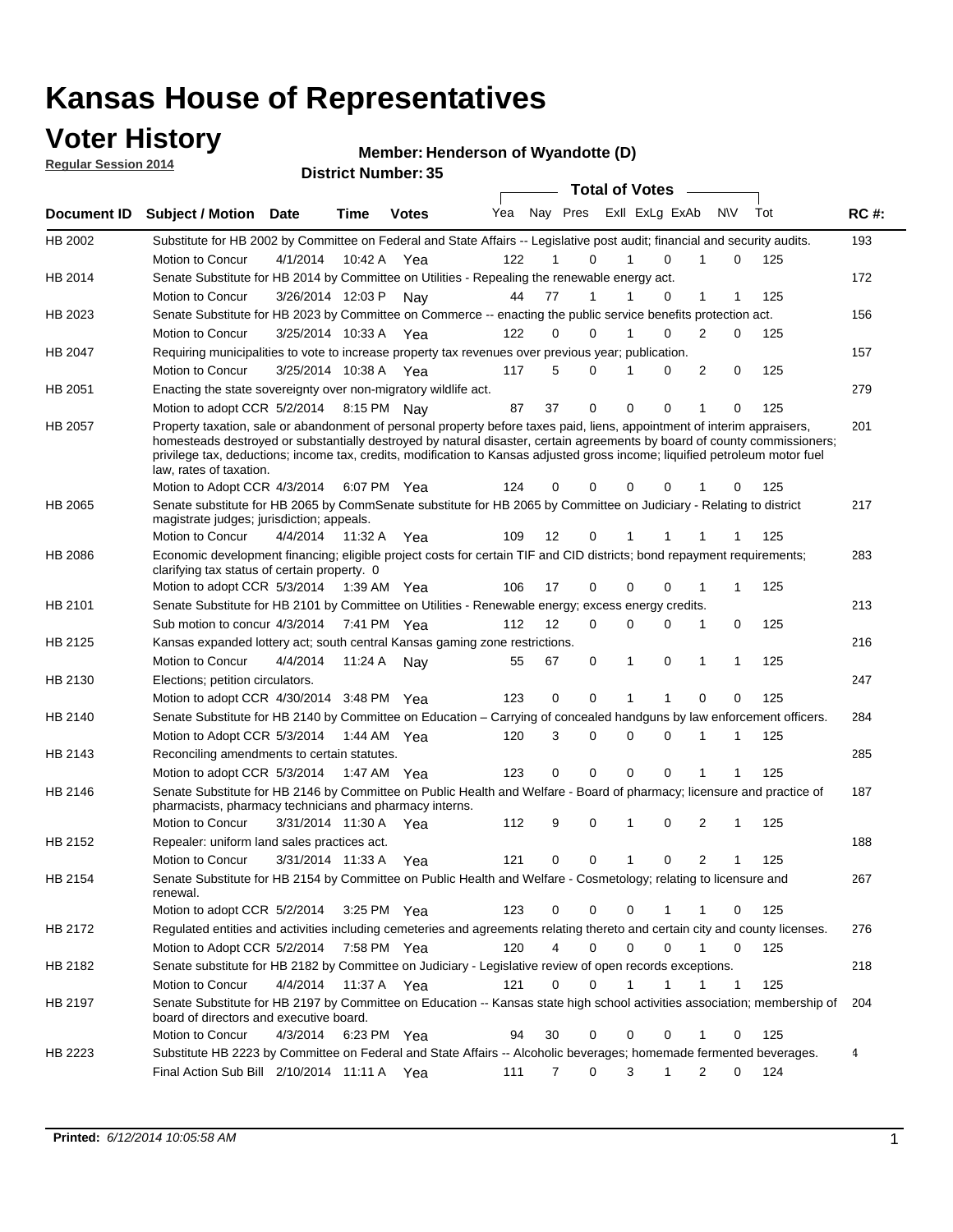### **Voter History**

**Regular Session 2014**

#### **Henderson of Wyandotte (D)**

|                | DISTRICT MAILINGLESS<br><b>Total of Votes</b>                                                                                                                                                                                                                                                                                                                                                                    |                       |              |              |     |                   |                  |  |             |                |                  |     |  |             |
|----------------|------------------------------------------------------------------------------------------------------------------------------------------------------------------------------------------------------------------------------------------------------------------------------------------------------------------------------------------------------------------------------------------------------------------|-----------------------|--------------|--------------|-----|-------------------|------------------|--|-------------|----------------|------------------|-----|--|-------------|
|                | Document ID Subject / Motion                                                                                                                                                                                                                                                                                                                                                                                     | <b>Date</b>           | Time         | <b>Votes</b> | Yea |                   | Nay Pres         |  |             | Exll ExLg ExAb | <b>NV</b>        | Tot |  | <b>RC#:</b> |
| HB 2002        | Substitute for HB 2002 by Committee on Federal and State Affairs -- Legislative post audit; financial and security audits.                                                                                                                                                                                                                                                                                       |                       |              |              |     |                   |                  |  |             |                |                  |     |  | 193         |
|                | Motion to Concur                                                                                                                                                                                                                                                                                                                                                                                                 | 4/1/2014              |              | 10:42 A Yea  | 122 |                   | 0                |  |             | $\Omega$       | 0                | 125 |  |             |
| HB 2014        | Senate Substitute for HB 2014 by Committee on Utilities - Repealing the renewable energy act.                                                                                                                                                                                                                                                                                                                    |                       |              |              |     |                   |                  |  |             |                |                  |     |  | 172         |
|                | Motion to Concur                                                                                                                                                                                                                                                                                                                                                                                                 | 3/26/2014 12:03 P     |              | Nav          | 44  | 77                | 1                |  |             | 0              | 1<br>1           | 125 |  |             |
| HB 2023        | Senate Substitute for HB 2023 by Committee on Commerce -- enacting the public service benefits protection act.                                                                                                                                                                                                                                                                                                   |                       |              |              |     |                   |                  |  |             |                |                  |     |  | 156         |
|                | Motion to Concur                                                                                                                                                                                                                                                                                                                                                                                                 | 3/25/2014 10:33 A Yea |              |              | 122 | $\Omega$          | 0                |  |             | $\Omega$       | 2<br>0           | 125 |  |             |
| HB 2047        | Requiring municipalities to vote to increase property tax revenues over previous year; publication.                                                                                                                                                                                                                                                                                                              |                       |              |              |     |                   |                  |  |             |                |                  |     |  | 157         |
|                | Motion to Concur                                                                                                                                                                                                                                                                                                                                                                                                 | 3/25/2014 10:38 A     |              | Yea          | 117 | 5                 | 0                |  |             | 0              | 2<br>0           | 125 |  |             |
| HB 2051        | Enacting the state sovereignty over non-migratory wildlife act.                                                                                                                                                                                                                                                                                                                                                  |                       |              |              |     |                   |                  |  |             |                |                  |     |  | 279         |
|                | Motion to adopt CCR 5/2/2014                                                                                                                                                                                                                                                                                                                                                                                     |                       | 8:15 PM Nav  |              | 87  | 37                | 0                |  | $\Omega$    | 0<br>1         | 0                | 125 |  |             |
| HB 2057        | Property taxation, sale or abandonment of personal property before taxes paid, liens, appointment of interim appraisers,<br>homesteads destroyed or substantially destroyed by natural disaster, certain agreements by board of county commissioners;<br>privilege tax, deductions; income tax, credits, modification to Kansas adjusted gross income; liquified petroleum motor fuel<br>law, rates of taxation. |                       |              | 6:07 PM Yea  | 124 | 0                 | 0                |  | 0           | 0              | 0                | 125 |  | 201         |
|                | Motion to Adopt CCR 4/3/2014                                                                                                                                                                                                                                                                                                                                                                                     |                       |              |              |     |                   |                  |  |             |                |                  |     |  |             |
| <b>HB 2065</b> | Senate substitute for HB 2065 by CommSenate substitute for HB 2065 by Committee on Judiciary - Relating to district<br>magistrate judges; jurisdiction; appeals.                                                                                                                                                                                                                                                 |                       |              |              |     |                   |                  |  |             |                |                  |     |  | 217         |
|                | Motion to Concur                                                                                                                                                                                                                                                                                                                                                                                                 | 4/4/2014 11:32 A Yea  |              |              | 109 | $12 \overline{ }$ | $\mathbf 0$      |  | 1           | 1<br>-1        | -1               | 125 |  |             |
| HB 2086        | Economic development financing; eligible project costs for certain TIF and CID districts; bond repayment requirements;<br>clarifying tax status of certain property. 0                                                                                                                                                                                                                                           |                       |              |              |     |                   |                  |  |             |                |                  |     |  | 283         |
|                | Motion to adopt CCR 5/3/2014                                                                                                                                                                                                                                                                                                                                                                                     |                       | 1:39 AM  Yea |              | 106 | 17                | 0                |  | 0           | 0<br>1         | 1                | 125 |  |             |
| HB 2101        | Senate Substitute for HB 2101 by Committee on Utilities - Renewable energy; excess energy credits.                                                                                                                                                                                                                                                                                                               |                       |              |              |     |                   |                  |  |             |                |                  |     |  | 213         |
|                | Sub motion to concur 4/3/2014                                                                                                                                                                                                                                                                                                                                                                                    |                       |              | 7:41 PM Yea  | 112 | $12 \overline{ }$ | 0                |  | 0           | 0              | 1<br>0           | 125 |  |             |
| HB 2125        | Kansas expanded lottery act; south central Kansas gaming zone restrictions.                                                                                                                                                                                                                                                                                                                                      |                       |              |              |     |                   |                  |  |             |                |                  |     |  | 216         |
|                | Motion to Concur                                                                                                                                                                                                                                                                                                                                                                                                 | 4/4/2014              | 11:24 A      | Nav          | 55  | 67                | 0                |  | 1           | 0              | 1<br>$\mathbf 1$ | 125 |  |             |
| HB 2130        | Elections; petition circulators.                                                                                                                                                                                                                                                                                                                                                                                 |                       |              |              |     |                   |                  |  |             |                |                  |     |  | 247         |
|                | Motion to adopt CCR 4/30/2014 3:48 PM Yea                                                                                                                                                                                                                                                                                                                                                                        |                       |              |              | 123 | 0                 | 0                |  | 1           | 1              | $\mathbf 0$<br>0 | 125 |  |             |
| HB 2140        | Senate Substitute for HB 2140 by Committee on Education – Carrying of concealed handguns by law enforcement officers.                                                                                                                                                                                                                                                                                            |                       |              |              |     |                   |                  |  |             |                |                  |     |  | 284         |
|                | Motion to Adopt CCR 5/3/2014                                                                                                                                                                                                                                                                                                                                                                                     |                       |              | 1:44 AM Yea  | 120 |                   | 3<br>0           |  | 0           | 0<br>1         | 1                | 125 |  |             |
| HB 2143        | Reconciling amendments to certain statutes.                                                                                                                                                                                                                                                                                                                                                                      |                       |              |              |     |                   |                  |  |             |                |                  |     |  | 285         |
|                | Motion to adopt CCR 5/3/2014                                                                                                                                                                                                                                                                                                                                                                                     |                       |              | 1:47 AM Yea  | 123 | 0                 | 0                |  | 0           | 0<br>1         | 1                | 125 |  |             |
| HB 2146        | Senate Substitute for HB 2146 by Committee on Public Health and Welfare - Board of pharmacy; licensure and practice of<br>pharmacists, pharmacy technicians and pharmacy interns.                                                                                                                                                                                                                                |                       |              |              |     |                   |                  |  |             |                |                  |     |  | 187         |
|                | Motion to Concur                                                                                                                                                                                                                                                                                                                                                                                                 | 3/31/2014 11:30 A     |              | Yea          | 112 | 9                 | 0                |  | 1           | $\mathbf 0$    | 2<br>1           | 125 |  |             |
| <b>HB 2152</b> | Repealer: uniform land sales practices act.                                                                                                                                                                                                                                                                                                                                                                      |                       |              |              |     |                   |                  |  |             |                |                  |     |  | 188         |
|                | Motion to Concur                                                                                                                                                                                                                                                                                                                                                                                                 | 3/31/2014 11:33 A     |              | Yea          | 121 | 0                 | 0                |  | 1           | 0              | 2<br>1           | 125 |  |             |
| HB 2154        | Senate Substitute for HB 2154 by Committee on Public Health and Welfare - Cosmetology; relating to licensure and<br>renewal.                                                                                                                                                                                                                                                                                     |                       |              |              |     |                   |                  |  |             |                |                  |     |  | 267         |
|                | Motion to adopt CCR 5/2/2014 3:25 PM Yea                                                                                                                                                                                                                                                                                                                                                                         |                       |              |              | 123 | 0                 | $\Omega$         |  | 0           |                | 0                | 125 |  |             |
| HB 2172        | Regulated entities and activities including cemeteries and agreements relating thereto and certain city and county licenses.                                                                                                                                                                                                                                                                                     |                       |              |              |     |                   |                  |  |             |                |                  |     |  | 276         |
|                | Motion to Adopt CCR 5/2/2014                                                                                                                                                                                                                                                                                                                                                                                     |                       | 7:58 PM Yea  |              | 120 |                   | 4<br>$\mathbf 0$ |  | $\mathbf 0$ | $\mathbf 0$    | 1<br>0           | 125 |  |             |
| HB 2182        | Senate substitute for HB 2182 by Committee on Judiciary - Legislative review of open records exceptions.                                                                                                                                                                                                                                                                                                         |                       |              |              |     |                   |                  |  |             |                |                  |     |  | 218         |
|                | Motion to Concur                                                                                                                                                                                                                                                                                                                                                                                                 | 4/4/2014 11:37 A Yea  |              |              | 121 | 0                 | $\mathbf 0$      |  | 1           | 1              | 1<br>$\mathbf 1$ | 125 |  |             |
| HB 2197        | Senate Substitute for HB 2197 by Committee on Education -- Kansas state high school activities association; membership of<br>board of directors and executive board.                                                                                                                                                                                                                                             |                       |              |              |     |                   |                  |  |             |                |                  |     |  | 204         |
|                | Motion to Concur                                                                                                                                                                                                                                                                                                                                                                                                 | 4/3/2014              |              | 6:23 PM Yea  | 94  | 30                | 0                |  | 0           | 0              | 1<br>0           | 125 |  |             |
| HB 2223        | Substitute HB 2223 by Committee on Federal and State Affairs -- Alcoholic beverages; homemade fermented beverages.                                                                                                                                                                                                                                                                                               |                       |              |              |     |                   |                  |  |             |                |                  |     |  | 4           |
|                | Final Action Sub Bill 2/10/2014 11:11 A Yea                                                                                                                                                                                                                                                                                                                                                                      |                       |              |              | 111 | 7                 | 0                |  | 3           | 1              | 2<br>0           | 124 |  |             |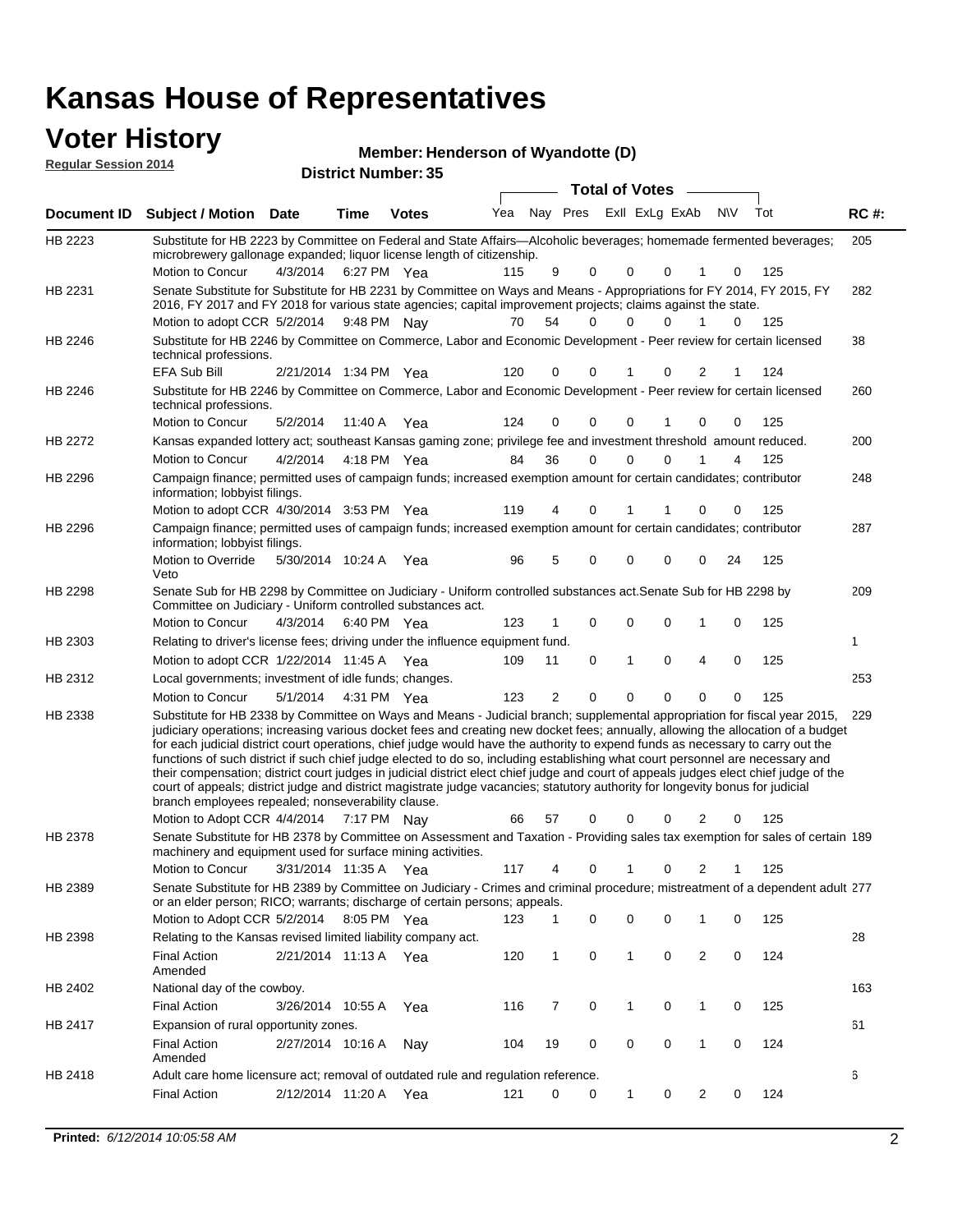### **Voter History**

| <b>Reqular Session 2014</b> |                                                                                                                                                                                                                                        |          |                                    |              | Member: Henderson of Wyandotte (D) |          |                       |                |          |          |          |     |             |
|-----------------------------|----------------------------------------------------------------------------------------------------------------------------------------------------------------------------------------------------------------------------------------|----------|------------------------------------|--------------|------------------------------------|----------|-----------------------|----------------|----------|----------|----------|-----|-------------|
| Document ID                 | <b>Subject / Motion Date</b>                                                                                                                                                                                                           |          | <b>District Number: 35</b><br>Time | <b>Votes</b> | Yea                                | Nav Pres | <b>Total of Votes</b> | ExII ExLg ExAb |          |          | N\V      | Tot | <b>RC#:</b> |
| HB 2223                     | Substitute for HB 2223 by Committee on Federal and State Affairs—Alcoholic beverages; homemade fermented beverages;                                                                                                                    |          |                                    |              |                                    |          |                       |                |          |          |          |     | 205         |
|                             | microbrewery gallonage expanded; liquor license length of citizenship.<br>Motion to Concur                                                                                                                                             |          | 4/3/2014 6:27 PM Yea               |              | 115                                | 9        | $\Omega$              | $\mathbf 0$    | $\Omega$ |          | $\Omega$ | 125 |             |
| HB 2231                     | Senate Substitute for Substitute for HB 2231 by Committee on Ways and Means - Appropriations for FY 2014, FY 2015, FY<br>2016, FY 2017 and FY 2018 for various state agencies; capital improvement projects; claims against the state. |          |                                    |              |                                    |          |                       |                |          |          |          |     | 282         |
|                             | Motion to adopt CCR 5/2/2014 9:48 PM Nay                                                                                                                                                                                               |          |                                    |              | 70                                 | 54       | 0                     | $\mathbf 0$    | 0        |          | $\Omega$ | 125 |             |
| HB 2246                     | Substitute for HB 2246 by Committee on Commerce, Labor and Economic Development - Peer review for certain licensed<br>technical professions.                                                                                           |          |                                    |              |                                    |          |                       |                |          |          |          |     | 38          |
|                             | EFA Sub Bill                                                                                                                                                                                                                           |          | 2/21/2014 1:34 PM Yea              |              | 120                                | $\Omega$ | $\Omega$              |                | $\Omega$ | 2        |          | 124 |             |
| HB 2246                     | Substitute for HB 2246 by Committee on Commerce, Labor and Economic Development - Peer review for certain licensed<br>technical professions.                                                                                           |          |                                    |              |                                    |          |                       |                |          |          |          |     | 260         |
|                             | Motion to Concur                                                                                                                                                                                                                       | 5/2/2014 | 11:40 A                            | Yea          | 124                                | $\Omega$ | $\Omega$              | $\Omega$       |          | $\Omega$ | 0        | 125 |             |
| HB 2272                     | Kansas expanded lottery act; southeast Kansas gaming zone; privilege fee and investment threshold amount reduced.                                                                                                                      |          |                                    |              |                                    |          |                       |                |          |          |          |     | 200         |
|                             | Motion to Concur                                                                                                                                                                                                                       | 4/2/2014 | 4:18 PM Yea                        |              | 84                                 | 36       | 0                     | $\Omega$       | 0        |          | 4        | 125 |             |

Motion to Concur Yea 125 4:18 PM 84 36 0 0 14 0 248 4/30/2014 Motion to adopt CCR Yea 125 3:53 PM 119 4 1 0 00 1 HB 2296 Campaign finance; permitted uses of campaign funds; increased exemption amount for certain candidates; contributor information; lobbyist filings. 287 Motion to Override 5/30/2014 10:24 A Yea 96 5 0 0 0 0 24 125 HB 2296 Veto Campaign finance; permitted uses of campaign funds; increased exemption amount for certain candidates; contributor information; lobbyist filings. 209 4/3/2014 HB 2298 Motion to Concur 4/3/2014 6:40 PM Yea 123 1 0 0 0 1 0 125 Senate Sub for HB 2298 by Committee on Judiciary - Uniform controlled substances act.Senate Sub for HB 2298 by Committee on Judiciary - Uniform controlled substances act. 6:40 PM Yea 1 1/22/2014 Motion to adopt CCR Yea 125 11:45 A 109 11 0 0 40 1 HB 2303 Relating to driver's license fees; driving under the influence equipment fund. 253 5/1/2014 Motion to Concur Yea 125 4:31 PM 123 2 0 0 00 0 HB 2312 Local governments; investment of idle funds; changes. Substitute for HB 2338 by Committee on Ways and Means - Judicial branch; supplemental appropriation for fiscal year 2015, 229 Motion to Adopt CCR 4/4/2014 7:17 PM Nay 66 57 0 0 0 2 0 125 HB 2338 judiciary operations; increasing various docket fees and creating new docket fees; annually, allowing the allocation of a budget for each judicial district court operations, chief judge would have the authority to expend funds as necessary to carry out the functions of such district if such chief judge elected to do so, including establishing what court personnel are necessary and their compensation; district court judges in judicial district elect chief judge and court of appeals judges elect chief judge of the court of appeals; district judge and district magistrate judge vacancies; statutory authority for longevity bonus for judicial branch employees repealed; nonseverability clause. 7:17 PM Nav 66 57 0 0 0 2 0 Senate Substitute for HB 2378 by Committee on Assessment and Taxation - Providing sales tax exemption for sales of certain 189 3/31/2014 Motion to Concur Yea 125 11:35 A 117 4 0 0 21 1 HB 2378 machinery and equipment used for surface mining activities. Senate Substitute for HB 2389 by Committee on Judiciary - Crimes and criminal procedure; mistreatment of a dependent adult 277 HB 2389 or an elder person; RICO; warrants; discharge of certain persons; appeals.

|                | or an older person, ruoo, warrants, alsonarge or certain persons, appeals.        |           |         |     |     |    |   |          |             |   |          |     |     |
|----------------|-----------------------------------------------------------------------------------|-----------|---------|-----|-----|----|---|----------|-------------|---|----------|-----|-----|
|                | Motion to Adopt CCR 5/2/2014                                                      |           | 8:05 PM | Yea | 123 |    | 0 | $\Omega$ | $\mathbf 0$ |   | 0        | 125 |     |
| HB 2398        | Relating to the Kansas revised limited liability company act.                     |           |         |     |     |    |   |          |             |   |          |     | 28  |
|                | Final Action<br>Amended                                                           | 2/21/2014 | 11:13 A | Yea | 120 |    | 0 |          | 0           | 2 | 0        | 124 |     |
| HB 2402        | National day of the cowboy.                                                       |           |         |     |     |    |   |          |             |   |          |     | 163 |
|                | Final Action                                                                      | 3/26/2014 | 10:55 A | Yea | 116 |    | 0 |          | 0           |   | 0        | 125 |     |
| <b>HB 2417</b> | Expansion of rural opportunity zones.                                             |           |         |     |     |    |   |          |             |   |          |     | 61  |
|                | <b>Final Action</b><br>Amended                                                    | 2/27/2014 | 10:16 A | Nav | 104 | 19 | 0 | $\Omega$ | $\Omega$    |   | $\Omega$ | 124 |     |
| HB 2418        | Adult care home licensure act; removal of outdated rule and regulation reference. |           |         |     |     |    |   |          |             |   |          |     | 6   |
|                | <b>Final Action</b>                                                               | 2/12/2014 | 11:20 A | Yea | 121 |    | 0 |          | 0           |   |          | 124 |     |
|                |                                                                                   |           |         |     |     |    |   |          |             |   |          |     |     |

#### **Henderson of Wyandotte (D)**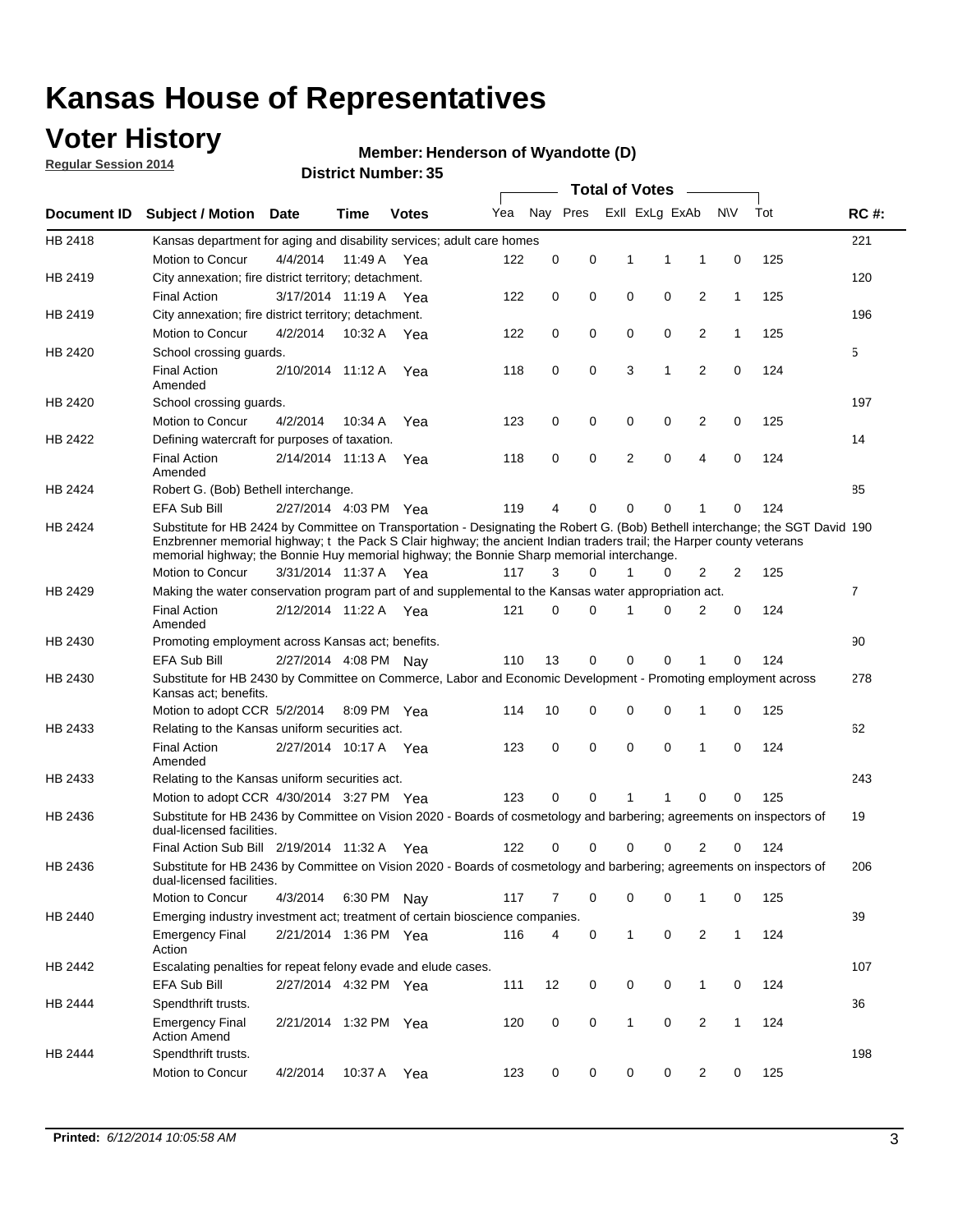### **Voter History**

**Regular Session 2014**

#### **Henderson of Wyandotte (D)**

|                    |                                                                                                                                                                                                                                                                                                                                                      |                       |             | DISTRICT MAILINGL, 99 |     |          |          |              | Total of Votes –        |                |              |     |                |
|--------------------|------------------------------------------------------------------------------------------------------------------------------------------------------------------------------------------------------------------------------------------------------------------------------------------------------------------------------------------------------|-----------------------|-------------|-----------------------|-----|----------|----------|--------------|-------------------------|----------------|--------------|-----|----------------|
| <b>Document ID</b> | <b>Subject / Motion</b>                                                                                                                                                                                                                                                                                                                              | Date                  | Time        | <b>Votes</b>          | Yea |          |          |              | Nay Pres ExII ExLg ExAb |                | <b>NV</b>    | Tot | <b>RC#:</b>    |
| HB 2418            | Kansas department for aging and disability services; adult care homes                                                                                                                                                                                                                                                                                |                       |             |                       |     |          |          |              |                         |                |              |     | 221            |
|                    | Motion to Concur                                                                                                                                                                                                                                                                                                                                     | 4/4/2014              | 11:49 A     | Yea                   | 122 | 0        | 0        | 1            | 1                       | 1              | 0            | 125 |                |
| HB 2419            | City annexation; fire district territory; detachment.                                                                                                                                                                                                                                                                                                |                       |             |                       |     |          |          |              |                         |                |              |     | 120            |
|                    | <b>Final Action</b>                                                                                                                                                                                                                                                                                                                                  | 3/17/2014 11:19 A     |             | Yea                   | 122 | 0        | 0        | 0            | 0                       | 2              | 1            | 125 |                |
| HB 2419            | City annexation; fire district territory; detachment.                                                                                                                                                                                                                                                                                                |                       |             |                       |     |          |          |              |                         |                |              |     | 196            |
|                    | Motion to Concur                                                                                                                                                                                                                                                                                                                                     | 4/2/2014              | 10:32 A     | Yea                   | 122 | 0        | 0        | 0            | 0                       | 2              | $\mathbf{1}$ | 125 |                |
| HB 2420            | School crossing guards.                                                                                                                                                                                                                                                                                                                              |                       |             |                       |     |          |          |              |                         |                |              |     | 5              |
|                    | <b>Final Action</b><br>Amended                                                                                                                                                                                                                                                                                                                       | 2/10/2014 11:12 A     |             | Yea                   | 118 | 0        | 0        | 3            | 1                       | $\overline{2}$ | 0            | 124 |                |
| HB 2420            | School crossing guards.                                                                                                                                                                                                                                                                                                                              |                       |             |                       |     |          |          |              |                         |                |              |     | 197            |
|                    | Motion to Concur                                                                                                                                                                                                                                                                                                                                     | 4/2/2014              | 10:34 A     | Yea                   | 123 | 0        | 0        | 0            | 0                       | 2              | 0            | 125 |                |
| HB 2422            | Defining watercraft for purposes of taxation.                                                                                                                                                                                                                                                                                                        |                       |             |                       |     |          |          |              |                         |                |              |     | 14             |
|                    | <b>Final Action</b><br>Amended                                                                                                                                                                                                                                                                                                                       | 2/14/2014 11:13 A     |             | Yea                   | 118 | 0        | 0        | 2            | 0                       | 4              | 0            | 124 |                |
| HB 2424            | Robert G. (Bob) Bethell interchange.                                                                                                                                                                                                                                                                                                                 |                       |             |                       |     |          |          |              |                         |                |              |     | 85             |
|                    | <b>EFA Sub Bill</b>                                                                                                                                                                                                                                                                                                                                  | 2/27/2014 4:03 PM Yea |             |                       | 119 | 4        | 0        | 0            | 0                       | 1              | 0            | 124 |                |
| HB 2424            | Substitute for HB 2424 by Committee on Transportation - Designating the Robert G. (Bob) Bethell interchange; the SGT David 190<br>Enzbrenner memorial highway; t the Pack S Clair highway; the ancient Indian traders trail; the Harper county veterans<br>memorial highway; the Bonnie Huy memorial highway; the Bonnie Sharp memorial interchange. |                       |             |                       |     |          |          |              |                         |                |              |     |                |
|                    | Motion to Concur                                                                                                                                                                                                                                                                                                                                     | 3/31/2014 11:37 A Yea |             |                       | 117 | 3        | $\Omega$ | 1            | 0                       | 2              | 2            | 125 |                |
| HB 2429            | Making the water conservation program part of and supplemental to the Kansas water appropriation act.                                                                                                                                                                                                                                                |                       |             |                       |     |          |          |              |                         |                |              |     | $\overline{7}$ |
|                    | <b>Final Action</b><br>Amended                                                                                                                                                                                                                                                                                                                       | 2/12/2014 11:22 A Yea |             |                       | 121 | $\Omega$ | 0        | 1            | 0                       | 2              | 0            | 124 |                |
| HB 2430            | Promoting employment across Kansas act; benefits.                                                                                                                                                                                                                                                                                                    |                       |             |                       |     |          |          |              |                         |                |              |     | 90             |
|                    | EFA Sub Bill                                                                                                                                                                                                                                                                                                                                         | 2/27/2014 4:08 PM Nav |             |                       | 110 | 13       | 0        | 0            | 0                       | 1              | 0            | 124 |                |
| HB 2430            | Substitute for HB 2430 by Committee on Commerce, Labor and Economic Development - Promoting employment across<br>Kansas act; benefits.                                                                                                                                                                                                               |                       |             |                       |     |          |          |              |                         |                |              |     | 278            |
|                    | Motion to adopt CCR 5/2/2014                                                                                                                                                                                                                                                                                                                         |                       | 8:09 PM Yea |                       | 114 | 10       | 0        | 0            | 0                       | 1              | 0            | 125 |                |
| HB 2433            | Relating to the Kansas uniform securities act.                                                                                                                                                                                                                                                                                                       |                       |             |                       |     |          |          |              |                         |                |              |     | 62             |
|                    | <b>Final Action</b><br>Amended                                                                                                                                                                                                                                                                                                                       | 2/27/2014 10:17 A Yea |             |                       | 123 | 0        | 0        | $\mathbf 0$  | 0                       | 1              | $\mathbf 0$  | 124 |                |
| HB 2433            | Relating to the Kansas uniform securities act.                                                                                                                                                                                                                                                                                                       |                       |             |                       |     |          |          |              |                         |                |              |     | 243            |
|                    | Motion to adopt CCR 4/30/2014 3:27 PM Yea                                                                                                                                                                                                                                                                                                            |                       |             |                       | 123 | $\Omega$ | $\Omega$ | 1            | 1                       | 0              | 0            | 125 |                |
| HB 2436            | Substitute for HB 2436 by Committee on Vision 2020 - Boards of cosmetology and barbering; agreements on inspectors of<br>dual-licensed facilities.                                                                                                                                                                                                   |                       |             |                       |     |          |          |              |                         |                |              |     | 19             |
|                    | Final Action Sub Bill 2/19/2014 11:32 A                                                                                                                                                                                                                                                                                                              |                       |             | Yea                   | 122 |          | 0        | 0            | 0                       | 2              | 0            | 124 |                |
| HB 2436            | Substitute for HB 2436 by Committee on Vision 2020 - Boards of cosmetology and barbering; agreements on inspectors of<br>dual-licensed facilities.                                                                                                                                                                                                   |                       |             |                       |     |          |          |              |                         |                |              |     | 206            |
|                    | Motion to Concur                                                                                                                                                                                                                                                                                                                                     | 4/3/2014              | 6:30 PM Nay |                       | 117 | 7        | 0        | 0            | 0                       | 1              | 0            | 125 |                |
| HB 2440            | Emerging industry investment act; treatment of certain bioscience companies.                                                                                                                                                                                                                                                                         |                       |             |                       |     |          |          |              |                         |                |              |     | 39             |
|                    | <b>Emergency Final</b><br>Action                                                                                                                                                                                                                                                                                                                     | 2/21/2014 1:36 PM Yea |             |                       | 116 | 4        | 0        | 1            | $\mathbf 0$             | 2              | $\mathbf{1}$ | 124 |                |
| HB 2442            | Escalating penalties for repeat felony evade and elude cases.                                                                                                                                                                                                                                                                                        |                       |             |                       |     |          |          |              |                         |                |              |     | 107            |
|                    | EFA Sub Bill                                                                                                                                                                                                                                                                                                                                         | 2/27/2014 4:32 PM Yea |             |                       | 111 | 12       | 0        | 0            | 0                       | $\mathbf{1}$   | 0            | 124 |                |
| HB 2444            | Spendthrift trusts.                                                                                                                                                                                                                                                                                                                                  |                       |             |                       |     |          |          |              |                         |                |              |     | 36             |
|                    | <b>Emergency Final</b><br><b>Action Amend</b>                                                                                                                                                                                                                                                                                                        | 2/21/2014 1:32 PM Yea |             |                       | 120 | 0        | 0        | $\mathbf{1}$ | 0                       | $\overline{c}$ | $\mathbf{1}$ | 124 |                |
| HB 2444            | Spendthrift trusts.<br>Motion to Concur                                                                                                                                                                                                                                                                                                              | 4/2/2014              | 10:37 A Yea |                       | 123 | 0        | 0        | 0            | 0                       | $\overline{2}$ | 0            | 125 | 198            |
|                    |                                                                                                                                                                                                                                                                                                                                                      |                       |             |                       |     |          |          |              |                         |                |              |     |                |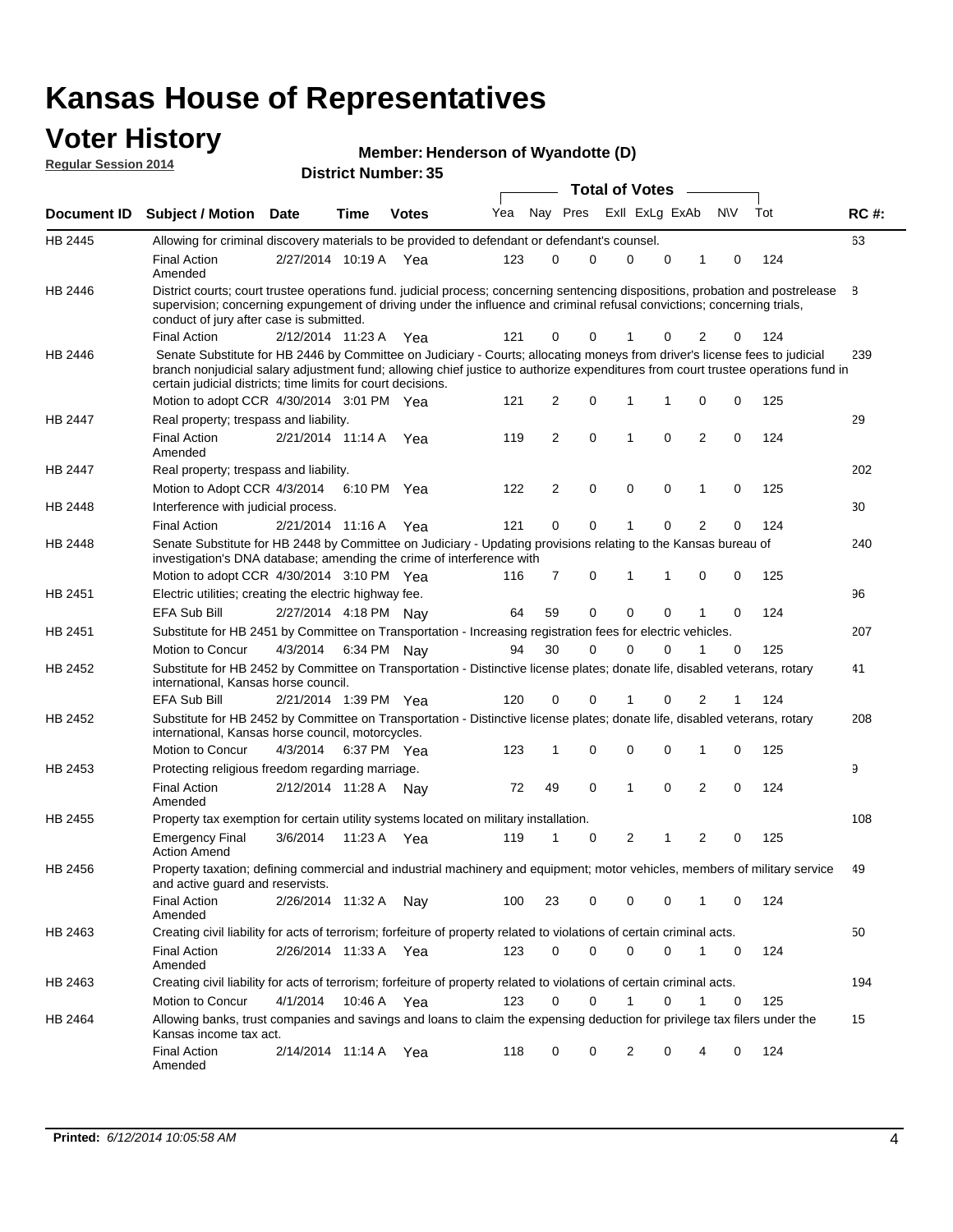#### **Voter History Regular Session 2014**

| Member: Henderson of Wyandotte (D) |  |  |
|------------------------------------|--|--|
|------------------------------------|--|--|

|                    |                                                                                                                                                                                                                                                                                                                                 |                       |             |              |     |    |                         | <b>Total of Votes</b> |   |                |             |     |             |
|--------------------|---------------------------------------------------------------------------------------------------------------------------------------------------------------------------------------------------------------------------------------------------------------------------------------------------------------------------------|-----------------------|-------------|--------------|-----|----|-------------------------|-----------------------|---|----------------|-------------|-----|-------------|
| <b>Document ID</b> | <b>Subject / Motion</b>                                                                                                                                                                                                                                                                                                         | <b>Date</b>           | Time        | <b>Votes</b> | Yea |    | Nay Pres ExII ExLg ExAb |                       |   |                | <b>NV</b>   | Tot | <b>RC#:</b> |
| HB 2445            | Allowing for criminal discovery materials to be provided to defendant or defendant's counsel.                                                                                                                                                                                                                                   |                       |             |              |     |    |                         |                       |   |                |             |     | 63          |
|                    | <b>Final Action</b><br>Amended                                                                                                                                                                                                                                                                                                  | 2/27/2014 10:19 A     |             | Yea          | 123 | 0  | $\Omega$                | $\Omega$              | 0 | 1              | 0           | 124 |             |
| HB 2446            | District courts; court trustee operations fund. judicial process; concerning sentencing dispositions, probation and postrelease<br>supervision; concerning expungement of driving under the influence and criminal refusal convictions; concerning trials,<br>conduct of jury after case is submitted.                          |                       |             |              |     |    |                         |                       |   |                |             |     | 8           |
|                    | <b>Final Action</b>                                                                                                                                                                                                                                                                                                             | 2/12/2014 11:23 A Yea |             |              | 121 | 0  | 0                       |                       | 0 | 2              | 0           | 124 |             |
| HB 2446            | Senate Substitute for HB 2446 by Committee on Judiciary - Courts; allocating moneys from driver's license fees to judicial<br>branch nonjudicial salary adjustment fund; allowing chief justice to authorize expenditures from court trustee operations fund in<br>certain judicial districts; time limits for court decisions. |                       |             |              |     |    |                         |                       |   |                |             |     | 239         |
|                    | Motion to adopt CCR 4/30/2014 3:01 PM Yea                                                                                                                                                                                                                                                                                       |                       |             |              | 121 | 2  | 0                       | 1                     |   | 0              | 0           | 125 |             |
| <b>HB 2447</b>     | Real property; trespass and liability.                                                                                                                                                                                                                                                                                          |                       |             |              |     |    |                         |                       |   |                |             |     | 29          |
|                    | <b>Final Action</b><br>Amended                                                                                                                                                                                                                                                                                                  | 2/21/2014 11:14 A     |             | Yea          | 119 | 2  | 0                       | 1                     | 0 | $\overline{2}$ | 0           | 124 |             |
| HB 2447            | Real property; trespass and liability.                                                                                                                                                                                                                                                                                          |                       |             |              |     |    |                         |                       |   |                |             |     | 202         |
|                    | Motion to Adopt CCR 4/3/2014                                                                                                                                                                                                                                                                                                    |                       | 6:10 PM Yea |              | 122 | 2  | 0                       | 0                     | 0 | 1              | 0           | 125 |             |
| <b>HB 2448</b>     | Interference with judicial process.                                                                                                                                                                                                                                                                                             |                       |             |              |     |    |                         |                       |   |                |             |     | 30          |
|                    | <b>Final Action</b>                                                                                                                                                                                                                                                                                                             | 2/21/2014 11:16 A Yea |             |              | 121 | 0  | 0                       | 1                     | 0 | $\overline{2}$ | 0           | 124 |             |
| HB 2448            | Senate Substitute for HB 2448 by Committee on Judiciary - Updating provisions relating to the Kansas bureau of<br>investigation's DNA database; amending the crime of interference with                                                                                                                                         |                       |             |              |     |    |                         |                       |   |                |             |     | 240         |
|                    | Motion to adopt CCR 4/30/2014 3:10 PM Yea                                                                                                                                                                                                                                                                                       |                       |             |              | 116 | 7  | 0                       | 1                     | 1 | 0              | 0           | 125 |             |
| HB 2451            | Electric utilities; creating the electric highway fee.                                                                                                                                                                                                                                                                          |                       |             |              |     |    |                         |                       |   |                |             |     | 96          |
|                    | EFA Sub Bill                                                                                                                                                                                                                                                                                                                    | 2/27/2014 4:18 PM Nay |             |              | 64  | 59 | 0                       | $\Omega$              | 0 |                | 0           | 124 |             |
| HB 2451            | Substitute for HB 2451 by Committee on Transportation - Increasing registration fees for electric vehicles.                                                                                                                                                                                                                     |                       |             |              |     |    |                         |                       |   |                |             |     | 207         |
|                    | Motion to Concur                                                                                                                                                                                                                                                                                                                | 4/3/2014              |             | 6:34 PM Nay  | 94  | 30 | 0                       | 0                     | 0 |                | 0           | 125 |             |
| HB 2452            | Substitute for HB 2452 by Committee on Transportation - Distinctive license plates; donate life, disabled veterans, rotary<br>international, Kansas horse council.                                                                                                                                                              |                       |             |              |     |    |                         |                       |   |                |             |     | 41          |
|                    | EFA Sub Bill                                                                                                                                                                                                                                                                                                                    | 2/21/2014 1:39 PM Yea |             |              | 120 | 0  | 0                       |                       | 0 | 2              | 1           | 124 |             |
| HB 2452            | Substitute for HB 2452 by Committee on Transportation - Distinctive license plates; donate life, disabled veterans, rotary<br>international, Kansas horse council, motorcycles.                                                                                                                                                 |                       |             |              |     |    |                         |                       |   |                |             |     | 208         |
|                    | Motion to Concur                                                                                                                                                                                                                                                                                                                | 4/3/2014              |             | 6:37 PM Yea  | 123 | 1  | 0                       | 0                     | 0 | 1              | 0           | 125 |             |
| HB 2453            | Protecting religious freedom regarding marriage.                                                                                                                                                                                                                                                                                |                       |             |              |     |    |                         |                       |   |                |             |     | 9           |
|                    | <b>Final Action</b><br>Amended                                                                                                                                                                                                                                                                                                  | 2/12/2014 11:28 A Nay |             |              | 72  | 49 | 0                       | 1                     | 0 | $\overline{2}$ | 0           | 124 |             |
| HB 2455            | Property tax exemption for certain utility systems located on military installation.                                                                                                                                                                                                                                            |                       |             |              |     |    |                         |                       |   |                |             |     | 108         |
|                    | <b>Emergency Final</b><br><b>Action Amend</b>                                                                                                                                                                                                                                                                                   | 3/6/2014              |             | 11:23 A Yea  | 119 | 1  | 0                       | 2                     | 1 | $\overline{2}$ | 0           | 125 |             |
| HB 2456            | Property taxation; defining commercial and industrial machinery and equipment; motor vehicles, members of military service<br>and active guard and reservists.                                                                                                                                                                  |                       |             |              |     |    |                         |                       |   |                |             |     | 49          |
|                    | <b>Final Action</b><br>Amended                                                                                                                                                                                                                                                                                                  | 2/26/2014 11:32 A Nay |             |              | 100 | 23 | 0                       | 0                     | 0 | 1              | 0           | 124 |             |
| HB 2463            | Creating civil liability for acts of terrorism; forfeiture of property related to violations of certain criminal acts.                                                                                                                                                                                                          |                       |             |              |     |    |                         |                       |   |                |             |     | 50          |
|                    | <b>Final Action</b><br>Amended                                                                                                                                                                                                                                                                                                  | 2/26/2014 11:33 A Yea |             |              | 123 | 0  | 0                       | 0                     | 0 | $\mathbf{1}$   | 0           | 124 |             |
| HB 2463            | Creating civil liability for acts of terrorism; forfeiture of property related to violations of certain criminal acts.                                                                                                                                                                                                          |                       |             |              |     |    |                         |                       |   |                |             |     | 194         |
|                    | Motion to Concur                                                                                                                                                                                                                                                                                                                | 4/1/2014              |             | 10:46 A Yea  | 123 | 0  | 0                       | 1                     | 0 | 1              | $\mathbf 0$ | 125 |             |
| HB 2464            | Allowing banks, trust companies and savings and loans to claim the expensing deduction for privilege tax filers under the<br>Kansas income tax act.                                                                                                                                                                             |                       |             |              |     |    |                         |                       |   |                |             |     | 15          |
|                    | <b>Final Action</b><br>Amended                                                                                                                                                                                                                                                                                                  | 2/14/2014 11:14 A Yea |             |              | 118 | 0  | 0                       | 2                     | 0 |                | 0           | 124 |             |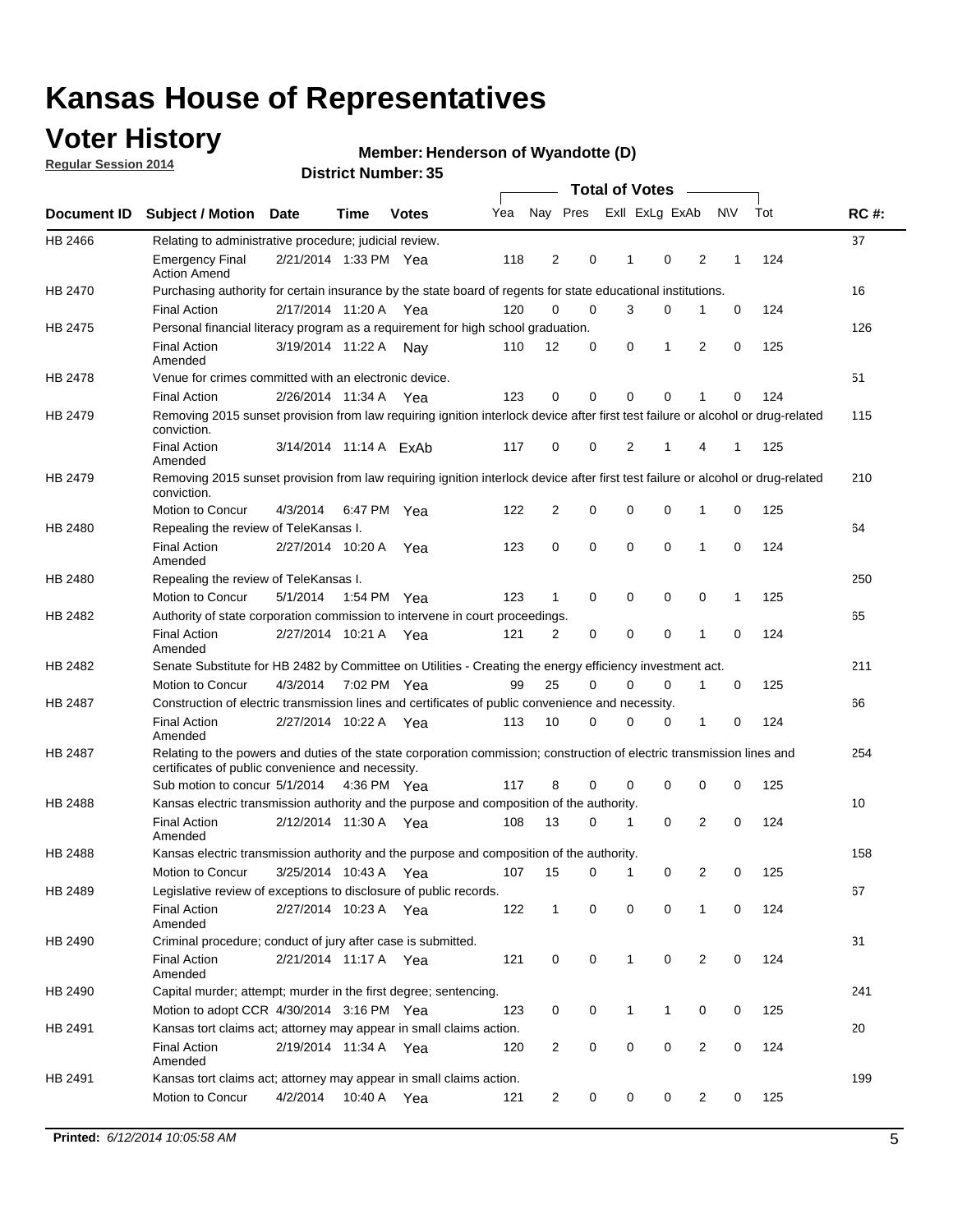### **Voter History**

**Regular Session 2014**

#### **Henderson of Wyandotte (D)**

|                |                                                                                                                                                                             |                        |             |              |     |                |             | <b>Total of Votes</b> |   |             |                |           |     |             |
|----------------|-----------------------------------------------------------------------------------------------------------------------------------------------------------------------------|------------------------|-------------|--------------|-----|----------------|-------------|-----------------------|---|-------------|----------------|-----------|-----|-------------|
|                | Document ID Subject / Motion Date                                                                                                                                           |                        | Time        | <b>Votes</b> | Yea | Nay Pres       |             | Exll ExLg ExAb        |   |             |                | <b>NV</b> | Tot | <b>RC#:</b> |
| <b>HB 2466</b> | Relating to administrative procedure; judicial review.                                                                                                                      |                        |             |              |     |                |             |                       |   |             |                |           |     | 37          |
|                | <b>Emergency Final</b><br><b>Action Amend</b>                                                                                                                               | 2/21/2014 1:33 PM Yea  |             |              | 118 | $\overline{2}$ | 0           | 1                     |   | $\mathbf 0$ | 2              | 1         | 124 |             |
| <b>HB 2470</b> | Purchasing authority for certain insurance by the state board of regents for state educational institutions.                                                                |                        |             |              |     |                |             |                       |   |             |                |           |     | 16          |
|                | <b>Final Action</b>                                                                                                                                                         | 2/17/2014 11:20 A Yea  |             |              | 120 | $\mathbf 0$    | $\mathbf 0$ |                       | 3 | 0           | 1              | 0         | 124 |             |
| HB 2475        | Personal financial literacy program as a requirement for high school graduation.                                                                                            |                        |             |              |     |                |             |                       |   |             |                |           |     | 126         |
|                | <b>Final Action</b><br>Amended                                                                                                                                              | 3/19/2014 11:22 A      |             | Nav          | 110 | 12             | 0           | 0                     |   | 1           | 2              | 0         | 125 |             |
| HB 2478        | Venue for crimes committed with an electronic device.                                                                                                                       |                        |             |              |     |                |             |                       |   |             |                |           |     | 51          |
|                | <b>Final Action</b>                                                                                                                                                         | 2/26/2014 11:34 A      |             | Yea          | 123 | $\mathbf 0$    | $\mathbf 0$ | $\Omega$              |   | $\mathbf 0$ | 1              | 0         | 124 |             |
| HB 2479        | Removing 2015 sunset provision from law requiring ignition interlock device after first test failure or alcohol or drug-related<br>conviction.                              |                        |             |              |     |                |             |                       |   |             |                |           |     | 115         |
|                | <b>Final Action</b><br>Amended                                                                                                                                              | 3/14/2014 11:14 A ExAb |             |              | 117 | 0              | 0           | 2                     |   | 1           | 4              | 1         | 125 |             |
| HB 2479        | Removing 2015 sunset provision from law requiring ignition interlock device after first test failure or alcohol or drug-related<br>conviction.                              |                        |             |              |     |                |             |                       |   |             |                |           |     | 210         |
|                | Motion to Concur                                                                                                                                                            | 4/3/2014               |             | 6:47 PM Yea  | 122 | $\overline{2}$ | 0           | 0                     |   | $\mathbf 0$ | 1              | 0         | 125 |             |
| HB 2480        | Repealing the review of TeleKansas I.                                                                                                                                       |                        |             |              |     |                |             |                       |   |             |                |           |     | 64          |
|                | <b>Final Action</b><br>Amended                                                                                                                                              | 2/27/2014 10:20 A      |             | Yea          | 123 | 0              | $\mathbf 0$ | $\mathbf 0$           |   | $\mathbf 0$ | 1              | 0         | 124 |             |
| HB 2480        | Repealing the review of TeleKansas I.                                                                                                                                       |                        |             |              |     |                |             |                       |   |             |                |           |     | 250         |
|                | Motion to Concur                                                                                                                                                            | 5/1/2014               | 1:54 PM Yea |              | 123 | 1              | $\mathbf 0$ | 0                     |   | $\mathbf 0$ | 0              | 1         | 125 |             |
| HB 2482        | Authority of state corporation commission to intervene in court proceedings.                                                                                                |                        |             |              |     |                |             |                       |   |             |                |           |     | 65          |
|                | <b>Final Action</b><br>Amended                                                                                                                                              | 2/27/2014 10:21 A      |             | Yea          | 121 | 2              | 0           | 0                     |   | $\mathbf 0$ | 1              | 0         | 124 |             |
| HB 2482        | Senate Substitute for HB 2482 by Committee on Utilities - Creating the energy efficiency investment act.                                                                    |                        |             |              |     |                |             |                       |   |             |                |           |     | 211         |
|                | Motion to Concur                                                                                                                                                            | 4/3/2014 7:02 PM Yea   |             |              | 99  | 25             | 0           | $\mathbf 0$           |   | 0           | 1              | 0         | 125 |             |
| HB 2487        | Construction of electric transmission lines and certificates of public convenience and necessity.                                                                           |                        |             |              |     |                |             |                       |   |             |                |           |     | 66          |
|                | <b>Final Action</b><br>Amended                                                                                                                                              | 2/27/2014 10:22 A Yea  |             |              | 113 | 10             | 0           | 0                     |   | 0           | 1              | 0         | 124 |             |
| HB 2487        | Relating to the powers and duties of the state corporation commission; construction of electric transmission lines and<br>certificates of public convenience and necessity. |                        |             |              |     |                |             |                       |   |             |                |           |     | 254         |
|                | Sub motion to concur 5/1/2014                                                                                                                                               |                        |             | 4:36 PM Yea  | 117 | 8              | 0           | $\Omega$              |   | $\mathbf 0$ | 0              | 0         | 125 |             |
| HB 2488        | Kansas electric transmission authority and the purpose and composition of the authority.                                                                                    |                        |             |              |     |                |             |                       |   |             |                |           |     | 10          |
|                | <b>Final Action</b><br>Amended                                                                                                                                              | 2/12/2014 11:30 A Yea  |             |              | 108 | 13             | 0           | 1                     |   | 0           | $\overline{2}$ | 0         | 124 |             |
| HB 2488        | Kansas electric transmission authority and the purpose and composition of the authority.                                                                                    |                        |             |              |     |                |             |                       |   |             |                |           |     | 158         |
|                | Motion to Concur                                                                                                                                                            | 3/25/2014 10:43 A      |             | Yea          | 107 | 15             | 0           | 1                     |   | 0           | 2              | 0         | 125 |             |
| HB 2489        | Legislative review of exceptions to disclosure of public records.                                                                                                           |                        |             |              |     |                |             |                       |   |             |                |           |     | 67          |
|                | <b>Final Action</b><br>Amended                                                                                                                                              | 2/27/2014 10:23 A Yea  |             |              | 122 | $\mathbf{1}$   | 0           | 0                     |   | 0           | 1              | 0         | 124 |             |
| HB 2490        | Criminal procedure; conduct of jury after case is submitted.                                                                                                                |                        |             |              |     |                |             |                       |   |             |                |           |     | 31          |
|                | <b>Final Action</b><br>Amended                                                                                                                                              | 2/21/2014 11:17 A Yea  |             |              | 121 | 0              | 0           | $\mathbf{1}$          |   | 0           | 2              | 0         | 124 |             |
| HB 2490        | Capital murder; attempt; murder in the first degree; sentencing.                                                                                                            |                        |             |              |     |                |             |                       |   |             |                |           |     | 241         |
|                | Motion to adopt CCR 4/30/2014 3:16 PM Yea                                                                                                                                   |                        |             |              | 123 | 0              | 0           | 1                     |   | 1           | 0              | 0         | 125 |             |
| HB 2491        | Kansas tort claims act; attorney may appear in small claims action.                                                                                                         |                        |             |              |     |                |             |                       |   |             |                |           |     | 20          |
|                | <b>Final Action</b><br>Amended                                                                                                                                              | 2/19/2014 11:34 A Yea  |             |              | 120 | 2              | 0           | 0                     |   | 0           | $\overline{2}$ | 0         | 124 |             |
| HB 2491        | Kansas tort claims act; attorney may appear in small claims action.                                                                                                         |                        |             |              |     |                |             |                       |   |             |                |           |     | 199         |
|                | Motion to Concur                                                                                                                                                            | 4/2/2014               |             | 10:40 A Yea  | 121 | $\overline{2}$ | 0           |                       | 0 | 0           | $\overline{2}$ | 0         | 125 |             |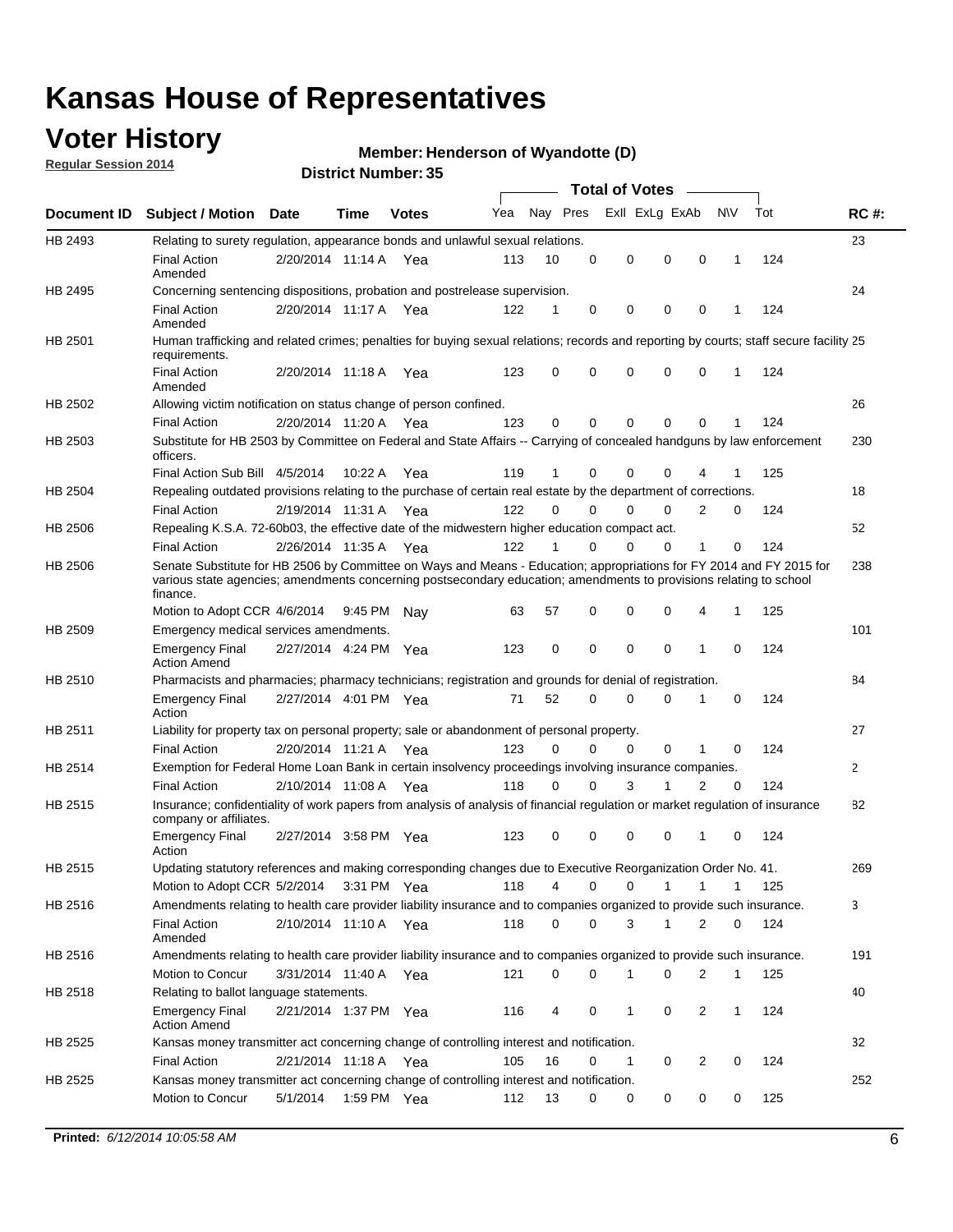### **Voter History**

**Regular Session 2014**

#### **Henderson of Wyandotte (D)**

|                    |                                                                                                                                                                                                                                                        |                       |             |              |     |          |          | <b>Total of Votes</b> |              |                |              |     |              |
|--------------------|--------------------------------------------------------------------------------------------------------------------------------------------------------------------------------------------------------------------------------------------------------|-----------------------|-------------|--------------|-----|----------|----------|-----------------------|--------------|----------------|--------------|-----|--------------|
| <b>Document ID</b> | <b>Subject / Motion Date</b>                                                                                                                                                                                                                           |                       | Time        | <b>Votes</b> | Yea | Nay Pres |          | Exll ExLg ExAb        |              |                | <b>NV</b>    | Tot | <b>RC#:</b>  |
| HB 2493            | Relating to surety regulation, appearance bonds and unlawful sexual relations.                                                                                                                                                                         |                       |             |              |     |          |          |                       |              |                |              |     | 23           |
|                    | <b>Final Action</b><br>Amended                                                                                                                                                                                                                         | 2/20/2014 11:14 A     |             | Yea          | 113 | 10       | 0        | 0                     | $\mathbf 0$  | 0              | $\mathbf 1$  | 124 |              |
| HB 2495            | Concerning sentencing dispositions, probation and postrelease supervision.                                                                                                                                                                             |                       |             |              |     |          |          |                       |              |                |              |     | 24           |
|                    | <b>Final Action</b><br>Amended                                                                                                                                                                                                                         | 2/20/2014 11:17 A Yea |             |              | 122 | 1        | 0        | 0                     | $\mathbf 0$  | $\mathbf 0$    | -1           | 124 |              |
| HB 2501            | Human trafficking and related crimes; penalties for buying sexual relations; records and reporting by courts; staff secure facility 25<br>requirements.                                                                                                |                       |             |              |     |          |          |                       |              |                |              |     |              |
|                    | <b>Final Action</b><br>Amended                                                                                                                                                                                                                         | 2/20/2014 11:18 A Yea |             |              | 123 | $\Omega$ | 0        | 0                     | $\Omega$     | $\mathbf 0$    | 1            | 124 |              |
| HB 2502            | Allowing victim notification on status change of person confined.                                                                                                                                                                                      |                       |             |              |     |          |          |                       |              |                |              |     | 26           |
|                    | <b>Final Action</b>                                                                                                                                                                                                                                    | 2/20/2014 11:20 A Yea |             |              | 123 | $\Omega$ | 0        | $\mathbf{0}$          | $\Omega$     | $\Omega$       |              | 124 |              |
| HB 2503            | Substitute for HB 2503 by Committee on Federal and State Affairs -- Carrying of concealed handguns by law enforcement<br>officers.                                                                                                                     |                       |             |              |     |          |          |                       |              |                |              |     | 230          |
|                    | Final Action Sub Bill 4/5/2014                                                                                                                                                                                                                         |                       | 10:22 A     | Yea          | 119 |          | 0        | 0                     | 0            | 4              |              | 125 |              |
| HB 2504            | Repealing outdated provisions relating to the purchase of certain real estate by the department of corrections.                                                                                                                                        |                       |             |              |     |          |          |                       |              |                |              |     | 18           |
|                    | <b>Final Action</b>                                                                                                                                                                                                                                    | 2/19/2014 11:31 A Yea |             |              | 122 | $\Omega$ | $\Omega$ | 0                     | $\mathbf{0}$ | $\overline{2}$ | 0            | 124 |              |
| HB 2506            | Repealing K.S.A. 72-60b03, the effective date of the midwestern higher education compact act.                                                                                                                                                          |                       |             |              |     |          |          |                       |              |                |              |     | 52           |
|                    | <b>Final Action</b>                                                                                                                                                                                                                                    | 2/26/2014 11:35 A Yea |             |              | 122 |          | $\Omega$ | 0                     | 0            | 1              | 0            | 124 |              |
| HB 2506            | Senate Substitute for HB 2506 by Committee on Ways and Means - Education; appropriations for FY 2014 and FY 2015 for<br>various state agencies; amendments concerning postsecondary education; amendments to provisions relating to school<br>finance. |                       |             |              |     |          |          |                       |              |                |              |     | 238          |
|                    | Motion to Adopt CCR 4/6/2014                                                                                                                                                                                                                           |                       | 9:45 PM Nav |              | 63  | 57       | 0        | 0                     | 0            | 4              | -1           | 125 |              |
| HB 2509            | Emergency medical services amendments.                                                                                                                                                                                                                 |                       |             |              |     |          |          |                       |              |                |              |     | 101          |
|                    | Emergency Final<br><b>Action Amend</b>                                                                                                                                                                                                                 | 2/27/2014 4:24 PM Yea |             |              | 123 | 0        | 0        | $\mathbf 0$           | 0            | 1              | 0            | 124 |              |
| HB 2510            | Pharmacists and pharmacies; pharmacy technicians; registration and grounds for denial of registration.                                                                                                                                                 |                       |             |              |     |          |          |                       |              |                |              |     | 84           |
|                    | <b>Emergency Final</b><br>Action                                                                                                                                                                                                                       | 2/27/2014 4:01 PM Yea |             |              | 71  | 52       | 0        | 0                     | 0            | 1              | 0            | 124 |              |
| HB 2511            | Liability for property tax on personal property; sale or abandonment of personal property.                                                                                                                                                             |                       |             |              |     |          |          |                       |              |                |              |     | 27           |
|                    | <b>Final Action</b>                                                                                                                                                                                                                                    | 2/20/2014 11:21 A     |             | Yea          | 123 | $\Omega$ | $\Omega$ | 0                     | 0            | 1              | 0            | 124 |              |
| HB 2514            | Exemption for Federal Home Loan Bank in certain insolvency proceedings involving insurance companies.                                                                                                                                                  |                       |             |              |     |          |          |                       |              |                |              |     | $\mathbf{2}$ |
|                    | <b>Final Action</b>                                                                                                                                                                                                                                    | 2/10/2014 11:08 A     |             | Yea          | 118 | $\Omega$ | $\Omega$ | 3                     | 1            | 2              | $\mathbf 0$  | 124 |              |
| HB 2515            | Insurance; confidentiality of work papers from analysis of analysis of financial regulation or market regulation of insurance<br>company or affiliates.                                                                                                |                       |             |              |     |          |          |                       |              |                |              |     | 82           |
|                    | <b>Emergency Final</b><br>Action                                                                                                                                                                                                                       | 2/27/2014 3:58 PM Yea |             |              | 123 | 0        | 0        | 0                     | 0            | 1              | 0            | 124 |              |
| HB 2515            | Updating statutory references and making corresponding changes due to Executive Reorganization Order No. 41.                                                                                                                                           |                       |             |              |     |          |          |                       |              |                |              |     | 269          |
|                    | Motion to Adopt CCR 5/2/2014 3:31 PM Yea                                                                                                                                                                                                               |                       |             |              | 118 | 4        | 0        | 0                     | $\mathbf{1}$ | $\mathbf{1}$   | $\mathbf{1}$ | 125 |              |
| HB 2516            | Amendments relating to health care provider liability insurance and to companies organized to provide such insurance.                                                                                                                                  |                       |             |              |     |          |          |                       |              |                |              |     | 3            |
|                    | <b>Final Action</b><br>Amended                                                                                                                                                                                                                         | 2/10/2014 11:10 A Yea |             |              | 118 | 0        | 0        | 3                     | 1            | 2              | 0            | 124 |              |
| HB 2516            | Amendments relating to health care provider liability insurance and to companies organized to provide such insurance.                                                                                                                                  |                       |             |              |     |          |          |                       |              |                |              |     | 191          |
|                    | Motion to Concur                                                                                                                                                                                                                                       | 3/31/2014 11:40 A Yea |             |              | 121 | 0        | 0        | 1                     | 0            | 2              | $\mathbf{1}$ | 125 |              |
| HB 2518            | Relating to ballot language statements.                                                                                                                                                                                                                |                       |             |              |     |          |          |                       |              |                |              |     | 40           |
|                    | Emergency Final<br><b>Action Amend</b>                                                                                                                                                                                                                 | 2/21/2014 1:37 PM Yea |             |              | 116 | 4        | 0        | 1                     | 0            | 2              | 1            | 124 |              |
| HB 2525            | Kansas money transmitter act concerning change of controlling interest and notification.                                                                                                                                                               |                       |             |              |     |          |          |                       |              |                |              |     | 32           |
|                    | <b>Final Action</b>                                                                                                                                                                                                                                    | 2/21/2014 11:18 A Yea |             |              | 105 | 16       | 0        | $\mathbf{1}$          | 0            | 2              | 0            | 124 |              |
| HB 2525            | Kansas money transmitter act concerning change of controlling interest and notification.                                                                                                                                                               |                       |             |              |     |          |          |                       |              |                |              |     | 252          |
|                    | Motion to Concur                                                                                                                                                                                                                                       | 5/1/2014              |             | 1:59 PM Yea  | 112 | 13       | 0        | 0                     | 0            | 0              | 0            | 125 |              |
|                    |                                                                                                                                                                                                                                                        |                       |             |              |     |          |          |                       |              |                |              |     |              |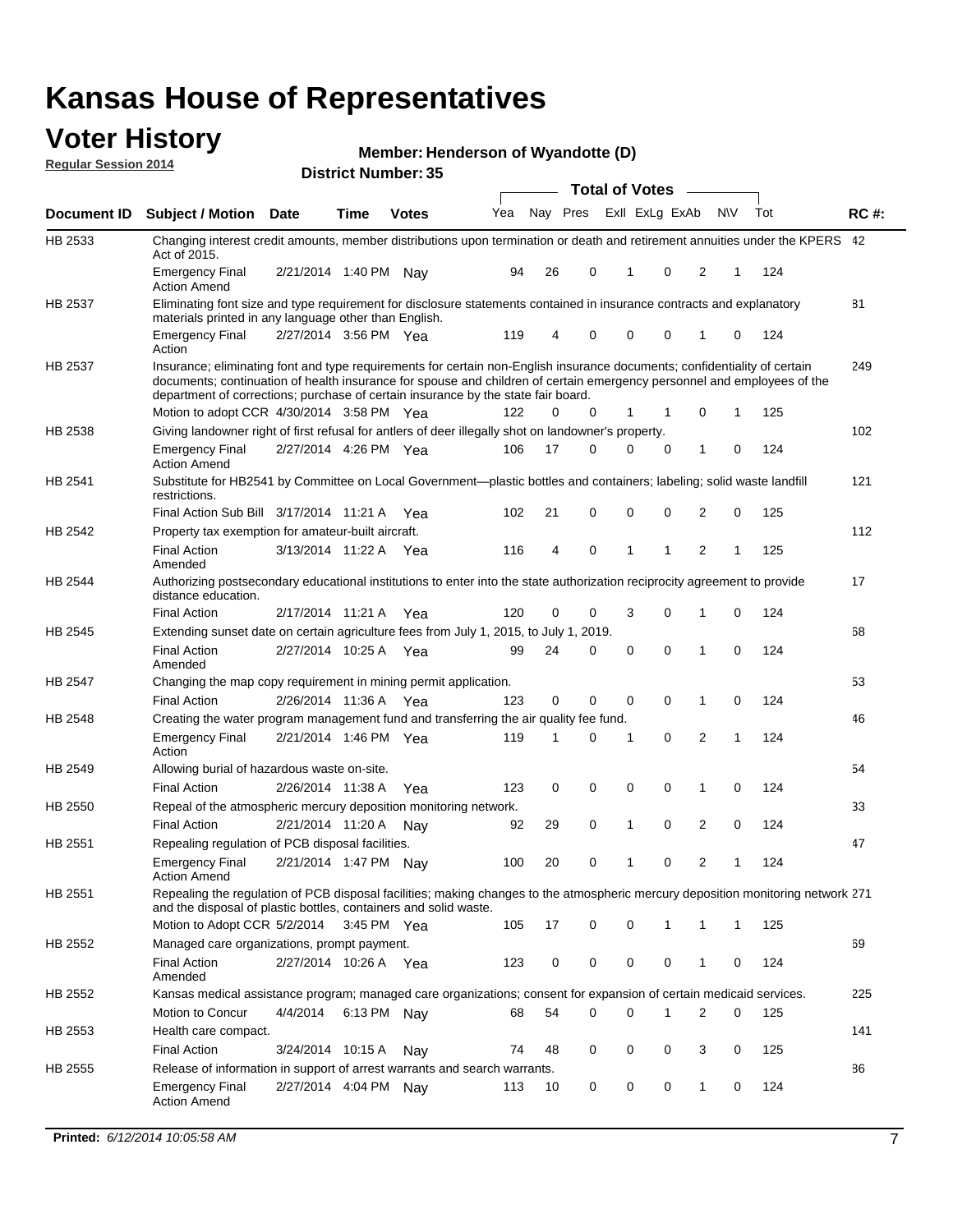#### **Voter History Regular Session 2014**

**Henderson of Wyandotte (D)**

|                    |                                                                                                                                                                                                                                                                                                                                           |                       |             | DISTILICI MUIIIDEL 39 |     |    |             | <b>Total of Votes</b> |                |                |     |     |             |
|--------------------|-------------------------------------------------------------------------------------------------------------------------------------------------------------------------------------------------------------------------------------------------------------------------------------------------------------------------------------------|-----------------------|-------------|-----------------------|-----|----|-------------|-----------------------|----------------|----------------|-----|-----|-------------|
| <b>Document ID</b> | <b>Subject / Motion</b>                                                                                                                                                                                                                                                                                                                   | <b>Date</b>           | Time        | <b>Votes</b>          | Yea |    | Nay Pres    |                       | Exll ExLg ExAb |                | N\V | Tot | <b>RC#:</b> |
| HB 2533            | Changing interest credit amounts, member distributions upon termination or death and retirement annuities under the KPERS 42<br>Act of 2015.                                                                                                                                                                                              |                       |             |                       |     |    |             |                       |                |                |     |     |             |
|                    | <b>Emergency Final</b><br><b>Action Amend</b>                                                                                                                                                                                                                                                                                             | 2/21/2014 1:40 PM     |             | Nav                   | 94  | 26 | 0           | 1                     | 0              | 2              | 1   | 124 |             |
| HB 2537            | Eliminating font size and type requirement for disclosure statements contained in insurance contracts and explanatory<br>materials printed in any language other than English.                                                                                                                                                            |                       |             |                       |     |    |             |                       |                |                |     |     | 81          |
|                    | <b>Emergency Final</b><br>Action                                                                                                                                                                                                                                                                                                          | 2/27/2014 3:56 PM Yea |             |                       | 119 | 4  | 0           | $\mathbf 0$           | $\mathbf 0$    | 1              | 0   | 124 |             |
| HB 2537            | Insurance; eliminating font and type requirements for certain non-English insurance documents; confidentiality of certain<br>documents; continuation of health insurance for spouse and children of certain emergency personnel and employees of the<br>department of corrections; purchase of certain insurance by the state fair board. |                       |             |                       |     |    |             |                       |                |                |     |     | 249         |
|                    | Motion to adopt CCR 4/30/2014 3:58 PM Yea                                                                                                                                                                                                                                                                                                 |                       |             |                       | 122 | 0  | 0           | 1                     | 1              | 0              | 1   | 125 |             |
| HB 2538            | Giving landowner right of first refusal for antlers of deer illegally shot on landowner's property.                                                                                                                                                                                                                                       |                       |             |                       |     |    |             |                       |                |                |     |     | 102         |
|                    | <b>Emergency Final</b><br><b>Action Amend</b>                                                                                                                                                                                                                                                                                             | 2/27/2014 4:26 PM Yea |             |                       | 106 | 17 | 0           | $\mathbf 0$           | 0              | 1              | 0   | 124 |             |
| HB 2541            | Substitute for HB2541 by Committee on Local Government—plastic bottles and containers; labeling; solid waste landfill<br>restrictions.                                                                                                                                                                                                    |                       |             |                       |     |    |             |                       |                |                |     |     | 121         |
|                    | Final Action Sub Bill 3/17/2014 11:21 A Yea                                                                                                                                                                                                                                                                                               |                       |             |                       | 102 | 21 | 0           | $\mathbf 0$           | 0              | 2              | 0   | 125 |             |
| HB 2542            | Property tax exemption for amateur-built aircraft.                                                                                                                                                                                                                                                                                        |                       |             |                       |     |    |             |                       |                |                |     |     | 112         |
|                    | <b>Final Action</b><br>Amended                                                                                                                                                                                                                                                                                                            | 3/13/2014 11:22 A Yea |             |                       | 116 | 4  | $\mathbf 0$ | $\mathbf{1}$          | 1              | $\overline{2}$ | 1   | 125 |             |
| <b>HB 2544</b>     | Authorizing postsecondary educational institutions to enter into the state authorization reciprocity agreement to provide<br>distance education.                                                                                                                                                                                          |                       |             |                       |     |    |             |                       |                |                |     |     | 17          |
|                    | <b>Final Action</b>                                                                                                                                                                                                                                                                                                                       | 2/17/2014 11:21 A Yea |             |                       | 120 | 0  | 0           | 3                     | 0              | 1              | 0   | 124 |             |
| HB 2545            | Extending sunset date on certain agriculture fees from July 1, 2015, to July 1, 2019.                                                                                                                                                                                                                                                     |                       |             |                       |     |    |             |                       |                |                |     |     | 68          |
|                    | <b>Final Action</b><br>Amended                                                                                                                                                                                                                                                                                                            | 2/27/2014 10:25 A Yea |             |                       | 99  | 24 | 0           | $\mathbf 0$           | $\Omega$       | 1              | 0   | 124 |             |
| HB 2547            | Changing the map copy requirement in mining permit application.                                                                                                                                                                                                                                                                           |                       |             |                       |     |    |             |                       |                |                |     |     | 53          |
|                    | <b>Final Action</b>                                                                                                                                                                                                                                                                                                                       | 2/26/2014 11:36 A     |             | Yea                   | 123 | 0  | 0           | 0                     | 0              | 1              | 0   | 124 |             |
| HB 2548            | Creating the water program management fund and transferring the air quality fee fund.                                                                                                                                                                                                                                                     |                       |             |                       |     |    |             |                       |                |                |     |     | 46          |
|                    | <b>Emergency Final</b><br>Action                                                                                                                                                                                                                                                                                                          | 2/21/2014 1:46 PM Yea |             |                       | 119 | 1  | 0           | 1                     | $\mathbf 0$    | 2              | 1   | 124 |             |
| HB 2549            | Allowing burial of hazardous waste on-site.                                                                                                                                                                                                                                                                                               |                       |             |                       |     |    |             |                       |                |                |     |     | 54          |
|                    | <b>Final Action</b>                                                                                                                                                                                                                                                                                                                       | 2/26/2014 11:38 A     |             | Yea                   | 123 | 0  | 0           | $\mathbf 0$           | 0              | 1              | 0   | 124 |             |
| HB 2550            | Repeal of the atmospheric mercury deposition monitoring network.                                                                                                                                                                                                                                                                          |                       |             |                       |     |    |             |                       |                |                |     |     | 33          |
|                    | <b>Final Action</b>                                                                                                                                                                                                                                                                                                                       | 2/21/2014 11:20 A     |             | Nav                   | 92  | 29 | 0           | 1                     | $\mathbf 0$    | 2              | 0   | 124 |             |
| HB 2551            | Repealing regulation of PCB disposal facilities.                                                                                                                                                                                                                                                                                          |                       |             |                       |     |    |             |                       |                |                |     |     | 47          |
|                    | <b>Emergency Final</b><br><b>Action Amend</b>                                                                                                                                                                                                                                                                                             | 2/21/2014 1:47 PM Nay |             |                       | 100 | 20 | 0           | 1                     | 0              | 2              | 1   | 124 |             |
| HB 2551            | Repealing the regulation of PCB disposal facilities; making changes to the atmospheric mercury deposition monitoring network 271<br>and the disposal of plastic bottles, containers and solid waste.                                                                                                                                      |                       |             |                       |     |    |             |                       |                |                |     |     |             |
|                    | Motion to Adopt CCR 5/2/2014                                                                                                                                                                                                                                                                                                              |                       | 3:45 PM Yea |                       | 105 | 17 | 0           | $\mathbf 0$           | 1              | 1              | 1   | 125 |             |
| HB 2552            | Managed care organizations, prompt payment.                                                                                                                                                                                                                                                                                               |                       |             |                       |     |    |             |                       |                |                |     |     | 69          |
|                    | <b>Final Action</b><br>Amended                                                                                                                                                                                                                                                                                                            | 2/27/2014 10:26 A Yea |             |                       | 123 | 0  | 0           | 0                     | 0              | 1              | 0   | 124 |             |
| HB 2552            | Kansas medical assistance program; managed care organizations; consent for expansion of certain medicaid services.                                                                                                                                                                                                                        |                       |             |                       |     |    |             |                       |                |                |     |     | 225         |
|                    | Motion to Concur                                                                                                                                                                                                                                                                                                                          | 4/4/2014              | 6:13 PM Nay |                       | 68  | 54 | 0           | $\mathbf 0$           | 1              | 2              | 0   | 125 |             |
| HB 2553            | Health care compact.                                                                                                                                                                                                                                                                                                                      |                       |             |                       |     |    |             |                       |                |                |     |     | 141         |
|                    | <b>Final Action</b>                                                                                                                                                                                                                                                                                                                       | 3/24/2014 10:15 A     |             | Nay                   | 74  | 48 | 0           | 0                     | 0              | 3              | 0   | 125 |             |
| HB 2555            | Release of information in support of arrest warrants and search warrants.                                                                                                                                                                                                                                                                 |                       |             |                       |     |    |             |                       |                |                |     |     | 86          |
|                    | <b>Emergency Final</b><br><b>Action Amend</b>                                                                                                                                                                                                                                                                                             | 2/27/2014 4:04 PM Nay |             |                       | 113 | 10 | 0           | 0                     | 0              | $\mathbf{1}$   | 0   | 124 |             |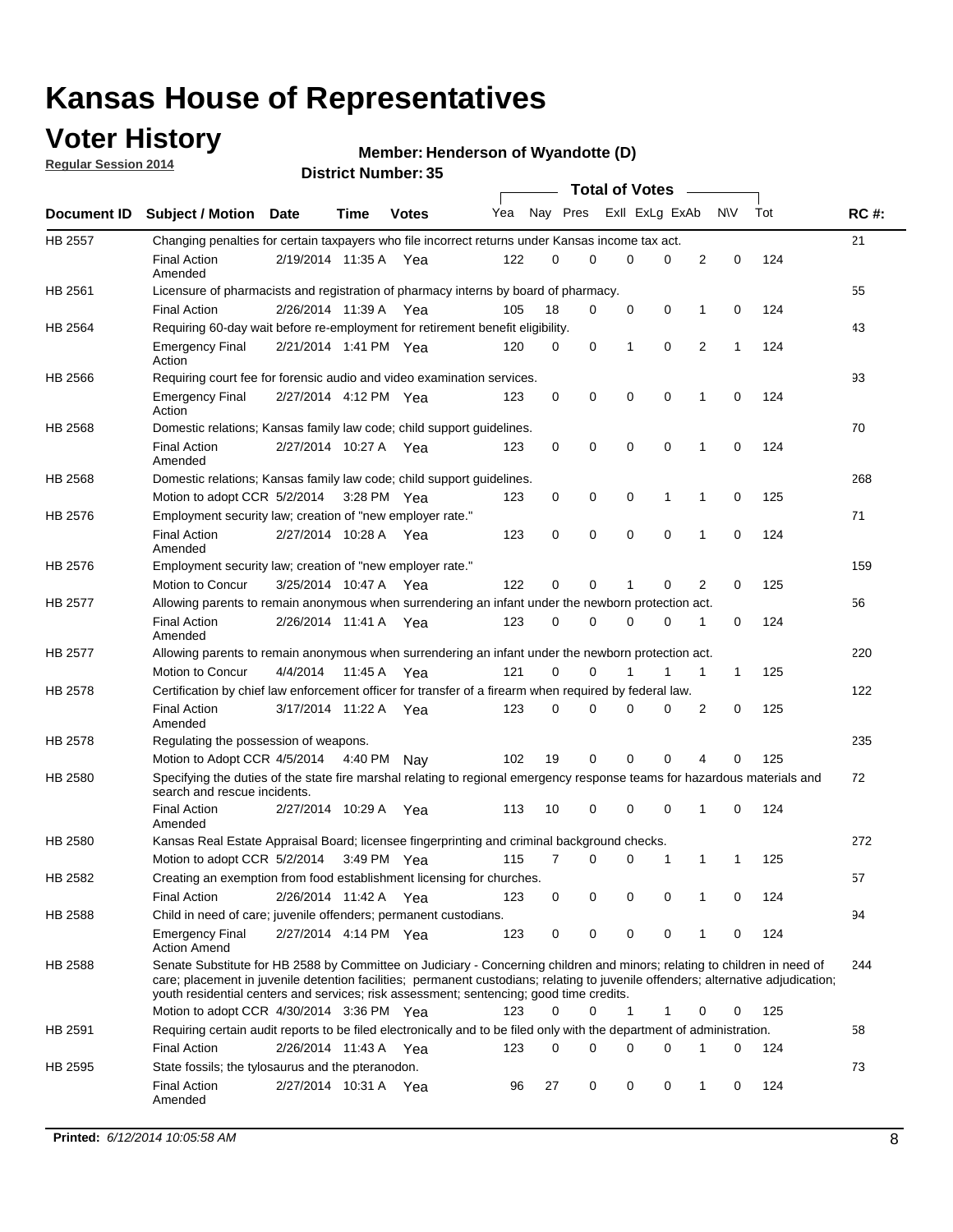### **Voter History**

**Regular Session 2014**

#### **Henderson of Wyandotte (D)**

|                |                                                                                                                                                                                                                                                                                                                                                           |                       |             | DISTRICT MAILINGL, 99 |     |          |          |              | <b>Total of Votes</b> |              |              |     |             |
|----------------|-----------------------------------------------------------------------------------------------------------------------------------------------------------------------------------------------------------------------------------------------------------------------------------------------------------------------------------------------------------|-----------------------|-------------|-----------------------|-----|----------|----------|--------------|-----------------------|--------------|--------------|-----|-------------|
|                | Document ID Subject / Motion Date                                                                                                                                                                                                                                                                                                                         |                       | <b>Time</b> | <b>Votes</b>          | Yea |          | Nay Pres |              | Exll ExLg ExAb        |              | <b>NV</b>    | Tot | <b>RC#:</b> |
| <b>HB 2557</b> | Changing penalties for certain taxpayers who file incorrect returns under Kansas income tax act.                                                                                                                                                                                                                                                          |                       |             |                       |     |          |          |              |                       |              |              |     | 21          |
|                | <b>Final Action</b><br>Amended                                                                                                                                                                                                                                                                                                                            | 2/19/2014 11:35 A Yea |             |                       | 122 | 0        | 0        |              | $\Omega$<br>0         | 2            | $\mathbf 0$  | 124 |             |
| HB 2561        | Licensure of pharmacists and registration of pharmacy interns by board of pharmacy.                                                                                                                                                                                                                                                                       |                       |             |                       |     |          |          |              |                       |              |              |     | 55          |
|                | <b>Final Action</b>                                                                                                                                                                                                                                                                                                                                       | 2/26/2014 11:39 A     |             | Yea                   | 105 | 18       | 0        |              | 0<br>0                | 1            | 0            | 124 |             |
| HB 2564        | Requiring 60-day wait before re-employment for retirement benefit eligibility.                                                                                                                                                                                                                                                                            |                       |             |                       |     |          |          |              |                       |              |              |     | 43          |
|                | <b>Emergency Final</b><br>Action                                                                                                                                                                                                                                                                                                                          | 2/21/2014 1:41 PM Yea |             |                       | 120 | 0        | 0        | 1            | 0                     | 2            | $\mathbf{1}$ | 124 |             |
| HB 2566        | Requiring court fee for forensic audio and video examination services.                                                                                                                                                                                                                                                                                    |                       |             |                       |     |          |          |              |                       |              |              |     | 93          |
|                | <b>Emergency Final</b><br>Action                                                                                                                                                                                                                                                                                                                          | 2/27/2014 4:12 PM Yea |             |                       | 123 | 0        | 0        |              | 0<br>$\mathbf 0$      | 1            | 0            | 124 |             |
| HB 2568        | Domestic relations; Kansas family law code; child support guidelines.                                                                                                                                                                                                                                                                                     |                       |             |                       |     |          |          |              |                       |              |              |     | 70          |
|                | <b>Final Action</b><br>Amended                                                                                                                                                                                                                                                                                                                            | 2/27/2014 10:27 A Yea |             |                       | 123 | 0        | 0        |              | 0<br>0                | $\mathbf{1}$ | 0            | 124 |             |
| HB 2568        | Domestic relations; Kansas family law code; child support guidelines.                                                                                                                                                                                                                                                                                     |                       |             |                       |     |          |          |              |                       |              |              |     | 268         |
|                | Motion to adopt CCR 5/2/2014                                                                                                                                                                                                                                                                                                                              |                       | 3:28 PM Yea |                       | 123 | 0        | 0        | 0            | 1                     | 1            | 0            | 125 |             |
| HB 2576        | Employment security law; creation of "new employer rate."                                                                                                                                                                                                                                                                                                 |                       |             |                       |     |          |          |              |                       |              |              |     | 71          |
|                | <b>Final Action</b><br>Amended                                                                                                                                                                                                                                                                                                                            | 2/27/2014 10:28 A     |             | Yea                   | 123 | 0        | 0        |              | 0<br>$\mathbf 0$      | 1            | $\mathbf 0$  | 124 |             |
| HB 2576        | Employment security law; creation of "new employer rate."                                                                                                                                                                                                                                                                                                 |                       |             |                       |     |          |          |              |                       |              |              |     | 159         |
|                | Motion to Concur                                                                                                                                                                                                                                                                                                                                          | 3/25/2014 10:47 A     |             | Yea                   | 122 | 0        | 0        | 1            | 0                     | 2            | 0            | 125 |             |
| <b>HB 2577</b> | Allowing parents to remain anonymous when surrendering an infant under the newborn protection act.                                                                                                                                                                                                                                                        |                       |             |                       |     |          |          |              |                       |              |              |     | 56          |
|                | <b>Final Action</b><br>Amended                                                                                                                                                                                                                                                                                                                            | 2/26/2014 11:41 A Yea |             |                       | 123 | 0        | 0        |              | 0<br>0                | 1            | 0            | 124 |             |
| HB 2577        | Allowing parents to remain anonymous when surrendering an infant under the newborn protection act.                                                                                                                                                                                                                                                        |                       |             |                       |     |          |          |              |                       |              |              |     | 220         |
|                | Motion to Concur                                                                                                                                                                                                                                                                                                                                          | 4/4/2014              | 11:45 A     | Yea                   | 121 | $\Omega$ | 0        |              | 1                     | 1            | $\mathbf{1}$ | 125 |             |
| HB 2578        | Certification by chief law enforcement officer for transfer of a firearm when required by federal law.                                                                                                                                                                                                                                                    |                       |             |                       |     |          |          |              |                       |              |              |     | 122         |
|                | <b>Final Action</b><br>Amended                                                                                                                                                                                                                                                                                                                            | 3/17/2014 11:22 A Yea |             |                       | 123 | 0        | 0        |              | 0<br>$\Omega$         | 2            | 0            | 125 |             |
| HB 2578        | Regulating the possession of weapons.                                                                                                                                                                                                                                                                                                                     |                       |             |                       |     |          |          |              |                       |              |              |     | 235         |
|                | Motion to Adopt CCR 4/5/2014 4:40 PM Nay                                                                                                                                                                                                                                                                                                                  |                       |             |                       | 102 | 19       | 0        | $\mathbf 0$  | $\mathbf 0$           | 4            | 0            | 125 |             |
| HB 2580        | Specifying the duties of the state fire marshal relating to regional emergency response teams for hazardous materials and<br>search and rescue incidents.                                                                                                                                                                                                 |                       |             |                       |     |          |          |              |                       |              |              |     | 72          |
|                | <b>Final Action</b><br>Amended                                                                                                                                                                                                                                                                                                                            | 2/27/2014 10:29 A     |             | Yea                   | 113 | 10       | 0        |              | 0<br>0                | 1            | 0            | 124 |             |
| HB 2580        | Kansas Real Estate Appraisal Board; licensee fingerprinting and criminal background checks.                                                                                                                                                                                                                                                               |                       |             |                       |     |          |          |              |                       |              |              |     | 272         |
|                | Motion to adopt CCR 5/2/2014                                                                                                                                                                                                                                                                                                                              |                       | 3:49 PM Yea |                       | 115 | 7        | 0        |              | 0<br>1                | 1            | -1           | 125 |             |
| HB 2582        | Creating an exemption from food establishment licensing for churches.                                                                                                                                                                                                                                                                                     |                       |             |                       |     |          |          |              |                       |              |              |     | 57          |
|                | <b>Final Action</b>                                                                                                                                                                                                                                                                                                                                       | 2/26/2014 11:42 A     |             | Yea                   | 123 | 0        | 0        |              | 0<br>0                | 1            | 0            | 124 |             |
| HB 2588        | Child in need of care; juvenile offenders; permanent custodians.                                                                                                                                                                                                                                                                                          |                       |             |                       |     |          |          |              |                       |              |              |     | 94          |
|                | <b>Emergency Final</b><br><b>Action Amend</b>                                                                                                                                                                                                                                                                                                             | 2/27/2014 4:14 PM Yea |             |                       | 123 | 0        | 0        |              | 0<br>0                | 1            | 0            | 124 |             |
| HB 2588        | Senate Substitute for HB 2588 by Committee on Judiciary - Concerning children and minors; relating to children in need of<br>care; placement in juvenile detention facilities; permanent custodians; relating to juvenile offenders; alternative adjudication;<br>youth residential centers and services; risk assessment; sentencing; good time credits. |                       |             |                       | 123 | 0        | 0        | $\mathbf{1}$ | 1                     | 0            | 0            | 125 | 244         |
| HB 2591        | Motion to adopt CCR 4/30/2014 3:36 PM Yea<br>Requiring certain audit reports to be filed electronically and to be filed only with the department of administration.                                                                                                                                                                                       |                       |             |                       |     |          |          |              |                       |              |              |     | 58          |
|                | <b>Final Action</b>                                                                                                                                                                                                                                                                                                                                       |                       |             |                       |     | 0        | 0        |              | 0<br>0                | 1            | 0            | 124 |             |
|                | State fossils; the tylosaurus and the pteranodon.                                                                                                                                                                                                                                                                                                         | 2/26/2014 11:43 A Yea |             |                       | 123 |          |          |              |                       |              |              |     | 73          |
| HB 2595        | <b>Final Action</b>                                                                                                                                                                                                                                                                                                                                       | 2/27/2014 10:31 A Yea |             |                       |     |          | 0        |              | 0<br>0                | 1            | 0            | 124 |             |
|                | Amended                                                                                                                                                                                                                                                                                                                                                   |                       |             |                       | 96  | 27       |          |              |                       |              |              |     |             |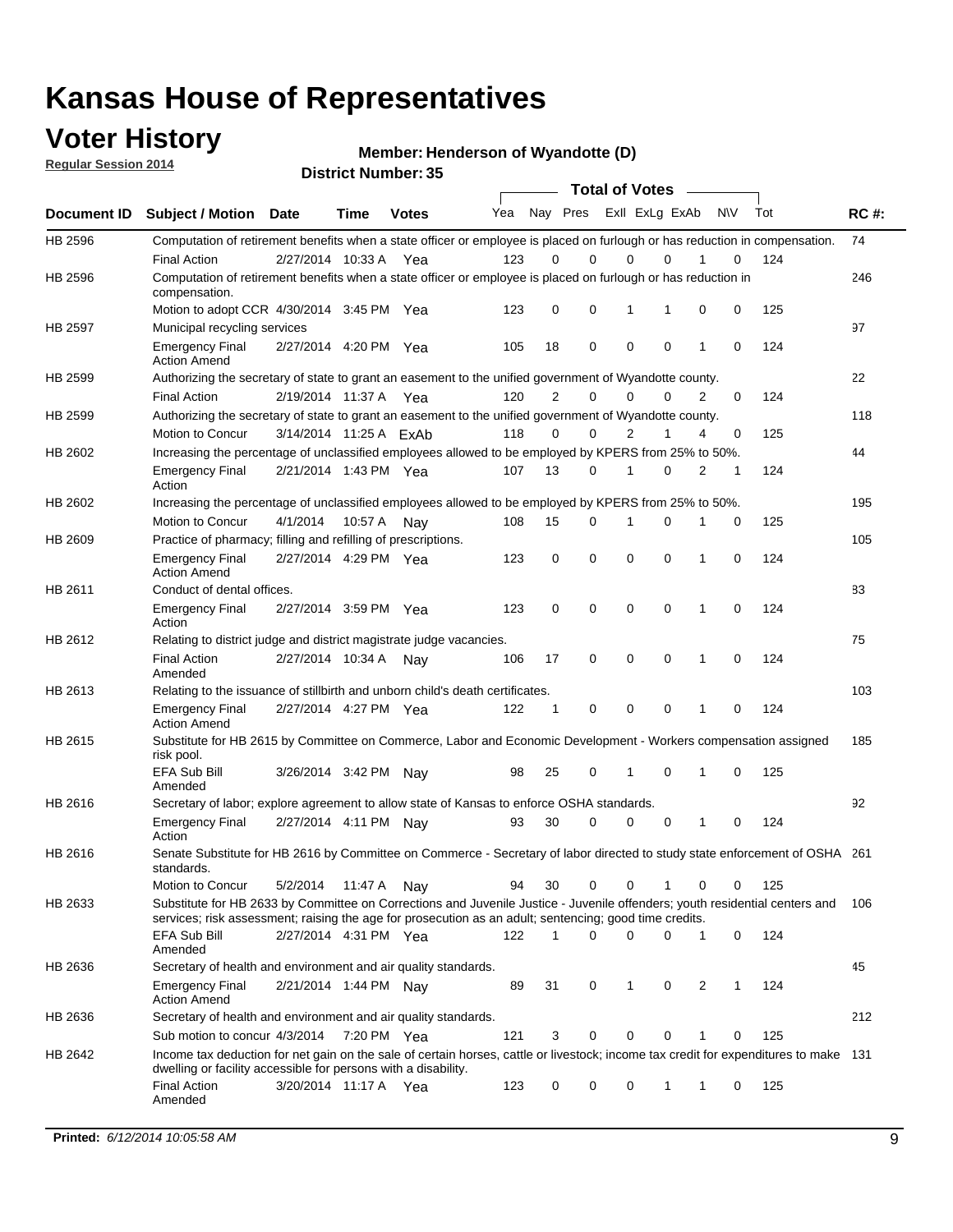### **Voter History**

**Regular Session 2014**

**Henderson of Wyandotte (D)**

|                |                                                                                                                                                                                                                                       |                        |             | DISTRICT MAILINGL, 99 |     |                |             |   | <b>Total of Votes</b>      |   |           |     |             |
|----------------|---------------------------------------------------------------------------------------------------------------------------------------------------------------------------------------------------------------------------------------|------------------------|-------------|-----------------------|-----|----------------|-------------|---|----------------------------|---|-----------|-----|-------------|
| Document ID    | <b>Subject / Motion</b>                                                                                                                                                                                                               | <b>Date</b>            | Time        | <b>Votes</b>          | Yea |                | Nay Pres    |   | Exll ExLg ExAb             |   | <b>NV</b> | Tot | <b>RC#:</b> |
| HB 2596        | Computation of retirement benefits when a state officer or employee is placed on furlough or has reduction in compensation.                                                                                                           |                        |             |                       |     |                |             |   |                            |   |           |     | 74          |
|                | <b>Final Action</b>                                                                                                                                                                                                                   | 2/27/2014 10:33 A      |             | Yea                   | 123 | 0              | $\Omega$    |   | 0<br>$\Omega$              |   | 0         | 124 |             |
| HB 2596        | Computation of retirement benefits when a state officer or employee is placed on furlough or has reduction in<br>compensation.                                                                                                        |                        |             |                       |     |                |             |   |                            |   |           |     | 246         |
|                | Motion to adopt CCR 4/30/2014 3:45 PM Yea                                                                                                                                                                                             |                        |             |                       | 123 | 0              | 0           |   | 1<br>1                     | 0 | 0         | 125 |             |
| <b>HB 2597</b> | Municipal recycling services                                                                                                                                                                                                          |                        |             |                       |     |                |             |   |                            |   |           |     | 97          |
|                | <b>Emergency Final</b><br><b>Action Amend</b>                                                                                                                                                                                         | 2/27/2014 4:20 PM Yea  |             |                       | 105 | 18             | $\mathbf 0$ |   | $\mathbf 0$<br>$\mathbf 0$ | 1 | 0         | 124 |             |
| HB 2599        | Authorizing the secretary of state to grant an easement to the unified government of Wyandotte county.                                                                                                                                |                        |             |                       |     |                |             |   |                            |   |           |     | 22          |
|                | <b>Final Action</b>                                                                                                                                                                                                                   | 2/19/2014 11:37 A      |             | Yea                   | 120 | $\overline{2}$ | $\mathbf 0$ |   | 0<br>$\Omega$              | 2 | 0         | 124 |             |
| HB 2599        | Authorizing the secretary of state to grant an easement to the unified government of Wyandotte county.                                                                                                                                |                        |             |                       |     |                |             |   |                            |   |           |     | 118         |
|                | Motion to Concur                                                                                                                                                                                                                      | 3/14/2014 11:25 A ExAb |             |                       | 118 | $\Omega$       | 0           |   | $\overline{2}$<br>1        | 4 | 0         | 125 |             |
| HB 2602        | Increasing the percentage of unclassified employees allowed to be employed by KPERS from 25% to 50%.                                                                                                                                  |                        |             |                       |     |                |             |   |                            |   |           |     | 44          |
|                | <b>Emergency Final</b><br>Action                                                                                                                                                                                                      | 2/21/2014 1:43 PM Yea  |             |                       | 107 | 13             | 0           |   | $\Omega$<br>1              | 2 | 1         | 124 |             |
| HB 2602        | Increasing the percentage of unclassified employees allowed to be employed by KPERS from 25% to 50%.                                                                                                                                  |                        |             |                       |     |                |             |   |                            |   |           |     | 195         |
|                | Motion to Concur                                                                                                                                                                                                                      | 4/1/2014               | 10:57 A     | Nav                   | 108 | 15             | 0           | 1 | 0                          | 1 | 0         | 125 |             |
| HB 2609        | Practice of pharmacy; filling and refilling of prescriptions.                                                                                                                                                                         |                        |             |                       |     |                |             |   |                            |   |           |     | 105         |
|                | <b>Emergency Final</b><br><b>Action Amend</b>                                                                                                                                                                                         | 2/27/2014 4:29 PM Yea  |             |                       | 123 | 0              | $\mathbf 0$ |   | $\mathbf 0$<br>$\Omega$    | 1 | 0         | 124 |             |
| HB 2611        | Conduct of dental offices.                                                                                                                                                                                                            |                        |             |                       |     |                |             |   |                            |   |           |     | 83          |
|                | <b>Emergency Final</b><br>Action                                                                                                                                                                                                      | 2/27/2014 3:59 PM Yea  |             |                       | 123 | 0              | $\mathbf 0$ |   | $\mathbf 0$<br>$\mathbf 0$ | 1 | 0         | 124 |             |
| HB 2612        | Relating to district judge and district magistrate judge vacancies.                                                                                                                                                                   |                        |             |                       |     |                |             |   |                            |   |           |     | 75          |
|                | <b>Final Action</b><br>Amended                                                                                                                                                                                                        | 2/27/2014 10:34 A      |             | Nav                   | 106 | 17             | 0           |   | $\mathbf 0$<br>$\mathbf 0$ | 1 | 0         | 124 |             |
| HB 2613        | Relating to the issuance of stillbirth and unborn child's death certificates.                                                                                                                                                         |                        |             |                       |     |                |             |   |                            |   |           |     | 103         |
|                | <b>Emergency Final</b><br><b>Action Amend</b>                                                                                                                                                                                         | 2/27/2014 4:27 PM Yea  |             |                       | 122 | 1              | 0           |   | $\mathbf 0$<br>$\Omega$    | 1 | 0         | 124 |             |
| HB 2615        | Substitute for HB 2615 by Committee on Commerce, Labor and Economic Development - Workers compensation assigned<br>risk pool.                                                                                                         |                        |             |                       |     |                |             |   |                            |   |           |     | 185         |
|                | EFA Sub Bill<br>Amended                                                                                                                                                                                                               | 3/26/2014 3:42 PM Nay  |             |                       | 98  | 25             | 0           |   | 1<br>$\mathbf 0$           | 1 | 0         | 125 |             |
| HB 2616        | Secretary of labor; explore agreement to allow state of Kansas to enforce OSHA standards.                                                                                                                                             |                        |             |                       |     |                |             |   |                            |   |           |     | 92          |
|                | <b>Emergency Final</b><br>Action                                                                                                                                                                                                      | 2/27/2014 4:11 PM Nay  |             |                       | 93  | 30             | 0           |   | 0<br>0                     | 1 | 0         | 124 |             |
| HB 2616        | Senate Substitute for HB 2616 by Committee on Commerce - Secretary of labor directed to study state enforcement of OSHA 261<br>standards.                                                                                             |                        |             |                       |     |                |             |   |                            |   |           |     |             |
|                | Motion to Concur                                                                                                                                                                                                                      | 5/2/2014               | 11:47 A Nay |                       | 94  | 30             | 0           |   | 0<br>1                     | 0 | 0         | 125 |             |
| HB 2633        | Substitute for HB 2633 by Committee on Corrections and Juvenile Justice - Juvenile offenders; youth residential centers and<br>services; risk assessment; raising the age for prosecution as an adult; sentencing; good time credits. |                        |             |                       |     |                |             |   |                            |   |           |     | 106         |
|                | EFA Sub Bill<br>Amended                                                                                                                                                                                                               | 2/27/2014 4:31 PM Yea  |             |                       | 122 | 1              | 0           |   | $\mathbf 0$<br>0           | 1 | 0         | 124 |             |
| HB 2636        | Secretary of health and environment and air quality standards.                                                                                                                                                                        |                        |             |                       |     |                |             |   |                            |   |           |     | 45          |
|                | <b>Emergency Final</b><br><b>Action Amend</b>                                                                                                                                                                                         | 2/21/2014 1:44 PM Nav  |             |                       | 89  | 31             | 0           |   | 1<br>0                     | 2 | 1         | 124 |             |
| HB 2636        | Secretary of health and environment and air quality standards.                                                                                                                                                                        |                        |             |                       |     |                |             |   |                            |   |           |     | 212         |
|                | Sub motion to concur 4/3/2014                                                                                                                                                                                                         |                        | 7:20 PM Yea |                       | 121 | 3              | 0           |   | 0<br>0                     |   | 0         | 125 |             |
| HB 2642        | Income tax deduction for net gain on the sale of certain horses, cattle or livestock; income tax credit for expenditures to make 131<br>dwelling or facility accessible for persons with a disability.                                |                        |             |                       |     |                |             |   |                            |   |           |     |             |
|                | <b>Final Action</b><br>Amended                                                                                                                                                                                                        | 3/20/2014 11:17 A Yea  |             |                       | 123 | 0              | 0           |   | 0<br>1                     | 1 | 0         | 125 |             |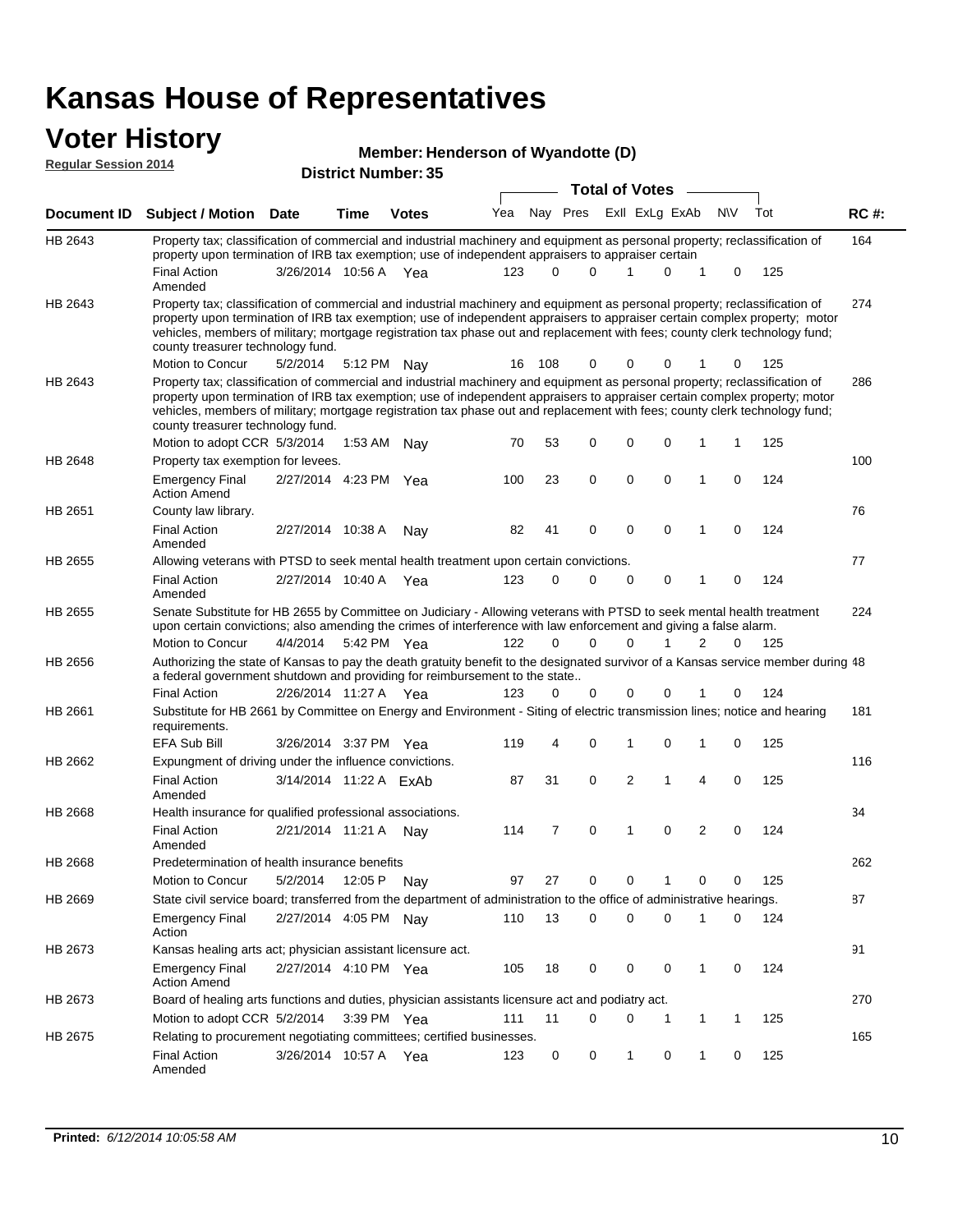# **Voter History**<br> **Regular Session 2014**

|                             | <b>ULUI THULUI Y</b>                                                                                                                                                                                                                                                                                                                                                                                                          |                        |         | Member: Henderson of Wyandotte (D) |     |          |          |                       |             |                |              |              |     |             |
|-----------------------------|-------------------------------------------------------------------------------------------------------------------------------------------------------------------------------------------------------------------------------------------------------------------------------------------------------------------------------------------------------------------------------------------------------------------------------|------------------------|---------|------------------------------------|-----|----------|----------|-----------------------|-------------|----------------|--------------|--------------|-----|-------------|
| <b>Regular Session 2014</b> |                                                                                                                                                                                                                                                                                                                                                                                                                               |                        |         | <b>District Number: 35</b>         |     |          |          |                       |             |                |              |              |     |             |
|                             |                                                                                                                                                                                                                                                                                                                                                                                                                               |                        |         |                                    |     |          |          | <b>Total of Votes</b> |             |                |              |              |     |             |
| Document ID                 | Subject / Motion Date                                                                                                                                                                                                                                                                                                                                                                                                         |                        | Time    | <b>Votes</b>                       | Yea |          | Nay Pres |                       |             | Exll ExLg ExAb |              | <b>NV</b>    | Tot | <b>RC#:</b> |
| HB 2643                     | Property tax; classification of commercial and industrial machinery and equipment as personal property; reclassification of<br>property upon termination of IRB tax exemption; use of independent appraisers to appraiser certain                                                                                                                                                                                             |                        |         |                                    |     |          |          |                       |             |                |              |              |     | 164         |
|                             | <b>Final Action</b><br>Amended                                                                                                                                                                                                                                                                                                                                                                                                | 3/26/2014 10:56 A Yea  |         |                                    | 123 | 0        | $\Omega$ |                       | 1           | 0              | 1            | 0            | 125 |             |
| HB 2643                     | Property tax; classification of commercial and industrial machinery and equipment as personal property; reclassification of<br>property upon termination of IRB tax exemption; use of independent appraisers to appraiser certain complex property; motor<br>vehicles, members of military; mortgage registration tax phase out and replacement with fees; county clerk technology fund;<br>county treasurer technology fund. |                        |         |                                    |     |          |          |                       |             |                |              |              |     | 274         |
|                             | Motion to Concur                                                                                                                                                                                                                                                                                                                                                                                                              | 5/2/2014               |         | 5:12 PM Nay                        | 16  | 108      | 0        |                       | 0           | 0              |              | 0            | 125 |             |
| HB 2643                     | Property tax; classification of commercial and industrial machinery and equipment as personal property; reclassification of<br>property upon termination of IRB tax exemption; use of independent appraisers to appraiser certain complex property; motor<br>vehicles, members of military; mortgage registration tax phase out and replacement with fees; county clerk technology fund;<br>county treasurer technology fund. |                        |         |                                    |     |          |          |                       |             |                |              |              |     | 286         |
|                             | Motion to adopt CCR 5/3/2014                                                                                                                                                                                                                                                                                                                                                                                                  |                        | 1:53 AM | Nav                                | 70  | 53       | 0        |                       | 0           | 0              | 1            | 1            | 125 |             |
| HB 2648                     | Property tax exemption for levees.                                                                                                                                                                                                                                                                                                                                                                                            |                        |         |                                    |     |          |          |                       |             |                |              |              |     | 100         |
|                             | <b>Emergency Final</b><br><b>Action Amend</b>                                                                                                                                                                                                                                                                                                                                                                                 | 2/27/2014 4:23 PM      |         | Yea                                | 100 | 23       | 0        |                       | 0           | 0              | 1            | 0            | 124 |             |
| HB 2651                     | County law library.                                                                                                                                                                                                                                                                                                                                                                                                           |                        |         |                                    |     |          |          |                       |             |                |              |              |     | 76          |
|                             | <b>Final Action</b><br>Amended                                                                                                                                                                                                                                                                                                                                                                                                | 2/27/2014 10:38 A      |         | Nav                                | 82  | 41       | 0        |                       | 0           | $\mathbf 0$    | 1            | $\mathbf 0$  | 124 |             |
| HB 2655                     | Allowing veterans with PTSD to seek mental health treatment upon certain convictions.                                                                                                                                                                                                                                                                                                                                         |                        |         |                                    |     |          |          |                       |             |                |              |              |     | 77          |
|                             | <b>Final Action</b><br>Amended                                                                                                                                                                                                                                                                                                                                                                                                | 2/27/2014 10:40 A Yea  |         |                                    | 123 | 0        | 0        |                       | $\mathbf 0$ | $\mathbf 0$    | 1            | $\mathbf 0$  | 124 |             |
| HB 2655                     | Senate Substitute for HB 2655 by Committee on Judiciary - Allowing veterans with PTSD to seek mental health treatment<br>upon certain convictions; also amending the crimes of interference with law enforcement and giving a false alarm.                                                                                                                                                                                    |                        |         |                                    |     |          |          |                       |             |                |              |              |     | 224         |
|                             | Motion to Concur                                                                                                                                                                                                                                                                                                                                                                                                              | 4/4/2014               |         | 5:42 PM Yea                        | 122 | $\Omega$ | $\Omega$ |                       | $\Omega$    | 1              | 2            | $\Omega$     | 125 |             |
| HB 2656                     | Authorizing the state of Kansas to pay the death gratuity benefit to the designated survivor of a Kansas service member during 48<br>a federal government shutdown and providing for reimbursement to the state                                                                                                                                                                                                               |                        |         |                                    |     |          |          |                       |             |                |              |              |     |             |
|                             | <b>Final Action</b>                                                                                                                                                                                                                                                                                                                                                                                                           | 2/26/2014 11:27 A Yea  |         |                                    | 123 | 0        | 0        |                       | 0           | 0              | 1            | 0            | 124 |             |
| HB 2661                     | Substitute for HB 2661 by Committee on Energy and Environment - Siting of electric transmission lines; notice and hearing<br>requirements.                                                                                                                                                                                                                                                                                    |                        |         |                                    |     |          |          |                       |             |                |              |              |     | 181         |
|                             | <b>EFA Sub Bill</b>                                                                                                                                                                                                                                                                                                                                                                                                           | 3/26/2014 3:37 PM Yea  |         |                                    | 119 | 4        | 0        |                       | 1           | 0              | 1            | 0            | 125 |             |
| HB 2662                     | Expungment of driving under the influence convictions.                                                                                                                                                                                                                                                                                                                                                                        |                        |         |                                    |     |          |          |                       |             |                |              |              |     | 116         |
|                             | <b>Final Action</b><br>Amended                                                                                                                                                                                                                                                                                                                                                                                                | 3/14/2014 11:22 A ExAb |         |                                    | 87  | 31       | 0        |                       | 2           | 1              | 4            | 0            | 125 |             |
| HB 2668                     | Health insurance for qualified professional associations.                                                                                                                                                                                                                                                                                                                                                                     |                        |         |                                    |     |          |          |                       |             |                |              |              |     | 34          |
|                             | <b>Final Action</b><br>Amended                                                                                                                                                                                                                                                                                                                                                                                                | 2/21/2014 11:21 A      |         | Nav                                | 114 | 7        | 0        |                       | 1           | 0              | 2            | 0            | 124 |             |
| HB 2668                     | Predetermination of health insurance benefits                                                                                                                                                                                                                                                                                                                                                                                 |                        |         |                                    |     |          |          |                       |             |                |              |              |     | 262         |
|                             | Motion to Concur                                                                                                                                                                                                                                                                                                                                                                                                              | 5/2/2014               |         | 12:05 P Nay                        | 97  | 27       | 0        |                       | 0           | 1              | 0            | 0            | 125 |             |
| HB 2669                     | State civil service board; transferred from the department of administration to the office of administrative hearings.                                                                                                                                                                                                                                                                                                        |                        |         |                                    |     |          |          |                       |             |                |              |              |     | 87          |
|                             | <b>Emergency Final</b><br>Action                                                                                                                                                                                                                                                                                                                                                                                              | 2/27/2014 4:05 PM Nay  |         |                                    | 110 | 13       | 0        |                       | 0           | 0              | 1            | 0            | 124 |             |
| HB 2673                     | Kansas healing arts act; physician assistant licensure act.                                                                                                                                                                                                                                                                                                                                                                   |                        |         |                                    |     |          |          |                       |             |                |              |              |     | 91          |
|                             | <b>Emergency Final</b><br><b>Action Amend</b>                                                                                                                                                                                                                                                                                                                                                                                 | 2/27/2014 4:10 PM Yea  |         |                                    | 105 | 18       | 0        |                       | 0           | 0              | $\mathbf{1}$ | 0            | 124 |             |
| HB 2673                     | Board of healing arts functions and duties, physician assistants licensure act and podiatry act.                                                                                                                                                                                                                                                                                                                              |                        |         |                                    |     |          |          |                       |             |                |              |              |     | 270         |
|                             | Motion to adopt CCR 5/2/2014                                                                                                                                                                                                                                                                                                                                                                                                  |                        |         | 3:39 PM Yea                        | 111 | 11       | 0        |                       | 0           | 1              | $\mathbf{1}$ | $\mathbf{1}$ | 125 |             |

Final Action 3/26/2014 10:57 A Yea 123 0 1 0 1 0 125

123 0 0 1 0 1 0

Relating to procurement negotiating committees; certified businesses.

Amended

HB 2675

165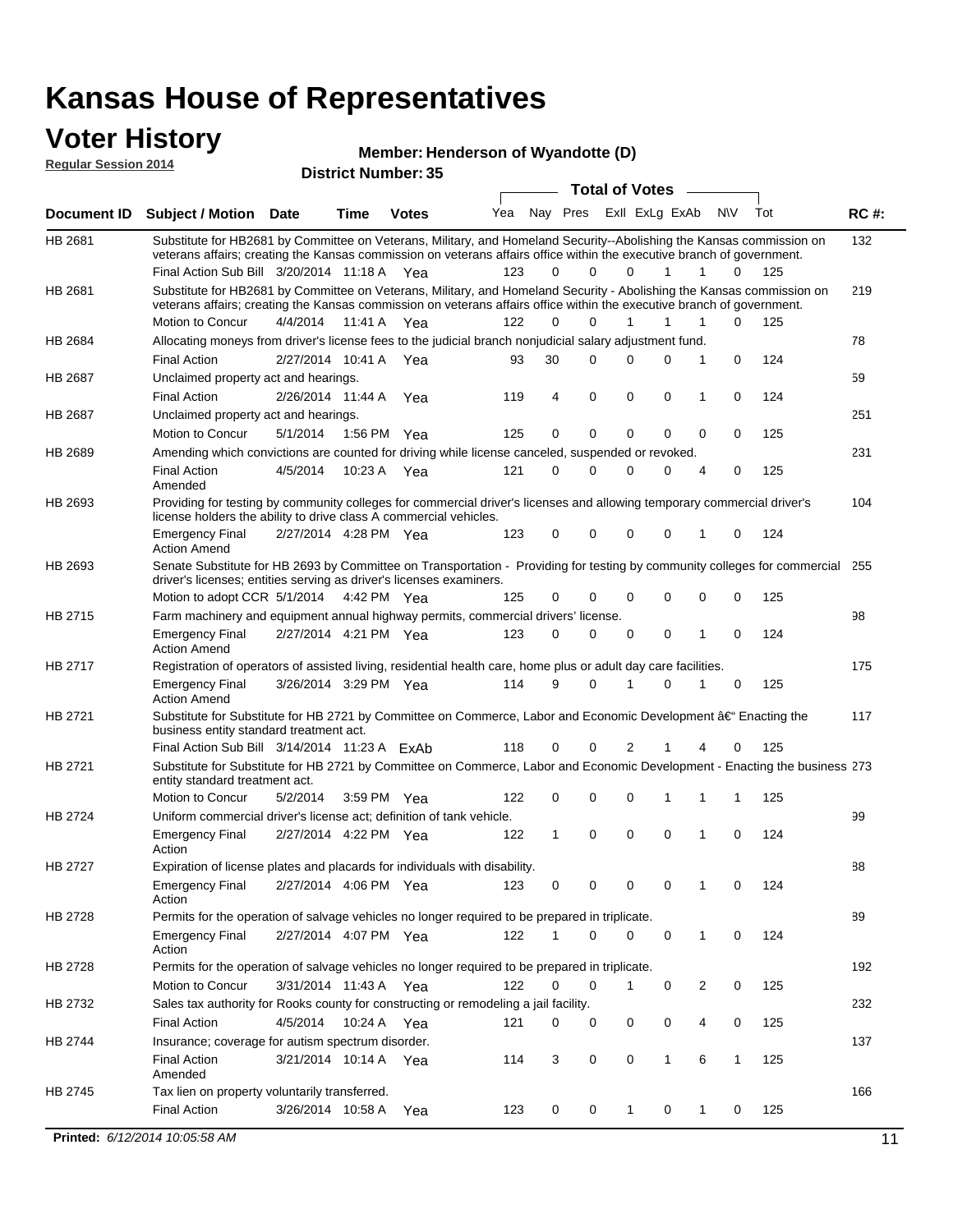### **Voter History**

**Regular Session 2014**

#### **Henderson of Wyandotte (D)**

|                            | <b>INCITINGL'ICHAGISON OF MY</b> |  |
|----------------------------|----------------------------------|--|
| <b>District Number: 35</b> |                                  |  |

| Exll ExLg ExAb<br>Nay Pres<br><b>NV</b><br>Tot<br>Yea<br><b>RC#:</b><br><b>Votes</b><br>Document ID Subject / Motion Date<br>Time<br>132<br>HB 2681<br>Substitute for HB2681 by Committee on Veterans, Military, and Homeland Security--Abolishing the Kansas commission on<br>veterans affairs; creating the Kansas commission on veterans affairs office within the executive branch of government.<br>0<br>Final Action Sub Bill 3/20/2014 11:18 A Yea<br>123<br>0<br>$\Omega$<br>$\mathbf{1}$<br>125<br>1<br>0<br>Substitute for HB2681 by Committee on Veterans, Military, and Homeland Security - Abolishing the Kansas commission on<br>HB 2681<br>219<br>veterans affairs; creating the Kansas commission on veterans affairs office within the executive branch of government.<br>Motion to Concur<br>4/4/2014 11:41 A Yea<br>122<br>0<br>$\Omega$<br>1<br>1<br>1<br>$\Omega$<br>125<br>78<br>HB 2684<br>Allocating moneys from driver's license fees to the judicial branch nonjudicial salary adjustment fund.<br>$\mathbf 0$<br>124<br><b>Final Action</b><br>93<br>30<br>$\Omega$<br>$\Omega$<br>0<br>2/27/2014 10:41 A Yea<br>1<br>59<br>HB 2687<br>Unclaimed property act and hearings.<br>$\mathbf 0$<br>$\mathbf 0$<br>0<br>$\mathbf 0$<br>124<br><b>Final Action</b><br>4<br>1<br>2/26/2014 11:44 A<br>Yea<br>119<br><b>HB 2687</b><br>251<br>Unclaimed property act and hearings.<br>0<br>0<br>0<br>Motion to Concur<br>5/1/2014<br>125<br>0<br>0<br>0<br>125<br>1:56 PM Yea<br>231<br><b>HB 2689</b><br>Amending which convictions are counted for driving while license canceled, suspended or revoked.<br><b>Final Action</b><br>4/5/2014<br>121<br>0<br>$\Omega$<br>$\Omega$<br>0<br>4<br>0<br>125<br>10:23 A Yea<br>Amended<br>Providing for testing by community colleges for commercial driver's licenses and allowing temporary commercial driver's<br>HB 2693<br>104<br>license holders the ability to drive class A commercial vehicles.<br>123<br>0<br>0<br>0<br>0<br>0<br>124<br><b>Emergency Final</b><br>2/27/2014 4:28 PM Yea<br>1<br><b>Action Amend</b><br>Senate Substitute for HB 2693 by Committee on Transportation - Providing for testing by community colleges for commercial 255<br>HB 2693<br>driver's licenses; entities serving as driver's licenses examiners.<br>Motion to adopt CCR 5/1/2014 4:42 PM Yea<br>125<br>0<br>0<br>0<br>0<br>125<br>0<br>0<br>HB 2715<br>98<br>Farm machinery and equipment annual highway permits, commercial drivers' license.<br>123<br>0<br>$\Omega$<br>0<br>0<br>$\mathbf 0$<br>124<br><b>Emergency Final</b><br>2/27/2014 4:21 PM Yea<br>1<br><b>Action Amend</b><br>175<br>HB 2717<br>Registration of operators of assisted living, residential health care, home plus or adult day care facilities.<br>9<br>$\Omega$<br>0<br>125<br><b>Emergency Final</b><br>3/26/2014 3:29 PM Yea<br>114<br>1<br>0<br>1<br><b>Action Amend</b><br>HB 2721<br>117<br>Substitute for Substitute for HB 2721 by Committee on Commerce, Labor and Economic Development †Enacting the<br>business entity standard treatment act.<br>118<br>2<br>0<br>125<br>Final Action Sub Bill 3/14/2014 11:23 A ExAb<br>0<br>0<br>1<br>4<br>HB 2721<br>Substitute for Substitute for HB 2721 by Committee on Commerce, Labor and Economic Development - Enacting the business 273<br>entity standard treatment act.<br>Motion to Concur<br>122<br>0<br>0<br>0<br>125<br>5/2/2014<br>3:59 PM Yea<br>1<br>1<br>1<br>HB 2724<br>99<br>Uniform commercial driver's license act; definition of tank vehicle.<br>$\mathbf 0$<br>2/27/2014 4:22 PM Yea<br>122<br>1<br>0<br>0<br>1<br>$\mathbf 0$<br>124<br><b>Emergency Final</b><br>Action<br>HB 2727<br>Expiration of license plates and placards for individuals with disability.<br>88<br>Emergency Final<br>2/27/2014 4:06 PM Yea<br>123<br>0<br>0<br>0<br>0<br>1<br>0<br>124<br>Action<br>Permits for the operation of salvage vehicles no longer required to be prepared in triplicate.<br>89<br>HB 2728<br>2/27/2014 4:07 PM Yea<br>122<br>0<br>0<br>0<br>124<br><b>Emergency Final</b><br>1<br>0<br>1<br>Action<br>192<br>HB 2728<br>Permits for the operation of salvage vehicles no longer required to be prepared in triplicate.<br>$\mathbf 0$<br>Motion to Concur<br>122<br>0<br>2<br>0<br>125<br>3/31/2014 11:43 A Yea<br>1<br>0<br>Sales tax authority for Rooks county for constructing or remodeling a jail facility.<br>232<br>HB 2732<br><b>Final Action</b><br>0<br>0<br>125<br>4/5/2014 10:24 A Yea<br>121<br>0<br>0<br>4<br>0<br>137<br>HB 2744<br>Insurance; coverage for autism spectrum disorder.<br>0<br>0<br>6<br><b>Final Action</b><br>3<br>1<br>125<br>3/21/2014 10:14 A Yea<br>114<br>1<br>Amended<br>166<br>HB 2745<br>Tax lien on property voluntarily transferred.<br><b>Final Action</b><br>125<br>3/26/2014 10:58 A<br>123<br>0<br>0<br>$\mathbf 1$<br>0<br>$\mathbf{1}$<br>0<br>Yea<br><b>Printed: 6/12/2014 10:05:58 AM</b><br>11 |  |  |  |  | <b>Total of Votes</b> | $\sim$ |  |  |
|------------------------------------------------------------------------------------------------------------------------------------------------------------------------------------------------------------------------------------------------------------------------------------------------------------------------------------------------------------------------------------------------------------------------------------------------------------------------------------------------------------------------------------------------------------------------------------------------------------------------------------------------------------------------------------------------------------------------------------------------------------------------------------------------------------------------------------------------------------------------------------------------------------------------------------------------------------------------------------------------------------------------------------------------------------------------------------------------------------------------------------------------------------------------------------------------------------------------------------------------------------------------------------------------------------------------------------------------------------------------------------------------------------------------------------------------------------------------------------------------------------------------------------------------------------------------------------------------------------------------------------------------------------------------------------------------------------------------------------------------------------------------------------------------------------------------------------------------------------------------------------------------------------------------------------------------------------------------------------------------------------------------------------------------------------------------------------------------------------------------------------------------------------------------------------------------------------------------------------------------------------------------------------------------------------------------------------------------------------------------------------------------------------------------------------------------------------------------------------------------------------------------------------------------------------------------------------------------------------------------------------------------------------------------------------------------------------------------------------------------------------------------------------------------------------------------------------------------------------------------------------------------------------------------------------------------------------------------------------------------------------------------------------------------------------------------------------------------------------------------------------------------------------------------------------------------------------------------------------------------------------------------------------------------------------------------------------------------------------------------------------------------------------------------------------------------------------------------------------------------------------------------------------------------------------------------------------------------------------------------------------------------------------------------------------------------------------------------------------------------------------------------------------------------------------------------------------------------------------------------------------------------------------------------------------------------------------------------------------------------------------------------------------------------------------------------------------------------------------------------------------------------------------------------------------------------------------------------------------------------------------------------------------------------------------------------------------------------------------------------------------------------------------------------------------------------------------------------------------------------------------------------------------------------------------------------------------------------------------------------------------------------------------------------------------------------------------------------------------------------------------------------------------------------------------------------------------------------------------------------------------------------------------------------------------------------------------------------|--|--|--|--|-----------------------|--------|--|--|
|                                                                                                                                                                                                                                                                                                                                                                                                                                                                                                                                                                                                                                                                                                                                                                                                                                                                                                                                                                                                                                                                                                                                                                                                                                                                                                                                                                                                                                                                                                                                                                                                                                                                                                                                                                                                                                                                                                                                                                                                                                                                                                                                                                                                                                                                                                                                                                                                                                                                                                                                                                                                                                                                                                                                                                                                                                                                                                                                                                                                                                                                                                                                                                                                                                                                                                                                                                                                                                                                                                                                                                                                                                                                                                                                                                                                                                                                                                                                                                                                                                                                                                                                                                                                                                                                                                                                                                                                                                                                                                                                                                                                                                                                                                                                                                                                                                                                                                                                                                        |  |  |  |  |                       |        |  |  |
|                                                                                                                                                                                                                                                                                                                                                                                                                                                                                                                                                                                                                                                                                                                                                                                                                                                                                                                                                                                                                                                                                                                                                                                                                                                                                                                                                                                                                                                                                                                                                                                                                                                                                                                                                                                                                                                                                                                                                                                                                                                                                                                                                                                                                                                                                                                                                                                                                                                                                                                                                                                                                                                                                                                                                                                                                                                                                                                                                                                                                                                                                                                                                                                                                                                                                                                                                                                                                                                                                                                                                                                                                                                                                                                                                                                                                                                                                                                                                                                                                                                                                                                                                                                                                                                                                                                                                                                                                                                                                                                                                                                                                                                                                                                                                                                                                                                                                                                                                                        |  |  |  |  |                       |        |  |  |
|                                                                                                                                                                                                                                                                                                                                                                                                                                                                                                                                                                                                                                                                                                                                                                                                                                                                                                                                                                                                                                                                                                                                                                                                                                                                                                                                                                                                                                                                                                                                                                                                                                                                                                                                                                                                                                                                                                                                                                                                                                                                                                                                                                                                                                                                                                                                                                                                                                                                                                                                                                                                                                                                                                                                                                                                                                                                                                                                                                                                                                                                                                                                                                                                                                                                                                                                                                                                                                                                                                                                                                                                                                                                                                                                                                                                                                                                                                                                                                                                                                                                                                                                                                                                                                                                                                                                                                                                                                                                                                                                                                                                                                                                                                                                                                                                                                                                                                                                                                        |  |  |  |  |                       |        |  |  |
|                                                                                                                                                                                                                                                                                                                                                                                                                                                                                                                                                                                                                                                                                                                                                                                                                                                                                                                                                                                                                                                                                                                                                                                                                                                                                                                                                                                                                                                                                                                                                                                                                                                                                                                                                                                                                                                                                                                                                                                                                                                                                                                                                                                                                                                                                                                                                                                                                                                                                                                                                                                                                                                                                                                                                                                                                                                                                                                                                                                                                                                                                                                                                                                                                                                                                                                                                                                                                                                                                                                                                                                                                                                                                                                                                                                                                                                                                                                                                                                                                                                                                                                                                                                                                                                                                                                                                                                                                                                                                                                                                                                                                                                                                                                                                                                                                                                                                                                                                                        |  |  |  |  |                       |        |  |  |
|                                                                                                                                                                                                                                                                                                                                                                                                                                                                                                                                                                                                                                                                                                                                                                                                                                                                                                                                                                                                                                                                                                                                                                                                                                                                                                                                                                                                                                                                                                                                                                                                                                                                                                                                                                                                                                                                                                                                                                                                                                                                                                                                                                                                                                                                                                                                                                                                                                                                                                                                                                                                                                                                                                                                                                                                                                                                                                                                                                                                                                                                                                                                                                                                                                                                                                                                                                                                                                                                                                                                                                                                                                                                                                                                                                                                                                                                                                                                                                                                                                                                                                                                                                                                                                                                                                                                                                                                                                                                                                                                                                                                                                                                                                                                                                                                                                                                                                                                                                        |  |  |  |  |                       |        |  |  |
|                                                                                                                                                                                                                                                                                                                                                                                                                                                                                                                                                                                                                                                                                                                                                                                                                                                                                                                                                                                                                                                                                                                                                                                                                                                                                                                                                                                                                                                                                                                                                                                                                                                                                                                                                                                                                                                                                                                                                                                                                                                                                                                                                                                                                                                                                                                                                                                                                                                                                                                                                                                                                                                                                                                                                                                                                                                                                                                                                                                                                                                                                                                                                                                                                                                                                                                                                                                                                                                                                                                                                                                                                                                                                                                                                                                                                                                                                                                                                                                                                                                                                                                                                                                                                                                                                                                                                                                                                                                                                                                                                                                                                                                                                                                                                                                                                                                                                                                                                                        |  |  |  |  |                       |        |  |  |
|                                                                                                                                                                                                                                                                                                                                                                                                                                                                                                                                                                                                                                                                                                                                                                                                                                                                                                                                                                                                                                                                                                                                                                                                                                                                                                                                                                                                                                                                                                                                                                                                                                                                                                                                                                                                                                                                                                                                                                                                                                                                                                                                                                                                                                                                                                                                                                                                                                                                                                                                                                                                                                                                                                                                                                                                                                                                                                                                                                                                                                                                                                                                                                                                                                                                                                                                                                                                                                                                                                                                                                                                                                                                                                                                                                                                                                                                                                                                                                                                                                                                                                                                                                                                                                                                                                                                                                                                                                                                                                                                                                                                                                                                                                                                                                                                                                                                                                                                                                        |  |  |  |  |                       |        |  |  |
|                                                                                                                                                                                                                                                                                                                                                                                                                                                                                                                                                                                                                                                                                                                                                                                                                                                                                                                                                                                                                                                                                                                                                                                                                                                                                                                                                                                                                                                                                                                                                                                                                                                                                                                                                                                                                                                                                                                                                                                                                                                                                                                                                                                                                                                                                                                                                                                                                                                                                                                                                                                                                                                                                                                                                                                                                                                                                                                                                                                                                                                                                                                                                                                                                                                                                                                                                                                                                                                                                                                                                                                                                                                                                                                                                                                                                                                                                                                                                                                                                                                                                                                                                                                                                                                                                                                                                                                                                                                                                                                                                                                                                                                                                                                                                                                                                                                                                                                                                                        |  |  |  |  |                       |        |  |  |
|                                                                                                                                                                                                                                                                                                                                                                                                                                                                                                                                                                                                                                                                                                                                                                                                                                                                                                                                                                                                                                                                                                                                                                                                                                                                                                                                                                                                                                                                                                                                                                                                                                                                                                                                                                                                                                                                                                                                                                                                                                                                                                                                                                                                                                                                                                                                                                                                                                                                                                                                                                                                                                                                                                                                                                                                                                                                                                                                                                                                                                                                                                                                                                                                                                                                                                                                                                                                                                                                                                                                                                                                                                                                                                                                                                                                                                                                                                                                                                                                                                                                                                                                                                                                                                                                                                                                                                                                                                                                                                                                                                                                                                                                                                                                                                                                                                                                                                                                                                        |  |  |  |  |                       |        |  |  |
|                                                                                                                                                                                                                                                                                                                                                                                                                                                                                                                                                                                                                                                                                                                                                                                                                                                                                                                                                                                                                                                                                                                                                                                                                                                                                                                                                                                                                                                                                                                                                                                                                                                                                                                                                                                                                                                                                                                                                                                                                                                                                                                                                                                                                                                                                                                                                                                                                                                                                                                                                                                                                                                                                                                                                                                                                                                                                                                                                                                                                                                                                                                                                                                                                                                                                                                                                                                                                                                                                                                                                                                                                                                                                                                                                                                                                                                                                                                                                                                                                                                                                                                                                                                                                                                                                                                                                                                                                                                                                                                                                                                                                                                                                                                                                                                                                                                                                                                                                                        |  |  |  |  |                       |        |  |  |
|                                                                                                                                                                                                                                                                                                                                                                                                                                                                                                                                                                                                                                                                                                                                                                                                                                                                                                                                                                                                                                                                                                                                                                                                                                                                                                                                                                                                                                                                                                                                                                                                                                                                                                                                                                                                                                                                                                                                                                                                                                                                                                                                                                                                                                                                                                                                                                                                                                                                                                                                                                                                                                                                                                                                                                                                                                                                                                                                                                                                                                                                                                                                                                                                                                                                                                                                                                                                                                                                                                                                                                                                                                                                                                                                                                                                                                                                                                                                                                                                                                                                                                                                                                                                                                                                                                                                                                                                                                                                                                                                                                                                                                                                                                                                                                                                                                                                                                                                                                        |  |  |  |  |                       |        |  |  |
|                                                                                                                                                                                                                                                                                                                                                                                                                                                                                                                                                                                                                                                                                                                                                                                                                                                                                                                                                                                                                                                                                                                                                                                                                                                                                                                                                                                                                                                                                                                                                                                                                                                                                                                                                                                                                                                                                                                                                                                                                                                                                                                                                                                                                                                                                                                                                                                                                                                                                                                                                                                                                                                                                                                                                                                                                                                                                                                                                                                                                                                                                                                                                                                                                                                                                                                                                                                                                                                                                                                                                                                                                                                                                                                                                                                                                                                                                                                                                                                                                                                                                                                                                                                                                                                                                                                                                                                                                                                                                                                                                                                                                                                                                                                                                                                                                                                                                                                                                                        |  |  |  |  |                       |        |  |  |
|                                                                                                                                                                                                                                                                                                                                                                                                                                                                                                                                                                                                                                                                                                                                                                                                                                                                                                                                                                                                                                                                                                                                                                                                                                                                                                                                                                                                                                                                                                                                                                                                                                                                                                                                                                                                                                                                                                                                                                                                                                                                                                                                                                                                                                                                                                                                                                                                                                                                                                                                                                                                                                                                                                                                                                                                                                                                                                                                                                                                                                                                                                                                                                                                                                                                                                                                                                                                                                                                                                                                                                                                                                                                                                                                                                                                                                                                                                                                                                                                                                                                                                                                                                                                                                                                                                                                                                                                                                                                                                                                                                                                                                                                                                                                                                                                                                                                                                                                                                        |  |  |  |  |                       |        |  |  |
|                                                                                                                                                                                                                                                                                                                                                                                                                                                                                                                                                                                                                                                                                                                                                                                                                                                                                                                                                                                                                                                                                                                                                                                                                                                                                                                                                                                                                                                                                                                                                                                                                                                                                                                                                                                                                                                                                                                                                                                                                                                                                                                                                                                                                                                                                                                                                                                                                                                                                                                                                                                                                                                                                                                                                                                                                                                                                                                                                                                                                                                                                                                                                                                                                                                                                                                                                                                                                                                                                                                                                                                                                                                                                                                                                                                                                                                                                                                                                                                                                                                                                                                                                                                                                                                                                                                                                                                                                                                                                                                                                                                                                                                                                                                                                                                                                                                                                                                                                                        |  |  |  |  |                       |        |  |  |
|                                                                                                                                                                                                                                                                                                                                                                                                                                                                                                                                                                                                                                                                                                                                                                                                                                                                                                                                                                                                                                                                                                                                                                                                                                                                                                                                                                                                                                                                                                                                                                                                                                                                                                                                                                                                                                                                                                                                                                                                                                                                                                                                                                                                                                                                                                                                                                                                                                                                                                                                                                                                                                                                                                                                                                                                                                                                                                                                                                                                                                                                                                                                                                                                                                                                                                                                                                                                                                                                                                                                                                                                                                                                                                                                                                                                                                                                                                                                                                                                                                                                                                                                                                                                                                                                                                                                                                                                                                                                                                                                                                                                                                                                                                                                                                                                                                                                                                                                                                        |  |  |  |  |                       |        |  |  |
|                                                                                                                                                                                                                                                                                                                                                                                                                                                                                                                                                                                                                                                                                                                                                                                                                                                                                                                                                                                                                                                                                                                                                                                                                                                                                                                                                                                                                                                                                                                                                                                                                                                                                                                                                                                                                                                                                                                                                                                                                                                                                                                                                                                                                                                                                                                                                                                                                                                                                                                                                                                                                                                                                                                                                                                                                                                                                                                                                                                                                                                                                                                                                                                                                                                                                                                                                                                                                                                                                                                                                                                                                                                                                                                                                                                                                                                                                                                                                                                                                                                                                                                                                                                                                                                                                                                                                                                                                                                                                                                                                                                                                                                                                                                                                                                                                                                                                                                                                                        |  |  |  |  |                       |        |  |  |
|                                                                                                                                                                                                                                                                                                                                                                                                                                                                                                                                                                                                                                                                                                                                                                                                                                                                                                                                                                                                                                                                                                                                                                                                                                                                                                                                                                                                                                                                                                                                                                                                                                                                                                                                                                                                                                                                                                                                                                                                                                                                                                                                                                                                                                                                                                                                                                                                                                                                                                                                                                                                                                                                                                                                                                                                                                                                                                                                                                                                                                                                                                                                                                                                                                                                                                                                                                                                                                                                                                                                                                                                                                                                                                                                                                                                                                                                                                                                                                                                                                                                                                                                                                                                                                                                                                                                                                                                                                                                                                                                                                                                                                                                                                                                                                                                                                                                                                                                                                        |  |  |  |  |                       |        |  |  |
|                                                                                                                                                                                                                                                                                                                                                                                                                                                                                                                                                                                                                                                                                                                                                                                                                                                                                                                                                                                                                                                                                                                                                                                                                                                                                                                                                                                                                                                                                                                                                                                                                                                                                                                                                                                                                                                                                                                                                                                                                                                                                                                                                                                                                                                                                                                                                                                                                                                                                                                                                                                                                                                                                                                                                                                                                                                                                                                                                                                                                                                                                                                                                                                                                                                                                                                                                                                                                                                                                                                                                                                                                                                                                                                                                                                                                                                                                                                                                                                                                                                                                                                                                                                                                                                                                                                                                                                                                                                                                                                                                                                                                                                                                                                                                                                                                                                                                                                                                                        |  |  |  |  |                       |        |  |  |
|                                                                                                                                                                                                                                                                                                                                                                                                                                                                                                                                                                                                                                                                                                                                                                                                                                                                                                                                                                                                                                                                                                                                                                                                                                                                                                                                                                                                                                                                                                                                                                                                                                                                                                                                                                                                                                                                                                                                                                                                                                                                                                                                                                                                                                                                                                                                                                                                                                                                                                                                                                                                                                                                                                                                                                                                                                                                                                                                                                                                                                                                                                                                                                                                                                                                                                                                                                                                                                                                                                                                                                                                                                                                                                                                                                                                                                                                                                                                                                                                                                                                                                                                                                                                                                                                                                                                                                                                                                                                                                                                                                                                                                                                                                                                                                                                                                                                                                                                                                        |  |  |  |  |                       |        |  |  |
|                                                                                                                                                                                                                                                                                                                                                                                                                                                                                                                                                                                                                                                                                                                                                                                                                                                                                                                                                                                                                                                                                                                                                                                                                                                                                                                                                                                                                                                                                                                                                                                                                                                                                                                                                                                                                                                                                                                                                                                                                                                                                                                                                                                                                                                                                                                                                                                                                                                                                                                                                                                                                                                                                                                                                                                                                                                                                                                                                                                                                                                                                                                                                                                                                                                                                                                                                                                                                                                                                                                                                                                                                                                                                                                                                                                                                                                                                                                                                                                                                                                                                                                                                                                                                                                                                                                                                                                                                                                                                                                                                                                                                                                                                                                                                                                                                                                                                                                                                                        |  |  |  |  |                       |        |  |  |
|                                                                                                                                                                                                                                                                                                                                                                                                                                                                                                                                                                                                                                                                                                                                                                                                                                                                                                                                                                                                                                                                                                                                                                                                                                                                                                                                                                                                                                                                                                                                                                                                                                                                                                                                                                                                                                                                                                                                                                                                                                                                                                                                                                                                                                                                                                                                                                                                                                                                                                                                                                                                                                                                                                                                                                                                                                                                                                                                                                                                                                                                                                                                                                                                                                                                                                                                                                                                                                                                                                                                                                                                                                                                                                                                                                                                                                                                                                                                                                                                                                                                                                                                                                                                                                                                                                                                                                                                                                                                                                                                                                                                                                                                                                                                                                                                                                                                                                                                                                        |  |  |  |  |                       |        |  |  |
|                                                                                                                                                                                                                                                                                                                                                                                                                                                                                                                                                                                                                                                                                                                                                                                                                                                                                                                                                                                                                                                                                                                                                                                                                                                                                                                                                                                                                                                                                                                                                                                                                                                                                                                                                                                                                                                                                                                                                                                                                                                                                                                                                                                                                                                                                                                                                                                                                                                                                                                                                                                                                                                                                                                                                                                                                                                                                                                                                                                                                                                                                                                                                                                                                                                                                                                                                                                                                                                                                                                                                                                                                                                                                                                                                                                                                                                                                                                                                                                                                                                                                                                                                                                                                                                                                                                                                                                                                                                                                                                                                                                                                                                                                                                                                                                                                                                                                                                                                                        |  |  |  |  |                       |        |  |  |
|                                                                                                                                                                                                                                                                                                                                                                                                                                                                                                                                                                                                                                                                                                                                                                                                                                                                                                                                                                                                                                                                                                                                                                                                                                                                                                                                                                                                                                                                                                                                                                                                                                                                                                                                                                                                                                                                                                                                                                                                                                                                                                                                                                                                                                                                                                                                                                                                                                                                                                                                                                                                                                                                                                                                                                                                                                                                                                                                                                                                                                                                                                                                                                                                                                                                                                                                                                                                                                                                                                                                                                                                                                                                                                                                                                                                                                                                                                                                                                                                                                                                                                                                                                                                                                                                                                                                                                                                                                                                                                                                                                                                                                                                                                                                                                                                                                                                                                                                                                        |  |  |  |  |                       |        |  |  |
|                                                                                                                                                                                                                                                                                                                                                                                                                                                                                                                                                                                                                                                                                                                                                                                                                                                                                                                                                                                                                                                                                                                                                                                                                                                                                                                                                                                                                                                                                                                                                                                                                                                                                                                                                                                                                                                                                                                                                                                                                                                                                                                                                                                                                                                                                                                                                                                                                                                                                                                                                                                                                                                                                                                                                                                                                                                                                                                                                                                                                                                                                                                                                                                                                                                                                                                                                                                                                                                                                                                                                                                                                                                                                                                                                                                                                                                                                                                                                                                                                                                                                                                                                                                                                                                                                                                                                                                                                                                                                                                                                                                                                                                                                                                                                                                                                                                                                                                                                                        |  |  |  |  |                       |        |  |  |
|                                                                                                                                                                                                                                                                                                                                                                                                                                                                                                                                                                                                                                                                                                                                                                                                                                                                                                                                                                                                                                                                                                                                                                                                                                                                                                                                                                                                                                                                                                                                                                                                                                                                                                                                                                                                                                                                                                                                                                                                                                                                                                                                                                                                                                                                                                                                                                                                                                                                                                                                                                                                                                                                                                                                                                                                                                                                                                                                                                                                                                                                                                                                                                                                                                                                                                                                                                                                                                                                                                                                                                                                                                                                                                                                                                                                                                                                                                                                                                                                                                                                                                                                                                                                                                                                                                                                                                                                                                                                                                                                                                                                                                                                                                                                                                                                                                                                                                                                                                        |  |  |  |  |                       |        |  |  |
|                                                                                                                                                                                                                                                                                                                                                                                                                                                                                                                                                                                                                                                                                                                                                                                                                                                                                                                                                                                                                                                                                                                                                                                                                                                                                                                                                                                                                                                                                                                                                                                                                                                                                                                                                                                                                                                                                                                                                                                                                                                                                                                                                                                                                                                                                                                                                                                                                                                                                                                                                                                                                                                                                                                                                                                                                                                                                                                                                                                                                                                                                                                                                                                                                                                                                                                                                                                                                                                                                                                                                                                                                                                                                                                                                                                                                                                                                                                                                                                                                                                                                                                                                                                                                                                                                                                                                                                                                                                                                                                                                                                                                                                                                                                                                                                                                                                                                                                                                                        |  |  |  |  |                       |        |  |  |
|                                                                                                                                                                                                                                                                                                                                                                                                                                                                                                                                                                                                                                                                                                                                                                                                                                                                                                                                                                                                                                                                                                                                                                                                                                                                                                                                                                                                                                                                                                                                                                                                                                                                                                                                                                                                                                                                                                                                                                                                                                                                                                                                                                                                                                                                                                                                                                                                                                                                                                                                                                                                                                                                                                                                                                                                                                                                                                                                                                                                                                                                                                                                                                                                                                                                                                                                                                                                                                                                                                                                                                                                                                                                                                                                                                                                                                                                                                                                                                                                                                                                                                                                                                                                                                                                                                                                                                                                                                                                                                                                                                                                                                                                                                                                                                                                                                                                                                                                                                        |  |  |  |  |                       |        |  |  |
|                                                                                                                                                                                                                                                                                                                                                                                                                                                                                                                                                                                                                                                                                                                                                                                                                                                                                                                                                                                                                                                                                                                                                                                                                                                                                                                                                                                                                                                                                                                                                                                                                                                                                                                                                                                                                                                                                                                                                                                                                                                                                                                                                                                                                                                                                                                                                                                                                                                                                                                                                                                                                                                                                                                                                                                                                                                                                                                                                                                                                                                                                                                                                                                                                                                                                                                                                                                                                                                                                                                                                                                                                                                                                                                                                                                                                                                                                                                                                                                                                                                                                                                                                                                                                                                                                                                                                                                                                                                                                                                                                                                                                                                                                                                                                                                                                                                                                                                                                                        |  |  |  |  |                       |        |  |  |
|                                                                                                                                                                                                                                                                                                                                                                                                                                                                                                                                                                                                                                                                                                                                                                                                                                                                                                                                                                                                                                                                                                                                                                                                                                                                                                                                                                                                                                                                                                                                                                                                                                                                                                                                                                                                                                                                                                                                                                                                                                                                                                                                                                                                                                                                                                                                                                                                                                                                                                                                                                                                                                                                                                                                                                                                                                                                                                                                                                                                                                                                                                                                                                                                                                                                                                                                                                                                                                                                                                                                                                                                                                                                                                                                                                                                                                                                                                                                                                                                                                                                                                                                                                                                                                                                                                                                                                                                                                                                                                                                                                                                                                                                                                                                                                                                                                                                                                                                                                        |  |  |  |  |                       |        |  |  |
|                                                                                                                                                                                                                                                                                                                                                                                                                                                                                                                                                                                                                                                                                                                                                                                                                                                                                                                                                                                                                                                                                                                                                                                                                                                                                                                                                                                                                                                                                                                                                                                                                                                                                                                                                                                                                                                                                                                                                                                                                                                                                                                                                                                                                                                                                                                                                                                                                                                                                                                                                                                                                                                                                                                                                                                                                                                                                                                                                                                                                                                                                                                                                                                                                                                                                                                                                                                                                                                                                                                                                                                                                                                                                                                                                                                                                                                                                                                                                                                                                                                                                                                                                                                                                                                                                                                                                                                                                                                                                                                                                                                                                                                                                                                                                                                                                                                                                                                                                                        |  |  |  |  |                       |        |  |  |
|                                                                                                                                                                                                                                                                                                                                                                                                                                                                                                                                                                                                                                                                                                                                                                                                                                                                                                                                                                                                                                                                                                                                                                                                                                                                                                                                                                                                                                                                                                                                                                                                                                                                                                                                                                                                                                                                                                                                                                                                                                                                                                                                                                                                                                                                                                                                                                                                                                                                                                                                                                                                                                                                                                                                                                                                                                                                                                                                                                                                                                                                                                                                                                                                                                                                                                                                                                                                                                                                                                                                                                                                                                                                                                                                                                                                                                                                                                                                                                                                                                                                                                                                                                                                                                                                                                                                                                                                                                                                                                                                                                                                                                                                                                                                                                                                                                                                                                                                                                        |  |  |  |  |                       |        |  |  |
|                                                                                                                                                                                                                                                                                                                                                                                                                                                                                                                                                                                                                                                                                                                                                                                                                                                                                                                                                                                                                                                                                                                                                                                                                                                                                                                                                                                                                                                                                                                                                                                                                                                                                                                                                                                                                                                                                                                                                                                                                                                                                                                                                                                                                                                                                                                                                                                                                                                                                                                                                                                                                                                                                                                                                                                                                                                                                                                                                                                                                                                                                                                                                                                                                                                                                                                                                                                                                                                                                                                                                                                                                                                                                                                                                                                                                                                                                                                                                                                                                                                                                                                                                                                                                                                                                                                                                                                                                                                                                                                                                                                                                                                                                                                                                                                                                                                                                                                                                                        |  |  |  |  |                       |        |  |  |
|                                                                                                                                                                                                                                                                                                                                                                                                                                                                                                                                                                                                                                                                                                                                                                                                                                                                                                                                                                                                                                                                                                                                                                                                                                                                                                                                                                                                                                                                                                                                                                                                                                                                                                                                                                                                                                                                                                                                                                                                                                                                                                                                                                                                                                                                                                                                                                                                                                                                                                                                                                                                                                                                                                                                                                                                                                                                                                                                                                                                                                                                                                                                                                                                                                                                                                                                                                                                                                                                                                                                                                                                                                                                                                                                                                                                                                                                                                                                                                                                                                                                                                                                                                                                                                                                                                                                                                                                                                                                                                                                                                                                                                                                                                                                                                                                                                                                                                                                                                        |  |  |  |  |                       |        |  |  |
|                                                                                                                                                                                                                                                                                                                                                                                                                                                                                                                                                                                                                                                                                                                                                                                                                                                                                                                                                                                                                                                                                                                                                                                                                                                                                                                                                                                                                                                                                                                                                                                                                                                                                                                                                                                                                                                                                                                                                                                                                                                                                                                                                                                                                                                                                                                                                                                                                                                                                                                                                                                                                                                                                                                                                                                                                                                                                                                                                                                                                                                                                                                                                                                                                                                                                                                                                                                                                                                                                                                                                                                                                                                                                                                                                                                                                                                                                                                                                                                                                                                                                                                                                                                                                                                                                                                                                                                                                                                                                                                                                                                                                                                                                                                                                                                                                                                                                                                                                                        |  |  |  |  |                       |        |  |  |
|                                                                                                                                                                                                                                                                                                                                                                                                                                                                                                                                                                                                                                                                                                                                                                                                                                                                                                                                                                                                                                                                                                                                                                                                                                                                                                                                                                                                                                                                                                                                                                                                                                                                                                                                                                                                                                                                                                                                                                                                                                                                                                                                                                                                                                                                                                                                                                                                                                                                                                                                                                                                                                                                                                                                                                                                                                                                                                                                                                                                                                                                                                                                                                                                                                                                                                                                                                                                                                                                                                                                                                                                                                                                                                                                                                                                                                                                                                                                                                                                                                                                                                                                                                                                                                                                                                                                                                                                                                                                                                                                                                                                                                                                                                                                                                                                                                                                                                                                                                        |  |  |  |  |                       |        |  |  |
|                                                                                                                                                                                                                                                                                                                                                                                                                                                                                                                                                                                                                                                                                                                                                                                                                                                                                                                                                                                                                                                                                                                                                                                                                                                                                                                                                                                                                                                                                                                                                                                                                                                                                                                                                                                                                                                                                                                                                                                                                                                                                                                                                                                                                                                                                                                                                                                                                                                                                                                                                                                                                                                                                                                                                                                                                                                                                                                                                                                                                                                                                                                                                                                                                                                                                                                                                                                                                                                                                                                                                                                                                                                                                                                                                                                                                                                                                                                                                                                                                                                                                                                                                                                                                                                                                                                                                                                                                                                                                                                                                                                                                                                                                                                                                                                                                                                                                                                                                                        |  |  |  |  |                       |        |  |  |
|                                                                                                                                                                                                                                                                                                                                                                                                                                                                                                                                                                                                                                                                                                                                                                                                                                                                                                                                                                                                                                                                                                                                                                                                                                                                                                                                                                                                                                                                                                                                                                                                                                                                                                                                                                                                                                                                                                                                                                                                                                                                                                                                                                                                                                                                                                                                                                                                                                                                                                                                                                                                                                                                                                                                                                                                                                                                                                                                                                                                                                                                                                                                                                                                                                                                                                                                                                                                                                                                                                                                                                                                                                                                                                                                                                                                                                                                                                                                                                                                                                                                                                                                                                                                                                                                                                                                                                                                                                                                                                                                                                                                                                                                                                                                                                                                                                                                                                                                                                        |  |  |  |  |                       |        |  |  |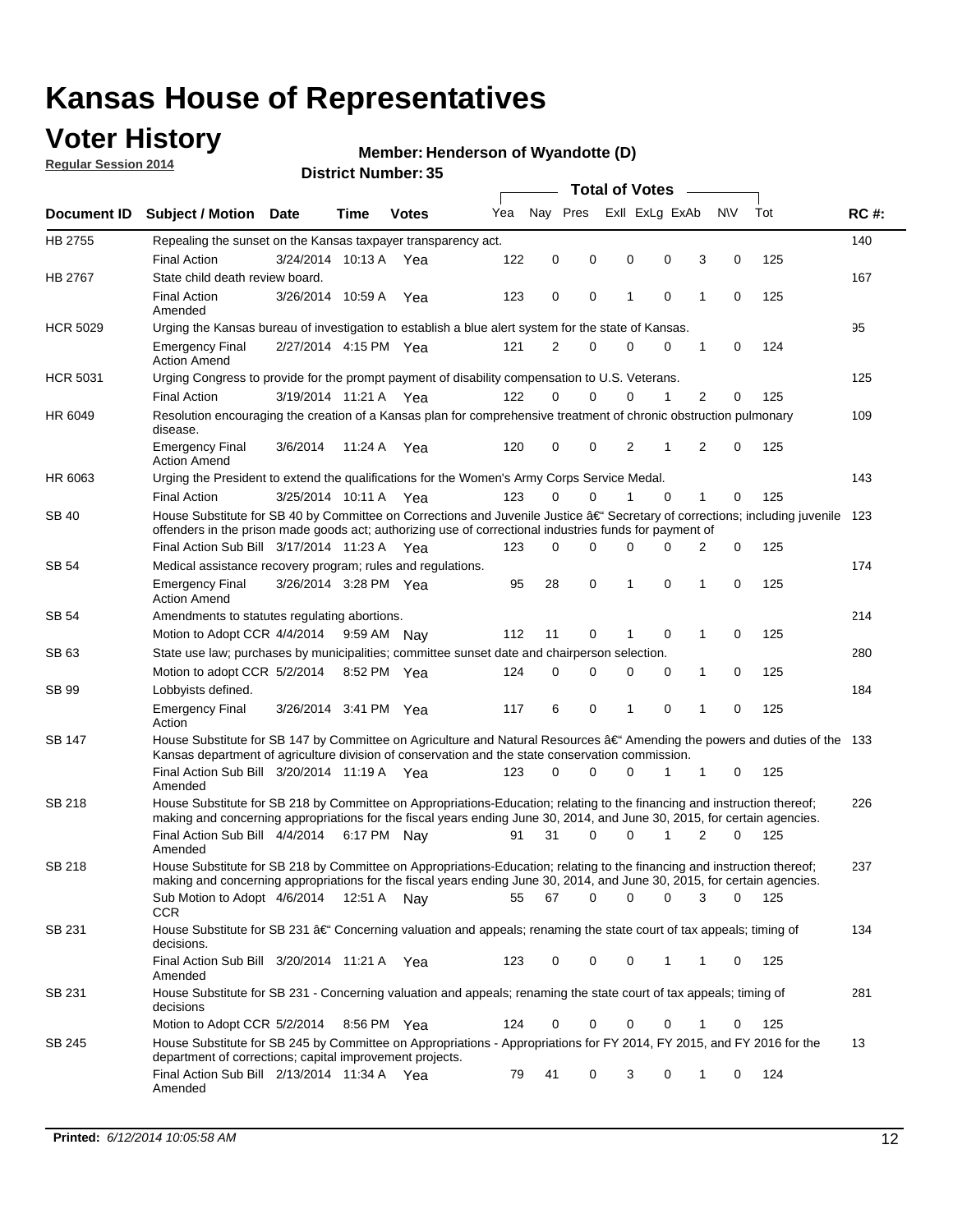### **Voter History**

**Regular Session 2014**

#### **Henderson of Wyandotte (D)**

|                    |                                                                                                                                                                                                                                      |                       |             |              |     | <b>Total of Votes</b> |          |   |                |          |   |             |     |             |
|--------------------|--------------------------------------------------------------------------------------------------------------------------------------------------------------------------------------------------------------------------------------|-----------------------|-------------|--------------|-----|-----------------------|----------|---|----------------|----------|---|-------------|-----|-------------|
| <b>Document ID</b> | <b>Subject / Motion</b>                                                                                                                                                                                                              | <b>Date</b>           | Time        | <b>Votes</b> | Yea | Nay Pres              |          |   | Exll ExLg ExAb |          |   | <b>NV</b>   | Tot | <b>RC#:</b> |
| HB 2755            | Repealing the sunset on the Kansas taxpayer transparency act.                                                                                                                                                                        |                       |             |              |     |                       |          |   |                |          |   |             |     | 140         |
|                    | <b>Final Action</b>                                                                                                                                                                                                                  | 3/24/2014 10:13 A     |             | Yea          | 122 | 0                     | 0        | 0 |                | 0        | 3 | 0           | 125 |             |
| HB 2767            | State child death review board.                                                                                                                                                                                                      |                       |             |              |     |                       |          |   |                |          |   |             |     | 167         |
|                    | <b>Final Action</b><br>Amended                                                                                                                                                                                                       | 3/26/2014 10:59 A     |             | Yea          | 123 | $\mathbf 0$           | 0        | 1 |                | 0        | 1 | 0           | 125 |             |
| <b>HCR 5029</b>    | Urging the Kansas bureau of investigation to establish a blue alert system for the state of Kansas.                                                                                                                                  |                       |             |              |     |                       |          |   |                |          |   |             |     | 95          |
|                    | <b>Emergency Final</b><br><b>Action Amend</b>                                                                                                                                                                                        | 2/27/2014 4:15 PM Yea |             |              | 121 | 2                     | 0        | 0 |                | 0        | 1 | 0           | 124 |             |
| <b>HCR 5031</b>    | Urging Congress to provide for the prompt payment of disability compensation to U.S. Veterans.                                                                                                                                       |                       |             |              |     |                       |          |   |                |          |   |             |     | 125         |
|                    | <b>Final Action</b>                                                                                                                                                                                                                  | 3/19/2014 11:21 A Yea |             |              | 122 | $\Omega$              | 0        | 0 |                | 1        | 2 | 0           | 125 |             |
| HR 6049            | Resolution encouraging the creation of a Kansas plan for comprehensive treatment of chronic obstruction pulmonary<br>disease.                                                                                                        |                       |             |              |     |                       |          |   |                |          |   |             |     | 109         |
|                    | <b>Emergency Final</b><br><b>Action Amend</b>                                                                                                                                                                                        | 3/6/2014              | 11:24 A     | Yea          | 120 | 0                     | 0        |   | 2              | 1        | 2 | 0           | 125 |             |
| HR 6063            | Urging the President to extend the qualifications for the Women's Army Corps Service Medal.                                                                                                                                          |                       |             |              |     |                       |          |   |                |          |   |             |     | 143         |
|                    | <b>Final Action</b>                                                                                                                                                                                                                  | 3/25/2014 10:11 A Yea |             |              | 123 | $\Omega$              | $\Omega$ | 1 |                | $\Omega$ | 1 | 0           | 125 |             |
| SB 40              | House Substitute for SB 40 by Committee on Corrections and Juvenile Justice †Secretary of corrections; including juvenile<br>offenders in the prison made goods act; authorizing use of correctional industries funds for payment of |                       |             |              |     |                       |          |   |                |          |   |             |     | 123         |
|                    | Final Action Sub Bill 3/17/2014 11:23 A Yea                                                                                                                                                                                          |                       |             |              | 123 | 0                     | 0        | 0 |                | 0        | 2 | 0           | 125 |             |
| SB 54              | Medical assistance recovery program; rules and regulations.                                                                                                                                                                          |                       |             |              |     |                       |          |   |                |          |   |             |     | 174         |
|                    | <b>Emergency Final</b><br><b>Action Amend</b>                                                                                                                                                                                        | 3/26/2014 3:28 PM Yea |             |              | 95  | 28                    | 0        | 1 |                | 0        | 1 | $\mathbf 0$ | 125 |             |
| <b>SB 54</b>       | Amendments to statutes regulating abortions.                                                                                                                                                                                         |                       |             |              |     |                       |          |   |                |          |   |             |     | 214         |
|                    | Motion to Adopt CCR 4/4/2014                                                                                                                                                                                                         |                       | 9:59 AM Nay |              | 112 | 11                    | 0        | 1 |                | 0        | 1 | 0           | 125 |             |
| SB 63              | State use law; purchases by municipalities; committee sunset date and chairperson selection.                                                                                                                                         |                       |             |              |     |                       |          |   |                |          |   |             |     | 280         |
|                    | Motion to adopt CCR 5/2/2014                                                                                                                                                                                                         |                       | 8:52 PM Yea |              | 124 | $\mathbf 0$           | 0        |   | 0              | 0        | 1 | 0           | 125 |             |
| <b>SB 99</b>       | Lobbyists defined.                                                                                                                                                                                                                   |                       |             |              |     |                       |          |   |                |          |   |             |     | 184         |
|                    | <b>Emergency Final</b><br>Action                                                                                                                                                                                                     | 3/26/2014 3:41 PM Yea |             |              | 117 | 6                     | 0        | 1 |                | 0        | 1 | 0           | 125 |             |
| SB 147             | House Substitute for SB 147 by Committee on Agriculture and Natural Resources †Amending the powers and duties of the 133<br>Kansas department of agriculture division of conservation and the state conservation commission.         |                       |             |              |     |                       |          |   |                |          |   |             |     |             |
|                    | Final Action Sub Bill 3/20/2014 11:19 A Yea<br>Amended                                                                                                                                                                               |                       |             |              | 123 | 0                     | 0        |   | 0              | 1        | 1 | 0           | 125 |             |
| <b>SB 218</b>      | House Substitute for SB 218 by Committee on Appropriations-Education; relating to the financing and instruction thereof;                                                                                                             |                       |             |              |     |                       |          |   |                |          |   |             |     | 226         |
|                    | making and concerning appropriations for the fiscal years ending June 30, 2014, and June 30, 2015, for certain agencies.<br>Final Action Sub Bill 4/4/2014 6:17 PM Nay                                                               |                       |             |              | 91  | 31                    | 0        |   | 0              | 1        | 2 | 0           | 125 |             |
|                    | Amended                                                                                                                                                                                                                              |                       |             |              |     |                       |          |   |                |          |   |             |     |             |
| <b>SB 218</b>      | House Substitute for SB 218 by Committee on Appropriations-Education; relating to the financing and instruction thereof;                                                                                                             |                       |             |              |     |                       |          |   |                |          |   |             |     | 237         |
|                    | making and concerning appropriations for the fiscal years ending June 30, 2014, and June 30, 2015, for certain agencies.                                                                                                             |                       |             |              |     |                       |          |   |                |          |   |             |     |             |
|                    | Sub Motion to Adopt 4/6/2014 12:51 A Nay                                                                                                                                                                                             |                       |             |              | 55  | 67                    | 0        |   | 0              | 0        | 3 | 0           | 125 |             |
| SB 231             | <b>CCR</b><br>House Substitute for SB 231 †Concerning valuation and appeals; renaming the state court of tax appeals; timing of                                                                                                      |                       |             |              |     |                       |          |   |                |          |   |             |     | 134         |
|                    | decisions.<br>Final Action Sub Bill 3/20/2014 11:21 A Yea                                                                                                                                                                            |                       |             |              | 123 | 0                     | 0        |   | 0              | 1        | 1 | 0           | 125 |             |
|                    | Amended                                                                                                                                                                                                                              |                       |             |              |     |                       |          |   |                |          |   |             |     |             |
| SB 231             | House Substitute for SB 231 - Concerning valuation and appeals; renaming the state court of tax appeals; timing of<br>decisions                                                                                                      |                       |             |              |     |                       |          |   |                |          |   |             |     | 281         |
|                    | Motion to Adopt CCR 5/2/2014 8:56 PM Yea                                                                                                                                                                                             |                       |             |              | 124 | 0                     | 0        |   | 0              | 0        | 1 | 0           | 125 |             |
| SB 245             | House Substitute for SB 245 by Committee on Appropriations - Appropriations for FY 2014, FY 2015, and FY 2016 for the<br>department of corrections; capital improvement projects.                                                    |                       |             |              |     |                       |          |   |                |          |   |             |     | 13          |
|                    | Final Action Sub Bill 2/13/2014 11:34 A Yea<br>Amended                                                                                                                                                                               |                       |             |              | 79  | 41                    | 0        |   | 3              | 0        | 1 | 0           | 124 |             |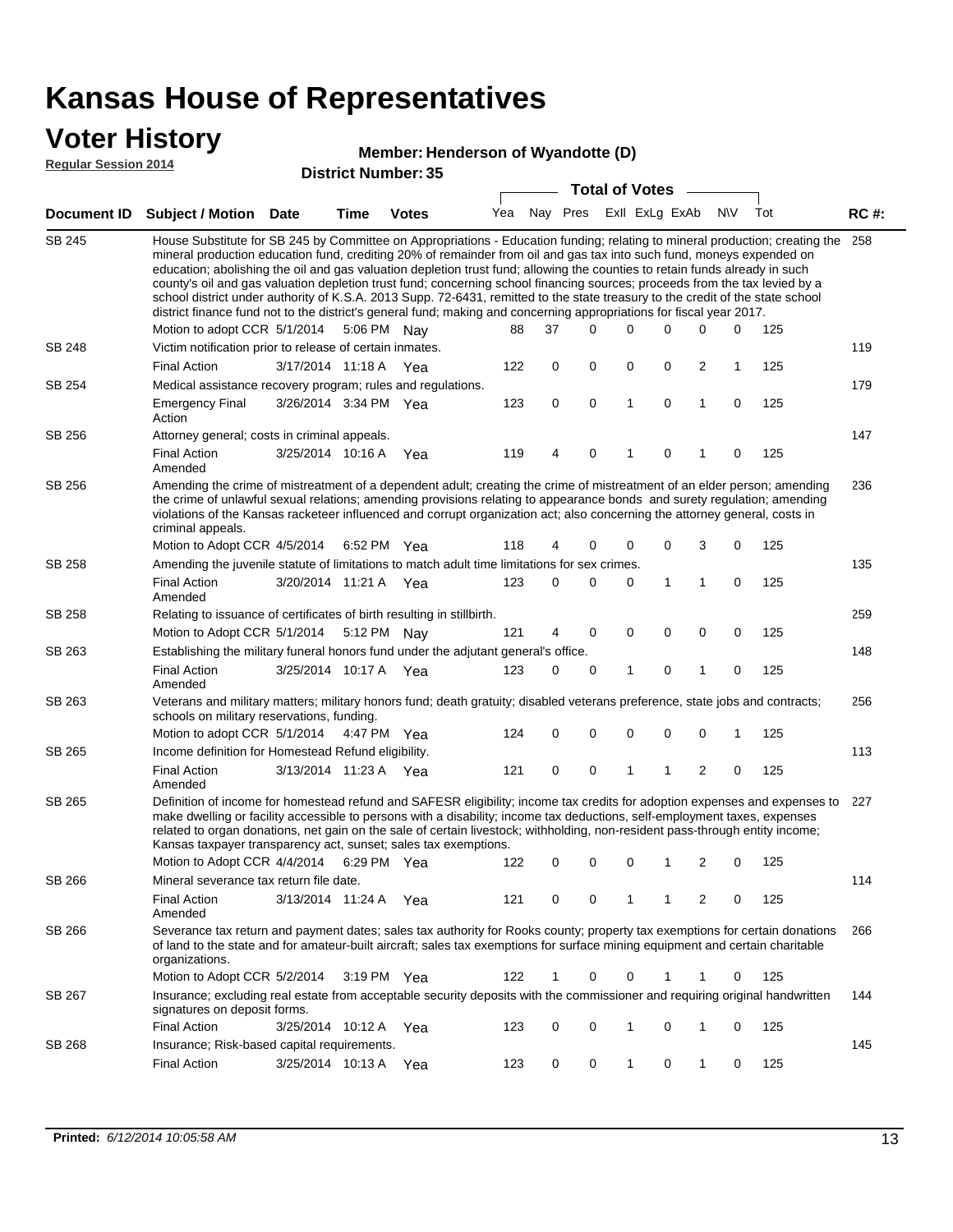### **Voter History**

#### **Henderson of Wyandotte (D)**

**Regular Session 2014**

|               | DISTICT MAILING 1. 99<br><b>Total of Votes</b>                                                                                                                                                                                                                                                                                                                                                                                                                                                                                                                                                                                                                                                                                                                                                                |                       |      |              |     |          |   |          |              |                |                         |           |     |             |
|---------------|---------------------------------------------------------------------------------------------------------------------------------------------------------------------------------------------------------------------------------------------------------------------------------------------------------------------------------------------------------------------------------------------------------------------------------------------------------------------------------------------------------------------------------------------------------------------------------------------------------------------------------------------------------------------------------------------------------------------------------------------------------------------------------------------------------------|-----------------------|------|--------------|-----|----------|---|----------|--------------|----------------|-------------------------|-----------|-----|-------------|
|               | Document ID Subject / Motion                                                                                                                                                                                                                                                                                                                                                                                                                                                                                                                                                                                                                                                                                                                                                                                  | Date                  | Time | <b>Votes</b> | Yea | Nay Pres |   |          |              | Exll ExLg ExAb |                         | <b>NV</b> | Tot | <b>RC#:</b> |
| <b>SB 245</b> | House Substitute for SB 245 by Committee on Appropriations - Education funding; relating to mineral production; creating the<br>mineral production education fund, crediting 20% of remainder from oil and gas tax into such fund, moneys expended on<br>education; abolishing the oil and gas valuation depletion trust fund; allowing the counties to retain funds already in such<br>county's oil and gas valuation depletion trust fund; concerning school financing sources; proceeds from the tax levied by a<br>school district under authority of K.S.A. 2013 Supp. 72-6431, remitted to the state treasury to the credit of the state school<br>district finance fund not to the district's general fund; making and concerning appropriations for fiscal year 2017.<br>Motion to adopt CCR 5/1/2014 |                       |      | 5:06 PM Nay  | 88  | 37       |   | $\Omega$ | 0            | 0              | 0                       | 0         | 125 | 258         |
| SB 248        | Victim notification prior to release of certain inmates.                                                                                                                                                                                                                                                                                                                                                                                                                                                                                                                                                                                                                                                                                                                                                      |                       |      |              |     |          |   |          |              |                |                         |           |     | 119         |
|               | <b>Final Action</b>                                                                                                                                                                                                                                                                                                                                                                                                                                                                                                                                                                                                                                                                                                                                                                                           | 3/17/2014 11:18 A Yea |      |              | 122 |          | 0 | 0        | 0            | 0              | $\overline{2}$          | 1         | 125 |             |
| SB 254        | Medical assistance recovery program; rules and regulations.                                                                                                                                                                                                                                                                                                                                                                                                                                                                                                                                                                                                                                                                                                                                                   |                       |      |              |     |          |   |          |              |                |                         |           |     | 179         |
|               | <b>Emergency Final</b><br>Action                                                                                                                                                                                                                                                                                                                                                                                                                                                                                                                                                                                                                                                                                                                                                                              | 3/26/2014 3:34 PM Yea |      |              | 123 |          | 0 | 0        | $\mathbf{1}$ | 0              | $\mathbf{1}$            | 0         | 125 |             |
| SB 256        | Attorney general; costs in criminal appeals.                                                                                                                                                                                                                                                                                                                                                                                                                                                                                                                                                                                                                                                                                                                                                                  |                       |      |              |     |          |   |          |              |                |                         |           |     | 147         |
|               | <b>Final Action</b><br>Amended                                                                                                                                                                                                                                                                                                                                                                                                                                                                                                                                                                                                                                                                                                                                                                                | 3/25/2014 10:16 A     |      | Yea          | 119 |          | 4 | 0        | 1            | 0              | 1                       | 0         | 125 |             |
| SB 256        | Amending the crime of mistreatment of a dependent adult; creating the crime of mistreatment of an elder person; amending<br>the crime of unlawful sexual relations; amending provisions relating to appearance bonds and surety regulation; amending<br>violations of the Kansas racketeer influenced and corrupt organization act; also concerning the attorney general, costs in<br>criminal appeals.                                                                                                                                                                                                                                                                                                                                                                                                       |                       |      |              |     |          |   |          |              |                |                         |           |     | 236         |
|               | Motion to Adopt CCR 4/5/2014 6:52 PM Yea                                                                                                                                                                                                                                                                                                                                                                                                                                                                                                                                                                                                                                                                                                                                                                      |                       |      |              | 118 |          | 4 | 0        | 0            | 0              | 3                       | 0         | 125 |             |
| SB 258        | Amending the juvenile statute of limitations to match adult time limitations for sex crimes.                                                                                                                                                                                                                                                                                                                                                                                                                                                                                                                                                                                                                                                                                                                  |                       |      |              |     |          |   |          |              |                |                         |           |     | 135         |
|               | <b>Final Action</b><br>Amended                                                                                                                                                                                                                                                                                                                                                                                                                                                                                                                                                                                                                                                                                                                                                                                | 3/20/2014 11:21 A Yea |      |              | 123 |          | 0 | 0        | 0            | 1              | 1                       | 0         | 125 |             |
| SB 258        | Relating to issuance of certificates of birth resulting in stillbirth.                                                                                                                                                                                                                                                                                                                                                                                                                                                                                                                                                                                                                                                                                                                                        |                       |      |              |     |          |   |          |              |                |                         |           |     | 259         |
|               | Motion to Adopt CCR 5/1/2014 5:12 PM Nay                                                                                                                                                                                                                                                                                                                                                                                                                                                                                                                                                                                                                                                                                                                                                                      |                       |      |              | 121 |          | 4 | 0        | 0            | $\mathbf 0$    | 0                       | 0         | 125 |             |
| SB 263        | Establishing the military funeral honors fund under the adjutant general's office.                                                                                                                                                                                                                                                                                                                                                                                                                                                                                                                                                                                                                                                                                                                            |                       |      |              |     |          |   |          |              |                |                         |           |     | 148         |
|               | <b>Final Action</b><br>Amended                                                                                                                                                                                                                                                                                                                                                                                                                                                                                                                                                                                                                                                                                                                                                                                | 3/25/2014 10:17 A Yea |      |              | 123 |          | 0 | 0        | 1            | 0              | 1                       | 0         | 125 |             |
| SB 263        | Veterans and military matters; military honors fund; death gratuity; disabled veterans preference, state jobs and contracts;<br>schools on military reservations, funding.                                                                                                                                                                                                                                                                                                                                                                                                                                                                                                                                                                                                                                    |                       |      |              |     |          |   |          |              |                |                         |           |     | 256         |
|               | Motion to adopt CCR 5/1/2014 4:47 PM Yea                                                                                                                                                                                                                                                                                                                                                                                                                                                                                                                                                                                                                                                                                                                                                                      |                       |      |              | 124 |          | 0 | 0        | 0            | 0              | $\mathbf 0$             | 1         | 125 |             |
| SB 265        | Income definition for Homestead Refund eligibility.                                                                                                                                                                                                                                                                                                                                                                                                                                                                                                                                                                                                                                                                                                                                                           |                       |      |              |     |          |   |          |              |                |                         |           |     | 113         |
|               | <b>Final Action</b><br>Amended                                                                                                                                                                                                                                                                                                                                                                                                                                                                                                                                                                                                                                                                                                                                                                                | 3/13/2014 11:23 A Yea |      |              | 121 |          | 0 | 0        | 1            | 1              | $\overline{\mathbf{c}}$ | 0         | 125 |             |
| SB 265        | Definition of income for homestead refund and SAFESR eligibility; income tax credits for adoption expenses and expenses to<br>make dwelling or facility accessible to persons with a disability; income tax deductions, self-employment taxes, expenses<br>related to organ donations, net gain on the sale of certain livestock; withholding, non-resident pass-through entity income;<br>Kansas taxpayer transparency act, sunset; sales tax exemptions.<br>Motion to Adopt CCR 4/4/2014<br>2<br>125<br>6:29 PM Yea<br>122<br>0<br>0<br>0<br>1<br>0                                                                                                                                                                                                                                                         |                       |      |              |     |          |   |          |              |                |                         | 227       |     |             |
| SB 266        | Mineral severance tax return file date.                                                                                                                                                                                                                                                                                                                                                                                                                                                                                                                                                                                                                                                                                                                                                                       |                       |      |              |     |          |   |          |              |                |                         |           |     | 114         |
|               | <b>Final Action</b><br>Amended                                                                                                                                                                                                                                                                                                                                                                                                                                                                                                                                                                                                                                                                                                                                                                                | 3/13/2014 11:24 A     |      | Yea          | 121 |          | 0 | 0        | 1            | 1              | 2                       | 0         | 125 |             |
| SB 266        | Severance tax return and payment dates; sales tax authority for Rooks county; property tax exemptions for certain donations<br>of land to the state and for amateur-built aircraft; sales tax exemptions for surface mining equipment and certain charitable<br>organizations.                                                                                                                                                                                                                                                                                                                                                                                                                                                                                                                                |                       |      |              |     |          |   |          |              |                |                         |           |     | 266         |
|               | Motion to Adopt CCR 5/2/2014                                                                                                                                                                                                                                                                                                                                                                                                                                                                                                                                                                                                                                                                                                                                                                                  |                       |      | 3:19 PM Yea  | 122 |          | 1 | 0        | 0            | 1              | 1                       | 0         | 125 |             |
| SB 267        | Insurance; excluding real estate from acceptable security deposits with the commissioner and requiring original handwritten<br>signatures on deposit forms.                                                                                                                                                                                                                                                                                                                                                                                                                                                                                                                                                                                                                                                   |                       |      |              |     |          |   |          |              |                |                         |           |     | 144         |
|               | <b>Final Action</b>                                                                                                                                                                                                                                                                                                                                                                                                                                                                                                                                                                                                                                                                                                                                                                                           | 3/25/2014 10:12 A     |      | Yea          | 123 |          | 0 | 0        | 1            | 0              | 1                       | 0         | 125 |             |
| SB 268        | Insurance; Risk-based capital requirements.                                                                                                                                                                                                                                                                                                                                                                                                                                                                                                                                                                                                                                                                                                                                                                   |                       |      |              |     |          |   |          |              |                |                         |           |     | 145         |
|               | <b>Final Action</b>                                                                                                                                                                                                                                                                                                                                                                                                                                                                                                                                                                                                                                                                                                                                                                                           | 3/25/2014 10:13 A     |      | Yea          | 123 |          | 0 | 0        | 1            | 0              | 1                       | 0         | 125 |             |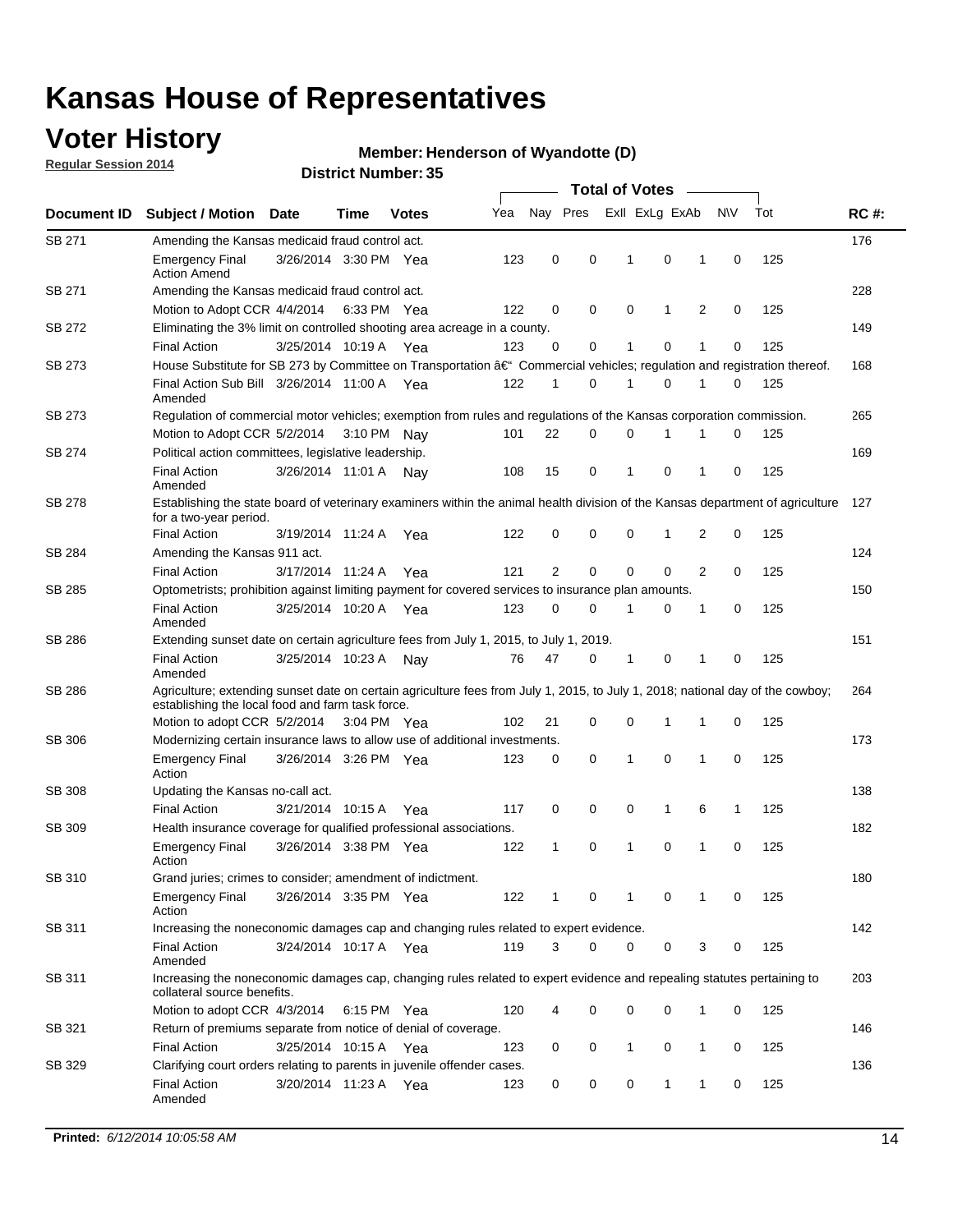### **Voter History**

**Regular Session 2014**

#### **Henderson of Wyandotte (D)**

| Nay Pres<br>Exll ExLg ExAb<br>N\V<br>Yea<br>Document ID<br><b>Subject / Motion Date</b><br><b>Votes</b><br>Time<br>SB 271<br>Amending the Kansas medicaid fraud control act.<br>0<br>0<br>0<br><b>Emergency Final</b><br>3/26/2014 3:30 PM Yea<br>123<br>-1<br>1<br>0<br><b>Action Amend</b><br>SB 271<br>Amending the Kansas medicaid fraud control act.<br>Motion to Adopt CCR 4/4/2014 6:33 PM Yea<br>122<br>0<br>0<br>0<br>1<br>2<br>0<br>SB 272<br>Eliminating the 3% limit on controlled shooting area acreage in a county.<br>3/25/2014 10:19 A Yea<br>123<br>0<br>0<br>1<br>0<br>1<br>0<br><b>Final Action</b><br>House Substitute for SB 273 by Committee on Transportation †Commercial vehicles; regulation and registration thereof.<br>SB 273 | Tot<br>125<br>125<br>125<br>125<br>125<br>125 | <b>RC#:</b><br>176<br>228<br>149<br>168<br>265<br>169 |
|-----------------------------------------------------------------------------------------------------------------------------------------------------------------------------------------------------------------------------------------------------------------------------------------------------------------------------------------------------------------------------------------------------------------------------------------------------------------------------------------------------------------------------------------------------------------------------------------------------------------------------------------------------------------------------------------------------------------------------------------------------------|-----------------------------------------------|-------------------------------------------------------|
|                                                                                                                                                                                                                                                                                                                                                                                                                                                                                                                                                                                                                                                                                                                                                           |                                               |                                                       |
|                                                                                                                                                                                                                                                                                                                                                                                                                                                                                                                                                                                                                                                                                                                                                           |                                               |                                                       |
|                                                                                                                                                                                                                                                                                                                                                                                                                                                                                                                                                                                                                                                                                                                                                           |                                               |                                                       |
|                                                                                                                                                                                                                                                                                                                                                                                                                                                                                                                                                                                                                                                                                                                                                           |                                               |                                                       |
|                                                                                                                                                                                                                                                                                                                                                                                                                                                                                                                                                                                                                                                                                                                                                           |                                               |                                                       |
|                                                                                                                                                                                                                                                                                                                                                                                                                                                                                                                                                                                                                                                                                                                                                           |                                               |                                                       |
|                                                                                                                                                                                                                                                                                                                                                                                                                                                                                                                                                                                                                                                                                                                                                           |                                               |                                                       |
|                                                                                                                                                                                                                                                                                                                                                                                                                                                                                                                                                                                                                                                                                                                                                           |                                               |                                                       |
| Final Action Sub Bill 3/26/2014 11:00 A Yea<br>122<br>0<br>1<br>0<br>1<br>1<br>0<br>Amended                                                                                                                                                                                                                                                                                                                                                                                                                                                                                                                                                                                                                                                               |                                               |                                                       |
| SB 273<br>Regulation of commercial motor vehicles; exemption from rules and regulations of the Kansas corporation commission.                                                                                                                                                                                                                                                                                                                                                                                                                                                                                                                                                                                                                             |                                               |                                                       |
| 22<br>0<br>0<br>Motion to Adopt CCR 5/2/2014 3:10 PM Nay<br>101<br>1<br>1<br>0                                                                                                                                                                                                                                                                                                                                                                                                                                                                                                                                                                                                                                                                            |                                               |                                                       |
| SB 274<br>Political action committees, legislative leadership.                                                                                                                                                                                                                                                                                                                                                                                                                                                                                                                                                                                                                                                                                            |                                               |                                                       |
| $\mathbf 0$<br>15<br>0<br>$\mathbf{1}$<br>0<br><b>Final Action</b><br>3/26/2014 11:01 A Nay<br>108<br>1<br>Amended                                                                                                                                                                                                                                                                                                                                                                                                                                                                                                                                                                                                                                        |                                               |                                                       |
| <b>SB 278</b><br>Establishing the state board of veterinary examiners within the animal health division of the Kansas department of agriculture<br>for a two-year period.                                                                                                                                                                                                                                                                                                                                                                                                                                                                                                                                                                                 |                                               | 127                                                   |
| <b>Final Action</b><br>3/19/2014 11:24 A<br>122<br>0<br>0<br>0<br>1<br>2<br>0<br>Yea                                                                                                                                                                                                                                                                                                                                                                                                                                                                                                                                                                                                                                                                      | 125                                           |                                                       |
| SB 284<br>Amending the Kansas 911 act.                                                                                                                                                                                                                                                                                                                                                                                                                                                                                                                                                                                                                                                                                                                    |                                               | 124                                                   |
| 2<br>$\mathbf 0$<br>$\mathbf 0$<br>$\mathbf 0$<br>2<br>3/17/2014 11:24 A<br>121<br>0<br><b>Final Action</b><br>Yea                                                                                                                                                                                                                                                                                                                                                                                                                                                                                                                                                                                                                                        | 125                                           |                                                       |
| SB 285<br>Optometrists; prohibition against limiting payment for covered services to insurance plan amounts.                                                                                                                                                                                                                                                                                                                                                                                                                                                                                                                                                                                                                                              |                                               | 150                                                   |
| 3/25/2014 10:20 A Yea<br>0<br>0<br>$\mathbf 0$<br><b>Final Action</b><br>123<br>$\mathbf{1}$<br>0<br>1<br>Amended                                                                                                                                                                                                                                                                                                                                                                                                                                                                                                                                                                                                                                         | 125                                           |                                                       |
| SB 286<br>Extending sunset date on certain agriculture fees from July 1, 2015, to July 1, 2019.                                                                                                                                                                                                                                                                                                                                                                                                                                                                                                                                                                                                                                                           |                                               | 151                                                   |
| 47<br>0<br>0<br><b>Final Action</b><br>3/25/2014 10:23 A<br>76<br>-1<br>1<br>0<br>Nay<br>Amended                                                                                                                                                                                                                                                                                                                                                                                                                                                                                                                                                                                                                                                          | 125                                           |                                                       |
| SB 286<br>Agriculture; extending sunset date on certain agriculture fees from July 1, 2015, to July 1, 2018; national day of the cowboy;<br>establishing the local food and farm task force.                                                                                                                                                                                                                                                                                                                                                                                                                                                                                                                                                              |                                               | 264                                                   |
| Motion to adopt CCR 5/2/2014 3:04 PM Yea<br>102<br>21<br>0<br>0<br>1<br>1<br>0                                                                                                                                                                                                                                                                                                                                                                                                                                                                                                                                                                                                                                                                            | 125                                           |                                                       |
| <b>SB 306</b><br>Modernizing certain insurance laws to allow use of additional investments.                                                                                                                                                                                                                                                                                                                                                                                                                                                                                                                                                                                                                                                               |                                               | 173                                                   |
| 0<br>1<br>0<br>1<br>0<br><b>Emergency Final</b><br>3/26/2014 3:26 PM Yea<br>123<br>0<br>Action                                                                                                                                                                                                                                                                                                                                                                                                                                                                                                                                                                                                                                                            | 125                                           |                                                       |
| <b>SB 308</b><br>Updating the Kansas no-call act.                                                                                                                                                                                                                                                                                                                                                                                                                                                                                                                                                                                                                                                                                                         |                                               | 138                                                   |
| 3/21/2014 10:15 A<br>0<br>0<br>0<br>$\mathbf{1}$<br>6<br><b>Final Action</b><br>117<br>1<br>Yea                                                                                                                                                                                                                                                                                                                                                                                                                                                                                                                                                                                                                                                           | 125                                           |                                                       |
| SB 309<br>Health insurance coverage for qualified professional associations.                                                                                                                                                                                                                                                                                                                                                                                                                                                                                                                                                                                                                                                                              |                                               | 182                                                   |
| 3/26/2014 3:38 PM Yea<br>$\mathbf{1}$<br>0<br>1<br>0<br>1<br>$\mathbf 0$<br><b>Emergency Final</b><br>122<br>Action                                                                                                                                                                                                                                                                                                                                                                                                                                                                                                                                                                                                                                       | 125                                           |                                                       |
| SB 310<br>Grand juries; crimes to consider; amendment of indictment.                                                                                                                                                                                                                                                                                                                                                                                                                                                                                                                                                                                                                                                                                      |                                               | 180                                                   |
| <b>Emergency Final</b><br>3/26/2014 3:35 PM Yea<br>122<br>0<br>0<br>0<br>1<br>1<br>1<br>Action                                                                                                                                                                                                                                                                                                                                                                                                                                                                                                                                                                                                                                                            | 125                                           |                                                       |
| SB 311<br>Increasing the noneconomic damages cap and changing rules related to expert evidence.                                                                                                                                                                                                                                                                                                                                                                                                                                                                                                                                                                                                                                                           |                                               | 142                                                   |
| 3/24/2014 10:17 A Yea<br>119<br>3<br>$\Omega$<br>0<br>0<br>3<br><b>Final Action</b><br>0<br>Amended                                                                                                                                                                                                                                                                                                                                                                                                                                                                                                                                                                                                                                                       | 125                                           |                                                       |
| SB 311<br>Increasing the noneconomic damages cap, changing rules related to expert evidence and repealing statutes pertaining to<br>collateral source benefits.                                                                                                                                                                                                                                                                                                                                                                                                                                                                                                                                                                                           |                                               | 203                                                   |
| 0<br>0<br>Motion to adopt CCR 4/3/2014 6:15 PM Yea<br>120<br>0<br>1<br>0                                                                                                                                                                                                                                                                                                                                                                                                                                                                                                                                                                                                                                                                                  | 125                                           |                                                       |
| SB 321<br>Return of premiums separate from notice of denial of coverage.                                                                                                                                                                                                                                                                                                                                                                                                                                                                                                                                                                                                                                                                                  |                                               | 146                                                   |
| 3/25/2014 10:15 A Yea<br>0<br>$\mathbf{1}$<br>0<br><b>Final Action</b><br>123<br>0<br>1<br>0                                                                                                                                                                                                                                                                                                                                                                                                                                                                                                                                                                                                                                                              | 125                                           |                                                       |
| SB 329<br>Clarifying court orders relating to parents in juvenile offender cases.<br>3/20/2014 11:23 A Yea<br>0<br><b>Final Action</b><br>123<br>0<br>0<br>1<br>1<br>0<br>Amended                                                                                                                                                                                                                                                                                                                                                                                                                                                                                                                                                                         | 125                                           | 136                                                   |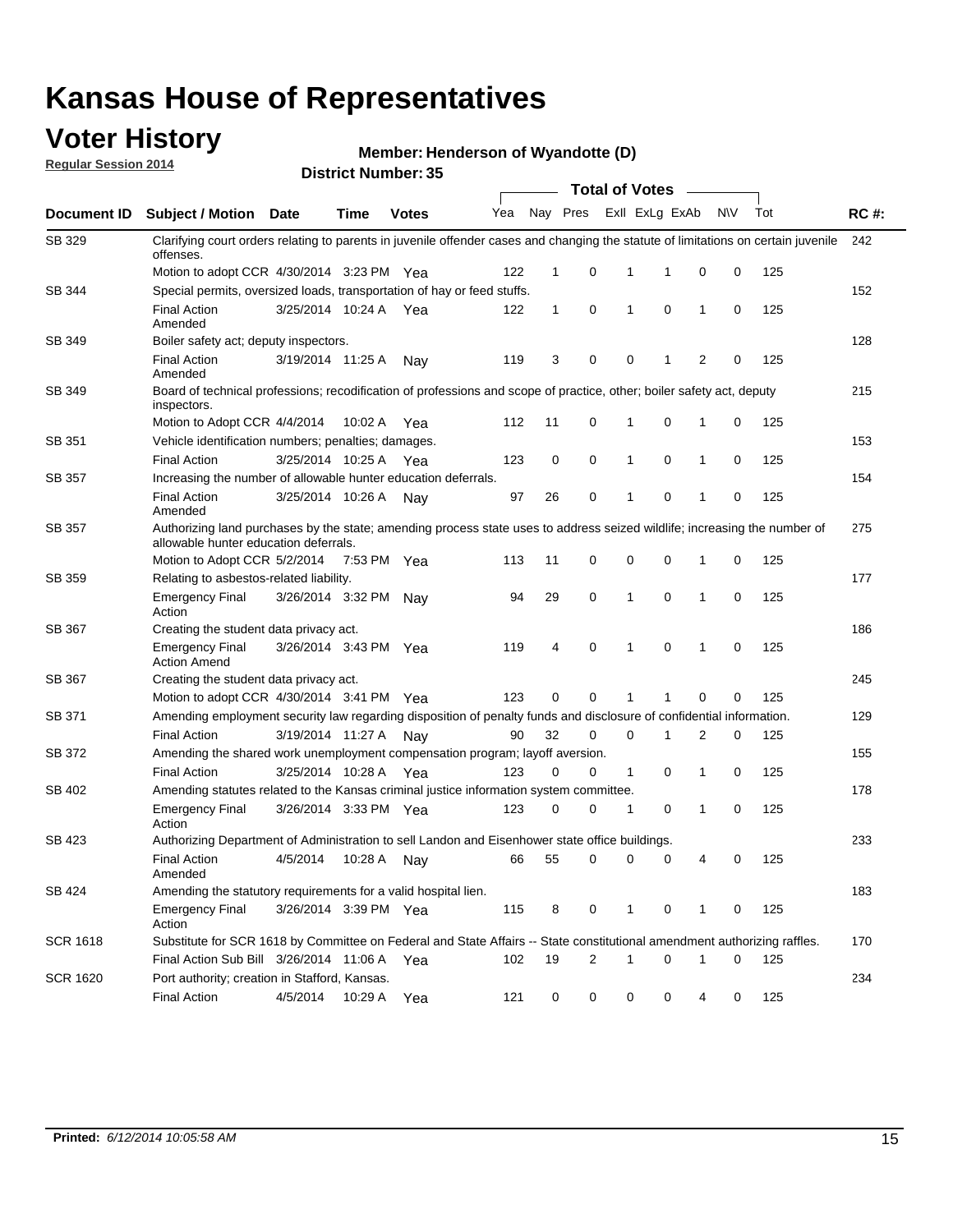### **Voter History**

**Regular Session 2014**

#### **Henderson of Wyandotte (D)**

|                 | DISTRICT MAILINGLESS<br><b>Total of Votes</b>                                                                                                                      |                       |             |              |     |    |             |  |             |                   |             |     |             |
|-----------------|--------------------------------------------------------------------------------------------------------------------------------------------------------------------|-----------------------|-------------|--------------|-----|----|-------------|--|-------------|-------------------|-------------|-----|-------------|
| Document ID     | <b>Subject / Motion</b>                                                                                                                                            | <b>Date</b>           | <b>Time</b> | <b>Votes</b> | Yea |    | Nay Pres    |  |             | Exll ExLg ExAb    | <b>NV</b>   | Tot | <b>RC#:</b> |
| SB 329          | Clarifying court orders relating to parents in juvenile offender cases and changing the statute of limitations on certain juvenile<br>offenses.                    |                       |             |              |     |    |             |  |             |                   |             |     | 242         |
|                 | Motion to adopt CCR 4/30/2014 3:23 PM Yea                                                                                                                          |                       |             |              | 122 | 1  | 0           |  | 1           | $\mathbf 0$<br>1  | 0           | 125 |             |
| SB 344          | Special permits, oversized loads, transportation of hay or feed stuffs.                                                                                            |                       |             |              |     |    |             |  |             |                   |             |     | 152         |
|                 | <b>Final Action</b><br>Amended                                                                                                                                     | 3/25/2014 10:24 A     |             | Yea          | 122 | 1  | $\mathbf 0$ |  | 1           | $\mathbf 0$<br>1  | 0           | 125 |             |
| SB 349          | Boiler safety act; deputy inspectors.                                                                                                                              |                       |             |              |     |    |             |  |             |                   |             |     | 128         |
|                 | <b>Final Action</b><br>Amended                                                                                                                                     | 3/19/2014 11:25 A     |             | Nay          | 119 | 3  | 0           |  | 0           | 2<br>1            | 0           | 125 |             |
| SB 349          | Board of technical professions; recodification of professions and scope of practice, other; boiler safety act, deputy<br>inspectors.                               |                       |             |              |     |    |             |  |             |                   |             |     | 215         |
|                 | Motion to Adopt CCR 4/4/2014                                                                                                                                       |                       | 10:02 A     | Yea          | 112 | 11 | 0           |  | 1           | $\mathbf 0$<br>1  | 0           | 125 |             |
| SB 351          | Vehicle identification numbers; penalties; damages.                                                                                                                |                       |             |              |     |    |             |  |             |                   |             |     | 153         |
|                 | <b>Final Action</b>                                                                                                                                                | 3/25/2014 10:25 A     |             | Yea          | 123 | 0  | 0           |  | 1           | 0<br>1            | 0           | 125 |             |
| <b>SB 357</b>   | Increasing the number of allowable hunter education deferrals.                                                                                                     |                       |             |              |     |    |             |  |             |                   |             |     | 154         |
|                 | <b>Final Action</b><br>Amended                                                                                                                                     | 3/25/2014 10:26 A     |             | Nav          | 97  | 26 | 0           |  | 1           | $\mathbf 0$<br>1  | 0           | 125 |             |
| SB 357          | Authorizing land purchases by the state; amending process state uses to address seized wildlife; increasing the number of<br>allowable hunter education deferrals. |                       |             |              |     |    |             |  |             |                   |             |     | 275         |
|                 | Motion to Adopt CCR 5/2/2014                                                                                                                                       |                       | 7:53 PM Yea |              | 113 | 11 | 0           |  | 0           | $\mathbf 0$<br>1  | 0           | 125 |             |
| SB 359          | Relating to asbestos-related liability.                                                                                                                            |                       |             |              |     |    |             |  |             |                   |             | 177 |             |
|                 | <b>Emergency Final</b><br>Action                                                                                                                                   | 3/26/2014 3:32 PM     |             | Nav          | 94  | 29 | 0           |  | 1           | $\mathbf 0$<br>1  | $\mathbf 0$ | 125 |             |
| SB 367          | Creating the student data privacy act.                                                                                                                             |                       |             |              |     |    |             |  |             |                   |             |     | 186         |
|                 | <b>Emergency Final</b><br><b>Action Amend</b>                                                                                                                      | 3/26/2014 3:43 PM Yea |             |              | 119 | 4  | $\mathbf 0$ |  | 1           | $\mathbf 0$<br>1  | 0           | 125 |             |
| SB 367          | Creating the student data privacy act.                                                                                                                             |                       |             |              |     |    |             |  |             |                   |             |     | 245         |
|                 | Motion to adopt CCR 4/30/2014 3:41 PM Yea                                                                                                                          |                       |             |              | 123 | 0  | 0           |  |             | $\Omega$          | 0           | 125 |             |
| SB 371          | Amending employment security law regarding disposition of penalty funds and disclosure of confidential information.                                                |                       |             |              |     |    |             |  |             |                   |             |     | 129         |
|                 | <b>Final Action</b>                                                                                                                                                | 3/19/2014 11:27 A     |             | Nav          | 90  | 32 | 0           |  | $\mathbf 0$ | 2<br>1            | 0           | 125 |             |
| <b>SB 372</b>   | Amending the shared work unemployment compensation program; layoff aversion.                                                                                       |                       |             |              |     |    |             |  |             |                   |             |     | 155         |
|                 | <b>Final Action</b>                                                                                                                                                | 3/25/2014 10:28 A     |             | Yea          | 123 | 0  | $\mathbf 0$ |  | 1           | 0<br>1            | 0           | 125 |             |
| SB 402          | Amending statutes related to the Kansas criminal justice information system committee.                                                                             |                       |             |              |     |    |             |  |             |                   |             |     | 178         |
|                 | <b>Emergency Final</b><br>Action                                                                                                                                   | 3/26/2014 3:33 PM Yea |             |              | 123 | 0  | 0           |  | 1           | 0<br>1            | 0           | 125 |             |
| SB 423          | Authorizing Department of Administration to sell Landon and Eisenhower state office buildings.                                                                     |                       |             |              |     |    |             |  |             |                   |             |     | 233         |
|                 | <b>Final Action</b><br>Amended                                                                                                                                     | 4/5/2014              | 10:28 A     | Nay          | 66  | 55 | 0           |  | 0           | 0<br>4            | 0           | 125 |             |
| SB 424          | Amending the statutory requirements for a valid hospital lien.                                                                                                     |                       |             |              |     |    |             |  |             |                   |             |     | 183         |
|                 | <b>Emergency Final</b><br>Action                                                                                                                                   | 3/26/2014 3:39 PM Yea |             |              | 115 | 8  | 0           |  | 1           | 0<br>$\mathbf{1}$ | 0           | 125 |             |
| SCR 1618        | Substitute for SCR 1618 by Committee on Federal and State Affairs -- State constitutional amendment authorizing raffles.                                           |                       |             |              |     |    |             |  |             |                   |             |     | 170         |
|                 | Final Action Sub Bill 3/26/2014 11:06 A Yea                                                                                                                        |                       |             |              | 102 | 19 | 2           |  | 1           | 0<br>1            | 0           | 125 |             |
| <b>SCR 1620</b> | Port authority; creation in Stafford, Kansas.                                                                                                                      |                       |             |              |     |    |             |  |             |                   |             |     | 234         |
|                 | <b>Final Action</b>                                                                                                                                                | 4/5/2014              | 10:29 A     | Yea          | 121 | 0  | 0           |  | 0           | 0                 | 4<br>0      | 125 |             |